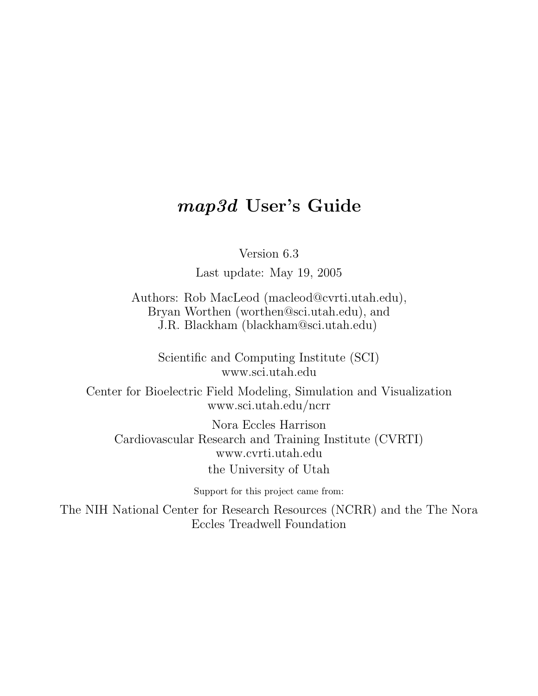# map3d User's Guide

Version 6.3

Last update: May 19, 2005

Authors: Rob MacLeod (macleod@cvrti.utah.edu), Bryan Worthen (worthen@sci.utah.edu), and J.R. Blackham (blackham@sci.utah.edu)

Scientific and Computing Institute (SCI) www.sci.utah.edu

Center for Bioelectric Field Modeling, Simulation and Visualization www.sci.utah.edu/ncrr

Nora Eccles Harrison Cardiovascular Research and Training Institute (CVRTI) www.cvrti.utah.edu the University of Utah

Support for this project came from:

The NIH National Center for Research Resources (NCRR) and the The Nora Eccles Treadwell Foundation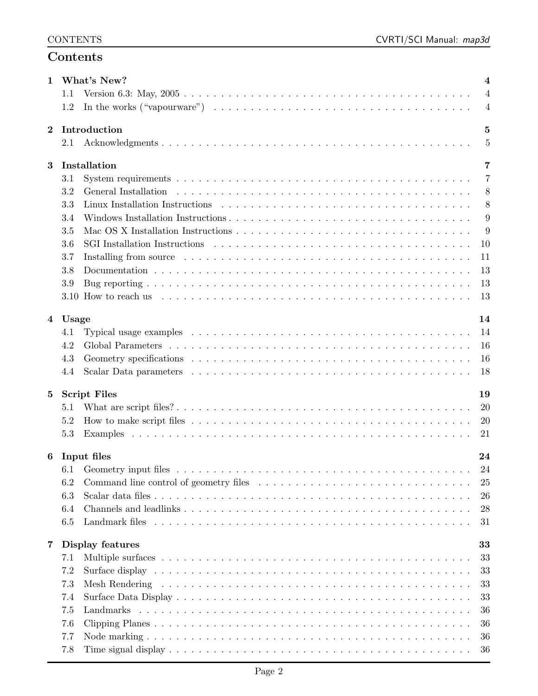## Contents

| 1.1<br>$\overline{4}$<br>In the works $("vapourware") \dots \dots \dots \dots \dots \dots \dots \dots \dots \dots \dots \dots \dots \dots \dots$<br>1.2<br>$\overline{4}$<br>Introduction<br>5<br>$\overline{5}$<br>2.1<br>Installation<br>3<br>7<br>3.1<br>7<br>3.2<br>General Installation<br>8<br>3.3<br>8<br>9<br>3.4<br>3.5<br>9<br>3.6<br>10<br>11<br>3.7<br>13<br>3.8<br>13<br>3.9<br>13<br>Usage<br>14<br>Typical usage examples $\dots \dots \dots \dots \dots \dots \dots \dots \dots \dots \dots \dots \dots \dots \dots \dots$<br>14<br>4.1<br>4.2<br>16<br>4.3<br>16<br>18<br>4.4<br><b>Script Files</b><br>$5\phantom{.0}$<br>19<br><b>20</b><br>5.1<br>5.2<br><b>20</b><br>5.3<br>21<br>Input files<br>24<br>6<br>24<br>6.2<br>25<br>6.3<br>26<br>6.4<br>28<br>6.5<br>31<br>Display features<br>7<br>33<br>33<br>7.1<br>33<br>7.2<br>7.3<br>33<br>33<br>7.4<br>36<br>7.5<br>36<br>7.6<br>36<br>7.7 | 1        |     | What's New?<br>4 |
|-------------------------------------------------------------------------------------------------------------------------------------------------------------------------------------------------------------------------------------------------------------------------------------------------------------------------------------------------------------------------------------------------------------------------------------------------------------------------------------------------------------------------------------------------------------------------------------------------------------------------------------------------------------------------------------------------------------------------------------------------------------------------------------------------------------------------------------------------------------------------------------------------------------------|----------|-----|------------------|
|                                                                                                                                                                                                                                                                                                                                                                                                                                                                                                                                                                                                                                                                                                                                                                                                                                                                                                                   |          |     |                  |
|                                                                                                                                                                                                                                                                                                                                                                                                                                                                                                                                                                                                                                                                                                                                                                                                                                                                                                                   |          |     |                  |
|                                                                                                                                                                                                                                                                                                                                                                                                                                                                                                                                                                                                                                                                                                                                                                                                                                                                                                                   | $\bf{2}$ |     |                  |
|                                                                                                                                                                                                                                                                                                                                                                                                                                                                                                                                                                                                                                                                                                                                                                                                                                                                                                                   |          |     |                  |
|                                                                                                                                                                                                                                                                                                                                                                                                                                                                                                                                                                                                                                                                                                                                                                                                                                                                                                                   |          |     |                  |
|                                                                                                                                                                                                                                                                                                                                                                                                                                                                                                                                                                                                                                                                                                                                                                                                                                                                                                                   |          |     |                  |
|                                                                                                                                                                                                                                                                                                                                                                                                                                                                                                                                                                                                                                                                                                                                                                                                                                                                                                                   |          |     |                  |
|                                                                                                                                                                                                                                                                                                                                                                                                                                                                                                                                                                                                                                                                                                                                                                                                                                                                                                                   |          |     |                  |
|                                                                                                                                                                                                                                                                                                                                                                                                                                                                                                                                                                                                                                                                                                                                                                                                                                                                                                                   |          |     |                  |
|                                                                                                                                                                                                                                                                                                                                                                                                                                                                                                                                                                                                                                                                                                                                                                                                                                                                                                                   |          |     |                  |
|                                                                                                                                                                                                                                                                                                                                                                                                                                                                                                                                                                                                                                                                                                                                                                                                                                                                                                                   |          |     |                  |
|                                                                                                                                                                                                                                                                                                                                                                                                                                                                                                                                                                                                                                                                                                                                                                                                                                                                                                                   |          |     |                  |
|                                                                                                                                                                                                                                                                                                                                                                                                                                                                                                                                                                                                                                                                                                                                                                                                                                                                                                                   |          |     |                  |
|                                                                                                                                                                                                                                                                                                                                                                                                                                                                                                                                                                                                                                                                                                                                                                                                                                                                                                                   |          |     |                  |
|                                                                                                                                                                                                                                                                                                                                                                                                                                                                                                                                                                                                                                                                                                                                                                                                                                                                                                                   |          |     |                  |
|                                                                                                                                                                                                                                                                                                                                                                                                                                                                                                                                                                                                                                                                                                                                                                                                                                                                                                                   |          |     |                  |
|                                                                                                                                                                                                                                                                                                                                                                                                                                                                                                                                                                                                                                                                                                                                                                                                                                                                                                                   | 4        |     |                  |
|                                                                                                                                                                                                                                                                                                                                                                                                                                                                                                                                                                                                                                                                                                                                                                                                                                                                                                                   |          |     |                  |
|                                                                                                                                                                                                                                                                                                                                                                                                                                                                                                                                                                                                                                                                                                                                                                                                                                                                                                                   |          |     |                  |
|                                                                                                                                                                                                                                                                                                                                                                                                                                                                                                                                                                                                                                                                                                                                                                                                                                                                                                                   |          |     |                  |
|                                                                                                                                                                                                                                                                                                                                                                                                                                                                                                                                                                                                                                                                                                                                                                                                                                                                                                                   |          |     |                  |
|                                                                                                                                                                                                                                                                                                                                                                                                                                                                                                                                                                                                                                                                                                                                                                                                                                                                                                                   |          |     |                  |
|                                                                                                                                                                                                                                                                                                                                                                                                                                                                                                                                                                                                                                                                                                                                                                                                                                                                                                                   |          |     |                  |
|                                                                                                                                                                                                                                                                                                                                                                                                                                                                                                                                                                                                                                                                                                                                                                                                                                                                                                                   |          |     |                  |
|                                                                                                                                                                                                                                                                                                                                                                                                                                                                                                                                                                                                                                                                                                                                                                                                                                                                                                                   |          |     |                  |
|                                                                                                                                                                                                                                                                                                                                                                                                                                                                                                                                                                                                                                                                                                                                                                                                                                                                                                                   |          |     |                  |
|                                                                                                                                                                                                                                                                                                                                                                                                                                                                                                                                                                                                                                                                                                                                                                                                                                                                                                                   |          |     |                  |
|                                                                                                                                                                                                                                                                                                                                                                                                                                                                                                                                                                                                                                                                                                                                                                                                                                                                                                                   |          |     |                  |
|                                                                                                                                                                                                                                                                                                                                                                                                                                                                                                                                                                                                                                                                                                                                                                                                                                                                                                                   |          |     |                  |
|                                                                                                                                                                                                                                                                                                                                                                                                                                                                                                                                                                                                                                                                                                                                                                                                                                                                                                                   |          |     |                  |
|                                                                                                                                                                                                                                                                                                                                                                                                                                                                                                                                                                                                                                                                                                                                                                                                                                                                                                                   |          |     |                  |
|                                                                                                                                                                                                                                                                                                                                                                                                                                                                                                                                                                                                                                                                                                                                                                                                                                                                                                                   |          |     |                  |
|                                                                                                                                                                                                                                                                                                                                                                                                                                                                                                                                                                                                                                                                                                                                                                                                                                                                                                                   |          |     |                  |
|                                                                                                                                                                                                                                                                                                                                                                                                                                                                                                                                                                                                                                                                                                                                                                                                                                                                                                                   |          |     |                  |
|                                                                                                                                                                                                                                                                                                                                                                                                                                                                                                                                                                                                                                                                                                                                                                                                                                                                                                                   |          |     |                  |
|                                                                                                                                                                                                                                                                                                                                                                                                                                                                                                                                                                                                                                                                                                                                                                                                                                                                                                                   |          |     |                  |
|                                                                                                                                                                                                                                                                                                                                                                                                                                                                                                                                                                                                                                                                                                                                                                                                                                                                                                                   |          |     |                  |
|                                                                                                                                                                                                                                                                                                                                                                                                                                                                                                                                                                                                                                                                                                                                                                                                                                                                                                                   |          |     |                  |
|                                                                                                                                                                                                                                                                                                                                                                                                                                                                                                                                                                                                                                                                                                                                                                                                                                                                                                                   |          |     |                  |
|                                                                                                                                                                                                                                                                                                                                                                                                                                                                                                                                                                                                                                                                                                                                                                                                                                                                                                                   |          |     |                  |
|                                                                                                                                                                                                                                                                                                                                                                                                                                                                                                                                                                                                                                                                                                                                                                                                                                                                                                                   |          | 7.8 | 36               |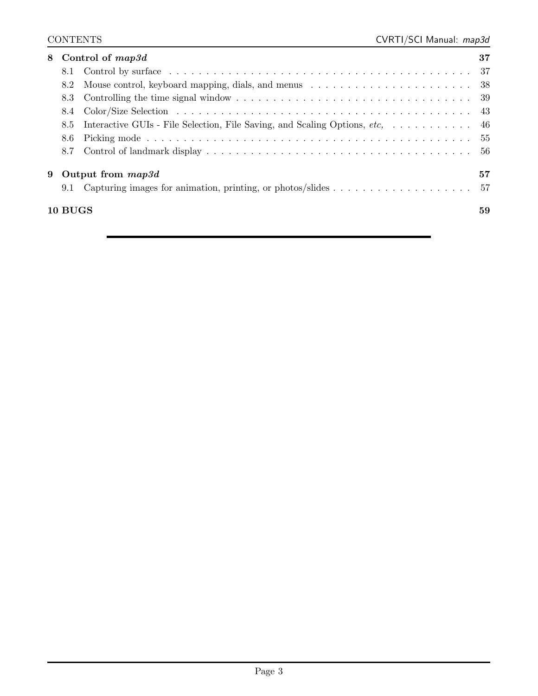| 8. |         | Control of <i>map3d</i>                                                                                   | 37   |
|----|---------|-----------------------------------------------------------------------------------------------------------|------|
|    |         |                                                                                                           |      |
|    | 8.2     | Mouse control, keyboard mapping, dials, and menus $\dots \dots \dots \dots \dots \dots \dots \dots \dots$ |      |
|    | 8.3     |                                                                                                           |      |
|    | 8.4     |                                                                                                           | 43   |
|    | 8.5     | Interactive GUIs - File Selection, File Saving, and Scaling Options, etc                                  | - 46 |
|    | 8.6     |                                                                                                           | 55   |
|    | 8.7     |                                                                                                           | -56  |
| 9  |         | Output from <i>map3d</i>                                                                                  | 57   |
|    | 9.1     | Capturing images for animation, printing, or photos/slides $\dots \dots \dots \dots \dots \dots$          | 57   |
|    | 10 BUGS |                                                                                                           | 59   |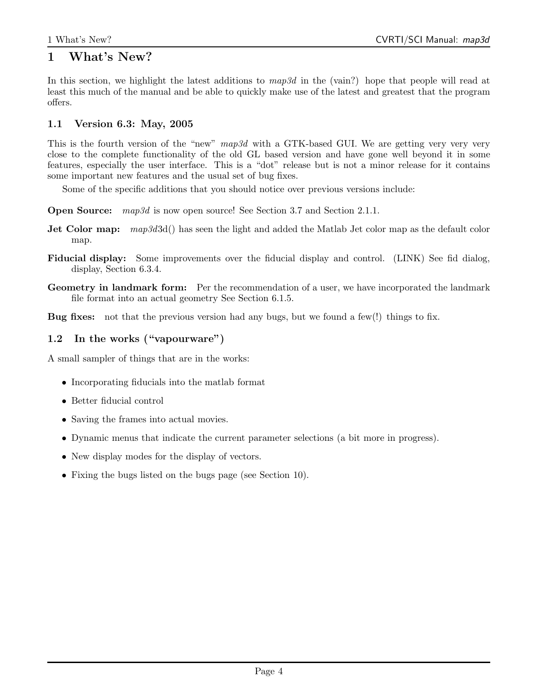## 1 What's New?

In this section, we highlight the latest additions to  $map3d$  in the (vain?) hope that people will read at least this much of the manual and be able to quickly make use of the latest and greatest that the program offers.

## 1.1 Version 6.3: May, 2005

This is the fourth version of the "new" map3d with a GTK-based GUI. We are getting very very very close to the complete functionality of the old GL based version and have gone well beyond it in some features, especially the user interface. This is a "dot" release but is not a minor release for it contains some important new features and the usual set of bug fixes.

Some of the specific additions that you should notice over previous versions include:

**Open Source:** map3d is now open source! See Section 3.7 and Section 2.1.1.

- **Jet Color map:**  $map: \text{map3d3d()}$  has seen the light and added the Matlab Jet color map as the default color map.
- Fiducial display: Some improvements over the fiducial display and control. (LINK) See fid dialog, display, Section 6.3.4.
- Geometry in landmark form: Per the recommendation of a user, we have incorporated the landmark file format into an actual geometry See Section 6.1.5.

Bug fixes: not that the previous version had any bugs, but we found a few(!) things to fix.

## 1.2 In the works ("vapourware")

A small sampler of things that are in the works:

- Incorporating fiducials into the matlab format
- Better fiducial control
- Saving the frames into actual movies.
- Dynamic menus that indicate the current parameter selections (a bit more in progress).
- New display modes for the display of vectors.
- Fixing the bugs listed on the bugs page (see Section 10).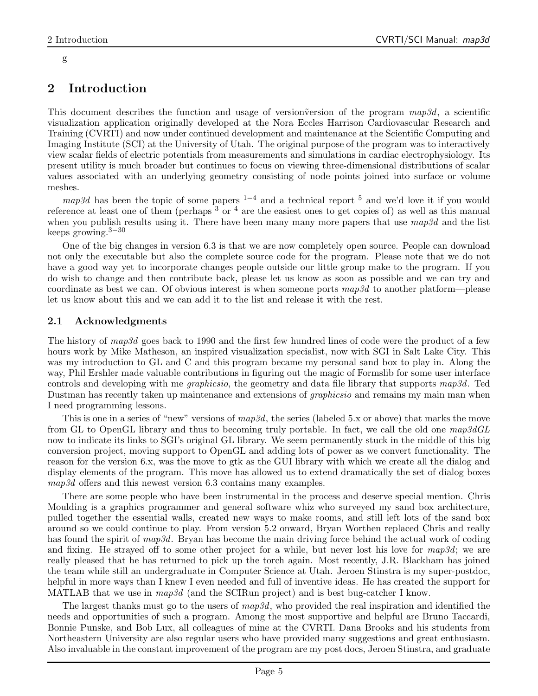#### g

## 2 Introduction

This document describes the function and usage of version version of the program  $map3d$ , a scientific visualization application originally developed at the Nora Eccles Harrison Cardiovascular Research and Training (CVRTI) and now under continued development and maintenance at the Scientific Computing and Imaging Institute (SCI) at the University of Utah. The original purpose of the program was to interactively view scalar fields of electric potentials from measurements and simulations in cardiac electrophysiology. Its present utility is much broader but continues to focus on viewing three-dimensional distributions of scalar values associated with an underlying geometry consisting of node points joined into surface or volume meshes.

map3d has been the topic of some papers  $1-4$  and a technical report <sup>5</sup> and we'd love it if you would reference at least one of them (perhaps  $3\sigma$   $^4$  are the easiest ones to get copies of) as well as this manual when you publish results using it. There have been many many more papers that use  $map3d$  and the list keeps growing. $3-30$ 

One of the big changes in version 6.3 is that we are now completely open source. People can download not only the executable but also the complete source code for the program. Please note that we do not have a good way yet to incorporate changes people outside our little group make to the program. If you do wish to change and then contribute back, please let us know as soon as possible and we can try and coordinate as best we can. Of obvious interest is when someone ports  $map3d$  to another platform—please let us know about this and we can add it to the list and release it with the rest.

## 2.1 Acknowledgments

The history of map3d goes back to 1990 and the first few hundred lines of code were the product of a few hours work by Mike Matheson, an inspired visualization specialist, now with SGI in Salt Lake City. This was my introduction to GL and C and this program became my personal sand box to play in. Along the way, Phil Ershler made valuable contributions in figuring out the magic of Formslib for some user interface controls and developing with me graphicsio, the geometry and data file library that supports map3d. Ted Dustman has recently taken up maintenance and extensions of graphicsio and remains my main man when I need programming lessons.

This is one in a series of "new" versions of  $map3d$ , the series (labeled 5.x or above) that marks the move from GL to OpenGL library and thus to becoming truly portable. In fact, we call the old one map3dGL now to indicate its links to SGI's original GL library. We seem permanently stuck in the middle of this big conversion project, moving support to OpenGL and adding lots of power as we convert functionality. The reason for the version 6.x, was the move to gtk as the GUI library with which we create all the dialog and display elements of the program. This move has allowed us to extend dramatically the set of dialog boxes map3d offers and this newest version 6.3 contains many examples.

There are some people who have been instrumental in the process and deserve special mention. Chris Moulding is a graphics programmer and general software whiz who surveyed my sand box architecture, pulled together the essential walls, created new ways to make rooms, and still left lots of the sand box around so we could continue to play. From version 5.2 onward, Bryan Worthen replaced Chris and really has found the spirit of map3d. Bryan has become the main driving force behind the actual work of coding and fixing. He strayed off to some other project for a while, but never lost his love for  $map3d$ ; we are really pleased that he has returned to pick up the torch again. Most recently, J.R. Blackham has joined the team while still an undergraduate in Computer Science at Utah. Jeroen Stinstra is my super-postdoc, helpful in more ways than I knew I even needed and full of inventive ideas. He has created the support for MATLAB that we use in  $map3d$  (and the SCIRun project) and is best bug-catcher I know.

The largest thanks must go to the users of  $map3d$ , who provided the real inspiration and identified the needs and opportunities of such a program. Among the most supportive and helpful are Bruno Taccardi, Bonnie Punske, and Bob Lux, all colleagues of mine at the CVRTI. Dana Brooks and his students from Northeastern University are also regular users who have provided many suggestions and great enthusiasm. Also invaluable in the constant improvement of the program are my post docs, Jeroen Stinstra, and graduate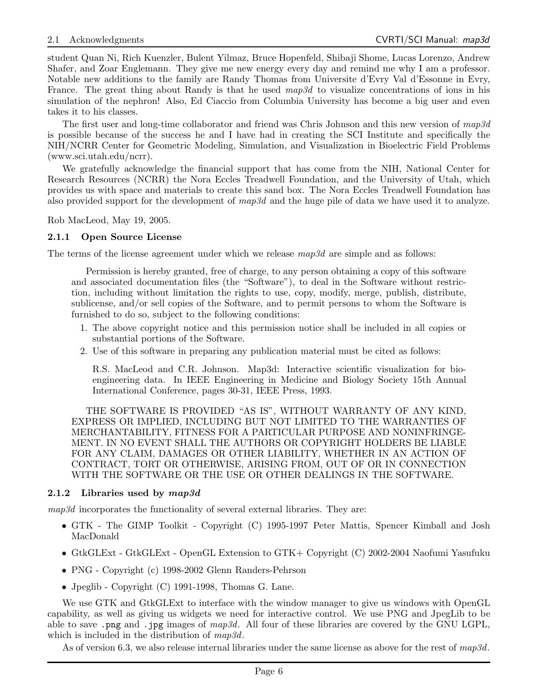student Quan Ni, Rich Kuenzler, Bulent Yilmaz, Bruce Hopenfeld, Shibaji Shome, Lucas Lorenzo, Andrew Shafer, and Zoar Englemann. They give me new energy every day and remind me why I am a professor. Notable new additions to the family are Randy Thomas from Universite d'Evry Val d'Essonne in Evry, France. The great thing about Randy is that he used  $map3d$  to visualize concentrations of ions in his simulation of the nephron! Also, Ed Ciaccio from Columbia University has become a big user and even takes it to his classes.

The first user and long-time collaborator and friend was Chris Johnson and this new version of  $map3d$ is possible because of the success he and I have had in creating the SCI Institute and specifically the NIH/NCRR Center for Geometric Modeling, Simulation, and Visualization in Bioelectric Field Problems (www.sci.utah.edu/ncrr).

We gratefully acknowledge the financial support that has come from the NIH, National Center for Research Resources (NCRR) the Nora Eccles Treadwell Foundation, and the University of Utah, which provides us with space and materials to create this sand box. The Nora Eccles Treadwell Foundation has also provided support for the development of map3d and the huge pile of data we have used it to analyze.

Rob MacLeod, May 19, 2005.

#### 2.1.1 Open Source License

The terms of the license agreement under which we release  $map3d$  are simple and as follows:

Permission is hereby granted, free of charge, to any person obtaining a copy of this software and associated documentation files (the "Software"), to deal in the Software without restriction, including without limitation the rights to use, copy, modify, merge, publish, distribute, sublicense, and/or sell copies of the Software, and to permit persons to whom the Software is furnished to do so, subject to the following conditions:

- 1. The above copyright notice and this permission notice shall be included in all copies or substantial portions of the Software.
- 2. Use of this software in preparing any publication material must be cited as follows:

R.S. MacLeod and C.R. Johnson. Map3d: Interactive scientific visualization for bioengineering data. In IEEE Engineering in Medicine and Biology Society 15th Annual International Conference, pages 30-31, IEEE Press, 1993.

THE SOFTWARE IS PROVIDED "AS IS", WITHOUT WARRANTY OF ANY KIND, EXPRESS OR IMPLIED, INCLUDING BUT NOT LIMITED TO THE WARRANTIES OF MERCHANTABILITY, FITNESS FOR A PARTICULAR PURPOSE AND NONINFRINGE-MENT. IN NO EVENT SHALL THE AUTHORS OR COPYRIGHT HOLDERS BE LIABLE FOR ANY CLAIM, DAMAGES OR OTHER LIABILITY, WHETHER IN AN ACTION OF CONTRACT, TORT OR OTHERWISE, ARISING FROM, OUT OF OR IN CONNECTION WITH THE SOFTWARE OR THE USE OR OTHER DEALINGS IN THE SOFTWARE.

#### 2.1.2 Libraries used by  $map3d$

map3d incorporates the functionality of several external libraries. They are:

- GTK The GIMP Toolkit Copyright (C) 1995-1997 Peter Mattis, Spencer Kimball and Josh MacDonald
- GtkGLExt GtkGLExt OpenGL Extension to GTK+ Copyright (C) 2002-2004 Naofumi Yasufuku
- PNG Copyright (c) 1998-2002 Glenn Randers-Pehrson
- Jpeglib Copyright (C) 1991-1998, Thomas G. Lane.

We use GTK and GtkGLExt to interface with the window manager to give us windows with OpenGL capability, as well as giving us widgets we need for interactive control. We use PNG and JpegLib to be able to save .png and .jpg images of  $map3d$ . All four of these libraries are covered by the GNU LGPL, which is included in the distribution of  $map3d$ .

As of version 6.3, we also release internal libraries under the same license as above for the rest of  $map3d$ .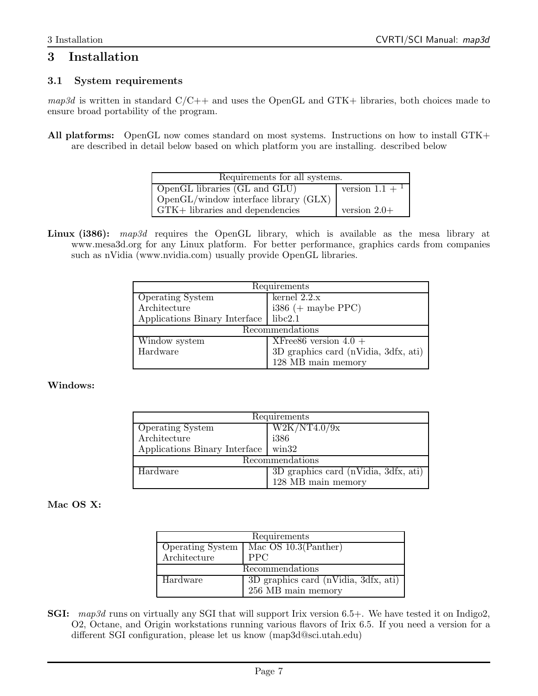## 3 Installation

## 3.1 System requirements

 $map3d$  is written in standard  $C/C++$  and uses the OpenGL and GTK+ libraries, both choices made to ensure broad portability of the program.

All platforms: OpenGL now comes standard on most systems. Instructions on how to install GTK+ are described in detail below based on which platform you are installing. described below

| Requirements for all systems.                     |                              |  |
|---------------------------------------------------|------------------------------|--|
| OpenGL libraries (GL and GLU)                     | version $1.1 +$ <sup>1</sup> |  |
| $\log_{10}$ OpenGL/window interface library (GLX) |                              |  |
| GTK+ libraries and dependencies                   | version $2.0+$               |  |

Linux (i386): map3d requires the OpenGL library, which is available as the mesa library at www.mesa3d.org for any Linux platform. For better performance, graphics cards from companies such as nVidia (www.nvidia.com) usually provide OpenGL libraries.

| Requirements                  |                                      |  |
|-------------------------------|--------------------------------------|--|
| <b>Operating System</b>       | kernel $2.2.x$                       |  |
| Architecture                  | $i386 (+$ maybe PPC)                 |  |
| Applications Binary Interface | libc2.1                              |  |
| Recommendations               |                                      |  |
| Window system                 | XFree86 version $4.0 +$              |  |
| Hardware                      | 3D graphics card (nVidia, 3dfx, ati) |  |
|                               | 128 MB main memory                   |  |

#### Windows:

| Requirements                  |                                        |  |
|-------------------------------|----------------------------------------|--|
| <b>Operating System</b>       | W2K/NT4.0/9x                           |  |
| Architecture                  | i386                                   |  |
| Applications Binary Interface | $\min32$                               |  |
| Recommendations               |                                        |  |
| Hardware                      | $3D$ graphics card (nVidia, 3dfx, ati) |  |
|                               | 128 MB main memory                     |  |

## Mac OS X:

| Requirements            |                                           |  |  |
|-------------------------|-------------------------------------------|--|--|
| <b>Operating System</b> | Mac OS $10.3$ (Panther)                   |  |  |
| Architecture            | <b>PPC</b>                                |  |  |
|                         | Recommendations                           |  |  |
| Hardware                | $3D$ graphics card (nVidia, $3dfx$ , ati) |  |  |
|                         | 256 MB main memory                        |  |  |

SGI: map3d runs on virtually any SGI that will support Irix version 6.5+. We have tested it on Indigo2, O2, Octane, and Origin workstations running various flavors of Irix 6.5. If you need a version for a different SGI configuration, please let us know (map3d@sci.utah.edu)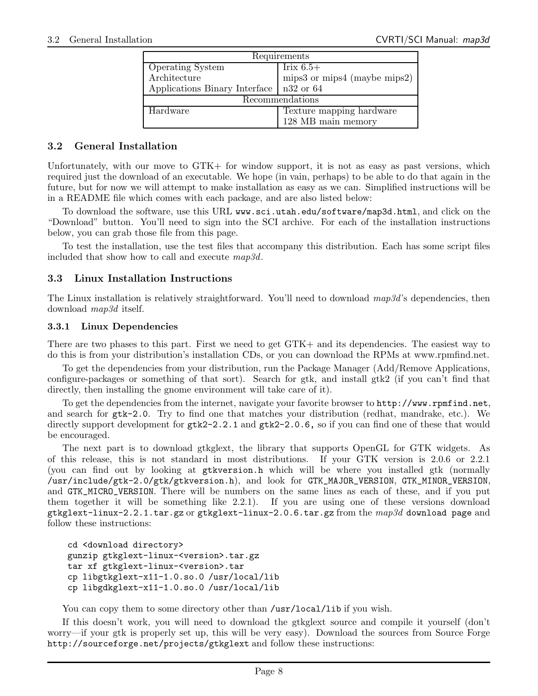| Requirements                  |                              |  |
|-------------------------------|------------------------------|--|
| <b>Operating System</b>       | Irix $6.5+$                  |  |
| Architecture                  | mips3 or mips4 (maybe mips2) |  |
| Applications Binary Interface | n32 or 64                    |  |
| Recommendations               |                              |  |
| Hardware                      | Texture mapping hardware     |  |
|                               | 128 MB main memory           |  |

#### 3.2 General Installation

Unfortunately, with our move to GTK+ for window support, it is not as easy as past versions, which required just the download of an executable. We hope (in vain, perhaps) to be able to do that again in the future, but for now we will attempt to make installation as easy as we can. Simplified instructions will be in a README file which comes with each package, and are also listed below:

To download the software, use this URL www.sci.utah.edu/software/map3d.html, and click on the "Download" button. You'll need to sign into the SCI archive. For each of the installation instructions below, you can grab those file from this page.

To test the installation, use the test files that accompany this distribution. Each has some script files included that show how to call and execute map3d.

#### 3.3 Linux Installation Instructions

The Linux installation is relatively straightforward. You'll need to download  $map3d$ 's dependencies, then download map3d itself.

#### 3.3.1 Linux Dependencies

There are two phases to this part. First we need to get GTK+ and its dependencies. The easiest way to do this is from your distribution's installation CDs, or you can download the RPMs at www.rpmfind.net.

To get the dependencies from your distribution, run the Package Manager (Add/Remove Applications, configure-packages or something of that sort). Search for gtk, and install gtk2 (if you can't find that directly, then installing the gnome environment will take care of it).

To get the dependencies from the internet, navigate your favorite browser to http://www.rpmfind.net, and search for gtk-2.0. Try to find one that matches your distribution (redhat, mandrake, etc.). We directly support development for  $gtk2-2.2.1$  and  $gtk2-2.0.6$ , so if you can find one of these that would be encouraged.

The next part is to download gtkglext, the library that supports OpenGL for GTK widgets. As of this release, this is not standard in most distributions. If your GTK version is 2.0.6 or 2.2.1 (you can find out by looking at gtkversion.h which will be where you installed gtk (normally /usr/include/gtk-2.0/gtk/gtkversion.h), and look for GTK\_MAJOR\_VERSION, GTK\_MINOR\_VERSION, and GTK\_MICRO\_VERSION. There will be numbers on the same lines as each of these, and if you put them together it will be something like 2.2.1). If you are using one of these versions download gtkglext-linux-2.2.1.tar.gz or gtkglext-linux-2.0.6.tar.gz from the map3d download page and follow these instructions:

```
cd <download directory>
gunzip gtkglext-linux-<version>.tar.gz
tar xf gtkglext-linux-<version>.tar
cp libgtkglext-x11-1.0.so.0 /usr/local/lib
cp libgdkglext-x11-1.0.so.0 /usr/local/lib
```
You can copy them to some directory other than /usr/local/lib if you wish.

If this doesn't work, you will need to download the gtkglext source and compile it yourself (don't worry—if your gtk is properly set up, this will be very easy). Download the sources from Source Forge http://sourceforge.net/projects/gtkglext and follow these instructions: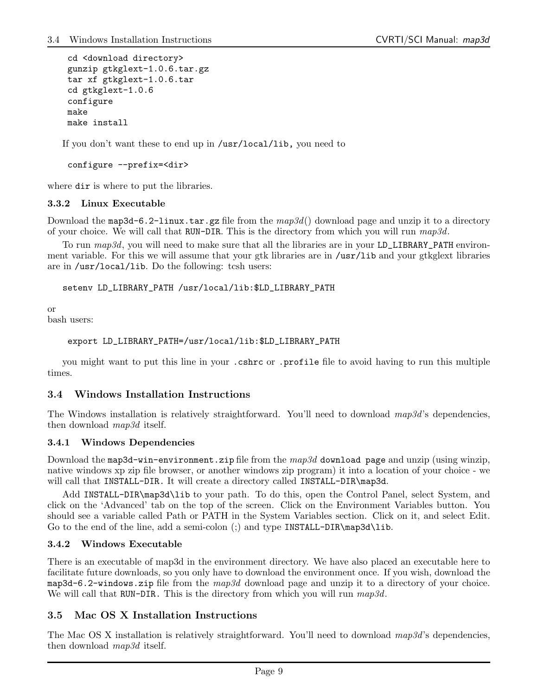```
cd <download directory>
gunzip gtkglext-1.0.6.tar.gz
tar xf gtkglext-1.0.6.tar
cd gtkglext-1.0.6
configure
make
make install
```
If you don't want these to end up in /usr/local/lib, you need to

configure --prefix=<dir>

where dir is where to put the libraries.

#### 3.3.2 Linux Executable

Download the map3d-6.2-linux.tar.gz file from the  $map3d()$  download page and unzip it to a directory of your choice. We will call that RUN-DIR. This is the directory from which you will run  $map3d$ .

To run map3d, you will need to make sure that all the libraries are in your LD\_LIBRARY\_PATH environment variable. For this we will assume that your gtk libraries are in /usr/lib and your gtkglext libraries are in /usr/local/lib. Do the following: tcsh users:

setenv LD\_LIBRARY\_PATH /usr/local/lib:\$LD\_LIBRARY\_PATH

or

bash users:

```
export LD_LIBRARY_PATH=/usr/local/lib:$LD_LIBRARY_PATH
```
you might want to put this line in your .cshrc or .profile file to avoid having to run this multiple times.

#### 3.4 Windows Installation Instructions

The Windows installation is relatively straightforward. You'll need to download map3d's dependencies, then download map3d itself.

#### 3.4.1 Windows Dependencies

Download the map3d-win-environment.zip file from the  $map3d$  download page and unzip (using winzip, native windows xp zip file browser, or another windows zip program) it into a location of your choice - we will call that INSTALL-DIR. It will create a directory called INSTALL-DIR\map3d.

Add INSTALL-DIR\map3d\lib to your path. To do this, open the Control Panel, select System, and click on the 'Advanced' tab on the top of the screen. Click on the Environment Variables button. You should see a variable called Path or PATH in the System Variables section. Click on it, and select Edit. Go to the end of the line, add a semi-colon (;) and type INSTALL-DIR\map3d\lib.

#### 3.4.2 Windows Executable

There is an executable of map3d in the environment directory. We have also placed an executable here to facilitate future downloads, so you only have to download the environment once. If you wish, download the map3d-6.2-windows.zip file from the  $map3d$  download page and unzip it to a directory of your choice. We will call that RUN-DIR. This is the directory from which you will run  $map3d$ .

## 3.5 Mac OS X Installation Instructions

The Mac OS X installation is relatively straightforward. You'll need to download map3d's dependencies, then download map3d itself.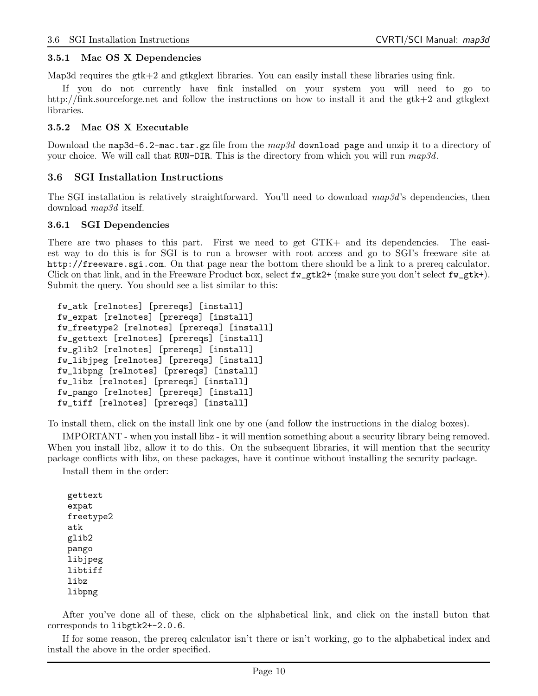#### 3.5.1 Mac OS X Dependencies

Map3d requires the gtk+2 and gtkglext libraries. You can easily install these libraries using fink.

If you do not currently have fink installed on your system you will need to go to http://fink.sourceforge.net and follow the instructions on how to install it and the gtk+2 and gtkglext libraries.

#### 3.5.2 Mac OS X Executable

Download the map3d-6.2-mac.tar.gz file from the  $map3d$  download page and unzip it to a directory of your choice. We will call that RUN-DIR. This is the directory from which you will run  $map3d$ .

#### 3.6 SGI Installation Instructions

The SGI installation is relatively straightforward. You'll need to download map3d's dependencies, then download map3d itself.

#### 3.6.1 SGI Dependencies

There are two phases to this part. First we need to get GTK+ and its dependencies. The easiest way to do this is for SGI is to run a browser with root access and go to SGI's freeware site at http://freeware.sgi.com. On that page near the bottom there should be a link to a prereq calculator. Click on that link, and in the Freeware Product box, select  $fw_gtk2+$  (make sure you don't select  $fw_gtk+$ ). Submit the query. You should see a list similar to this:

```
fw_atk [relnotes] [prereqs] [install]
fw_expat [relnotes] [prereqs] [install]
fw_freetype2 [relnotes] [prereqs] [install]
fw_gettext [relnotes] [prereqs] [install]
fw_glib2 [relnotes] [prereqs] [install]
fw_libjpeg [relnotes] [prereqs] [install]
fw_libpng [relnotes] [prereqs] [install]
fw_libz [relnotes] [prereqs] [install]
fw_pango [relnotes] [prereqs] [install]
fw_tiff [relnotes] [prereqs] [install]
```
To install them, click on the install link one by one (and follow the instructions in the dialog boxes).

IMPORTANT - when you install libz - it will mention something about a security library being removed. When you install libz, allow it to do this. On the subsequent libraries, it will mention that the security package conflicts with libz, on these packages, have it continue without installing the security package.

Install them in the order:

```
gettext
expat
freetype2
atk
glib2
pango
libjpeg
libtiff
libz
libpng
```
After you've done all of these, click on the alphabetical link, and click on the install buton that corresponds to libgtk2+-2.0.6.

If for some reason, the prereq calculator isn't there or isn't working, go to the alphabetical index and install the above in the order specified.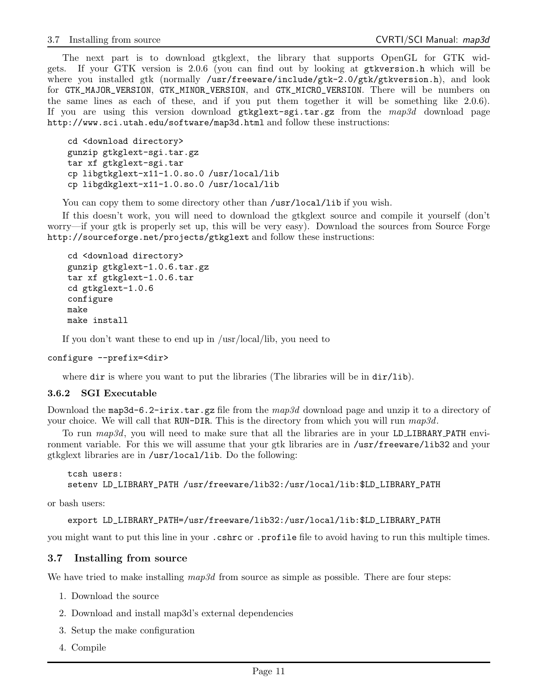The next part is to download gtkglext, the library that supports OpenGL for GTK widgets. If your GTK version is 2.0.6 (you can find out by looking at gtkversion.h which will be where you installed gtk (normally /usr/freeware/include/gtk-2.0/gtk/gtkversion.h), and look for GTK\_MAJOR\_VERSION, GTK\_MINOR\_VERSION, and GTK\_MICRO\_VERSION. There will be numbers on the same lines as each of these, and if you put them together it will be something like 2.0.6). If you are using this version download  $g$ tkglext-sgi.tar.gz from the  $map3d$  download page http://www.sci.utah.edu/software/map3d.html and follow these instructions:

```
cd <download directory>
gunzip gtkglext-sgi.tar.gz
tar xf gtkglext-sgi.tar
cp libgtkglext-x11-1.0.so.0 /usr/local/lib
cp libgdkglext-x11-1.0.so.0 /usr/local/lib
```
You can copy them to some directory other than /usr/local/lib if you wish.

If this doesn't work, you will need to download the gtkglext source and compile it yourself (don't worry—if your gtk is properly set up, this will be very easy). Download the sources from Source Forge http://sourceforge.net/projects/gtkglext and follow these instructions:

```
cd <download directory>
gunzip gtkglext-1.0.6.tar.gz
tar xf gtkglext-1.0.6.tar
cd gtkglext-1.0.6
configure
make
make install
```
If you don't want these to end up in /usr/local/lib, you need to

```
configure --prefix=<dir>
```
where dir is where you want to put the libraries (The libraries will be in dir/lib).

#### 3.6.2 SGI Executable

Download the map3d-6.2-irix.tar.gz file from the  $map3d$  download page and unzip it to a directory of your choice. We will call that RUN-DIR. This is the directory from which you will run  $map3d$ .

To run map3d, you will need to make sure that all the libraries are in your LDLIBRARY PATH environment variable. For this we will assume that your gtk libraries are in /usr/freeware/lib32 and your gtkglext libraries are in /usr/local/lib. Do the following:

```
tcsh users:
setenv LD_LIBRARY_PATH /usr/freeware/lib32:/usr/local/lib:$LD_LIBRARY_PATH
```
or bash users:

export LD\_LIBRARY\_PATH=/usr/freeware/lib32:/usr/local/lib:\$LD\_LIBRARY\_PATH

you might want to put this line in your .cshrc or .profile file to avoid having to run this multiple times.

#### 3.7 Installing from source

We have tried to make installing  $map3d$  from source as simple as possible. There are four steps:

- 1. Download the source
- 2. Download and install map3d's external dependencies
- 3. Setup the make configuration
- 4. Compile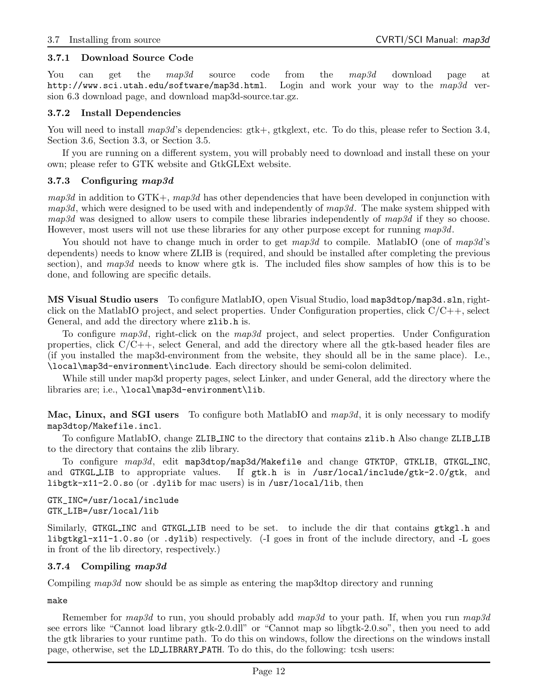#### 3.7.1 Download Source Code

You can get the map3d source code from the map3d download page at http://www.sci.utah.edu/software/map3d.html. Login and work your way to the map3d version 6.3 download page, and download map3d-source.tar.gz.

#### 3.7.2 Install Dependencies

You will need to install  $map3d$ 's dependencies: gtk+, gtkglext, etc. To do this, please refer to Section 3.4, Section 3.6, Section 3.3, or Section 3.5.

If you are running on a different system, you will probably need to download and install these on your own; please refer to GTK website and GtkGLExt website.

#### 3.7.3 Configuring map3d

 $map3d$  in addition to GTK+,  $map3d$  has other dependencies that have been developed in conjunction with  $map3d$ , which were designed to be used with and independently of  $map3d$ . The make system shipped with  $map3d$  was designed to allow users to compile these libraries independently of  $map3d$  if they so choose. However, most users will not use these libraries for any other purpose except for running  $map3d$ .

You should not have to change much in order to get  $map3d$  to compile. MatlabIO (one of  $map3d$ 's dependents) needs to know where ZLIB is (required, and should be installed after completing the previous section), and map3d needs to know where gtk is. The included files show samples of how this is to be done, and following are specific details.

MS Visual Studio users To configure MatlabIO, open Visual Studio, load map3dtop/map3d.sln, rightclick on the MatlabIO project, and select properties. Under Configuration properties, click  $C/C++$ , select General, and add the directory where zlib.h is.

To configure map3d, right-click on the map3d project, and select properties. Under Configuration properties, click  $C/C++$ , select General, and add the directory where all the gtk-based header files are (if you installed the map3d-environment from the website, they should all be in the same place). I.e., \local\map3d-environment\include. Each directory should be semi-colon delimited.

While still under map3d property pages, select Linker, and under General, add the directory where the libraries are; i.e., \local\map3d-environment\lib.

Mac, Linux, and SGI users To configure both MatlabIO and  $map3d$ , it is only necessary to modify map3dtop/Makefile.incl.

To configure MatlabIO, change ZLIB INC to the directory that contains zlib.h Also change ZLIB LIB to the directory that contains the zlib library.

To configure map3d, edit map3dtop/map3d/Makefile and change GTKTOP, GTKLIB, GTKGL\_INC, and GTKGLLIB to appropriate values. If  $gtk.h$  is in /usr/local/include/ $gtk-2.0/gtk$ , and libgtk-x11-2.0.so (or .dylib for mac users) is in /usr/local/lib, then

GTK\_INC=/usr/local/include GTK\_LIB=/usr/local/lib

Similarly, GTKGL\_INC and GTKGL\_LIB need to be set. to include the dir that contains  $g$ tkgl.h and libgtkgl-x11-1.0.so (or .dylib) respectively. (-I goes in front of the include directory, and -L goes in front of the lib directory, respectively.)

#### 3.7.4 Compiling map3d

Compiling map3d now should be as simple as entering the map3dtop directory and running

make

Remember for  $map3d$  to run, you should probably add  $map3d$  to your path. If, when you run  $map3d$ see errors like "Cannot load library gtk-2.0.dll" or "Cannot map so libgtk-2.0.so", then you need to add the gtk libraries to your runtime path. To do this on windows, follow the directions on the windows install page, otherwise, set the LD LIBRARY PATH. To do this, do the following: tcsh users: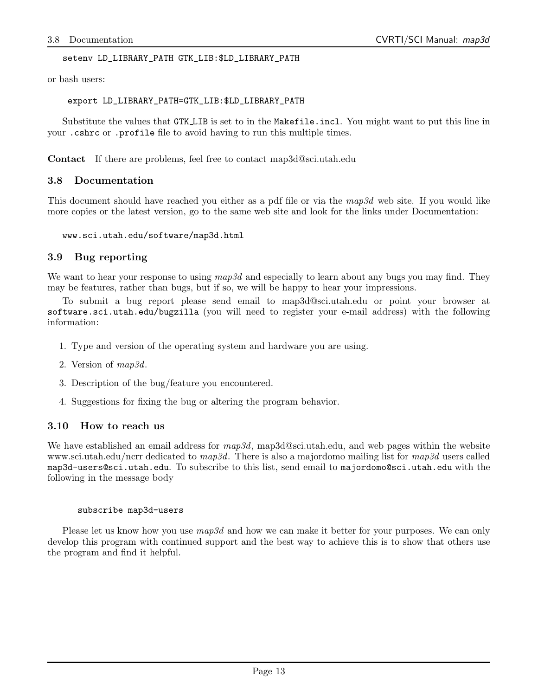setenv LD\_LIBRARY\_PATH GTK\_LIB:\$LD\_LIBRARY\_PATH

or bash users:

export LD\_LIBRARY\_PATH=GTK\_LIB:\$LD\_LIBRARY\_PATH

Substitute the values that GTK LIB is set to in the Makefile.incl. You might want to put this line in your .cshrc or .profile file to avoid having to run this multiple times.

Contact If there are problems, feel free to contact map3d@sci.utah.edu

### 3.8 Documentation

This document should have reached you either as a pdf file or via the map3d web site. If you would like more copies or the latest version, go to the same web site and look for the links under Documentation:

www.sci.utah.edu/software/map3d.html

#### 3.9 Bug reporting

We want to hear your response to using  $map3d$  and especially to learn about any bugs you may find. They may be features, rather than bugs, but if so, we will be happy to hear your impressions.

To submit a bug report please send email to map3d@sci.utah.edu or point your browser at software.sci.utah.edu/bugzilla (you will need to register your e-mail address) with the following information:

- 1. Type and version of the operating system and hardware you are using.
- 2. Version of map3d.
- 3. Description of the bug/feature you encountered.
- 4. Suggestions for fixing the bug or altering the program behavior.

#### 3.10 How to reach us

We have established an email address for  $map3d$ , map3d@sci.utah.edu, and web pages within the website www.sci.utah.edu/ncrr dedicated to map3d. There is also a majordomo mailing list for map3d users called map3d-users@sci.utah.edu. To subscribe to this list, send email to majordomo@sci.utah.edu with the following in the message body

#### subscribe map3d-users

Please let us know how you use  $map3d$  and how we can make it better for your purposes. We can only develop this program with continued support and the best way to achieve this is to show that others use the program and find it helpful.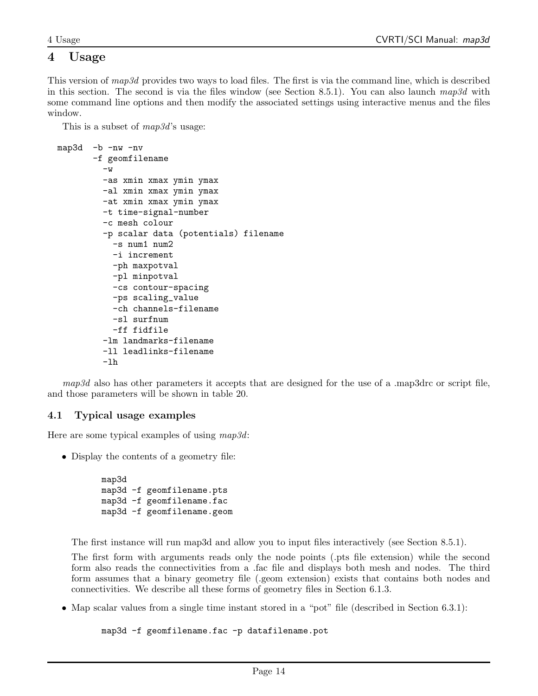## 4 Usage

This version of map3d provides two ways to load files. The first is via the command line, which is described in this section. The second is via the files window (see Section 8.5.1). You can also launch  $map3d$  with some command line options and then modify the associated settings using interactive menus and the files window.

This is a subset of  $map3d$ 's usage:

```
map3d -b -nw -nv
       -f geomfilename
         -w-as xmin xmax ymin ymax
         -al xmin xmax ymin ymax
         -at xmin xmax ymin ymax
         -t time-signal-number
         -c mesh colour
         -p scalar data (potentials) filename
           -s num1 num2
           -i increment
           -ph maxpotval
           -pl minpotval
           -cs contour-spacing
           -ps scaling_value
           -ch channels-filename
           -sl surfnum
           -ff fidfile
         -lm landmarks-filename
         -ll leadlinks-filename
         -lh
```
map3d also has other parameters it accepts that are designed for the use of a .map3drc or script file, and those parameters will be shown in table 20.

## 4.1 Typical usage examples

Here are some typical examples of using map3d:

• Display the contents of a geometry file:

```
map3d
map3d -f geomfilename.pts
map3d -f geomfilename.fac
map3d -f geomfilename.geom
```
The first instance will run map3d and allow you to input files interactively (see Section 8.5.1).

The first form with arguments reads only the node points (.pts file extension) while the second form also reads the connectivities from a .fac file and displays both mesh and nodes. The third form assumes that a binary geometry file (.geom extension) exists that contains both nodes and connectivities. We describe all these forms of geometry files in Section 6.1.3.

• Map scalar values from a single time instant stored in a "pot" file (described in Section 6.3.1):

map3d -f geomfilename.fac -p datafilename.pot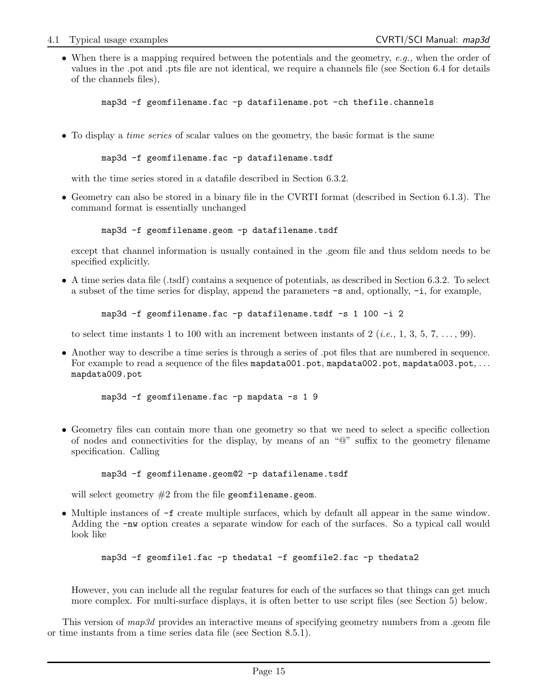• When there is a mapping required between the potentials and the geometry, e.g., when the order of values in the .pot and .pts file are not identical, we require a channels file (see Section 6.4 for details of the channels files),

map3d -f geomfilename.fac -p datafilename.pot -ch thefile.channels

• To display a *time series* of scalar values on the geometry, the basic format is the same

```
map3d -f geomfilename.fac -p datafilename.tsdf
```
with the time series stored in a datafile described in Section 6.3.2.

• Geometry can also be stored in a binary file in the CVRTI format (described in Section 6.1.3). The command format is essentially unchanged

map3d -f geomfilename.geom -p datafilename.tsdf

except that channel information is usually contained in the .geom file and thus seldom needs to be specified explicitly.

• A time series data file (.tsdf) contains a sequence of potentials, as described in Section 6.3.2. To select a subset of the time series for display, append the parameters -s and, optionally, -i, for example,

map3d -f geomfilename.fac -p datafilename.tsdf -s 1 100 -i 2

to select time instants 1 to 100 with an increment between instants of 2 (*i.e.*, 1, 3, 5, 7, ..., 99).

• Another way to describe a time series is through a series of .pot files that are numbered in sequence. For example to read a sequence of the files mapdata001.pot, mapdata002.pot, mapdata003.pot, ... mapdata009.pot

```
map3d -f geomfilename.fac -p mapdata -s 1 9
```
• Geometry files can contain more than one geometry so that we need to select a specific collection of nodes and connectivities for the display, by means of an "@" suffix to the geometry filename specification. Calling

```
map3d -f geomfilename.geom@2 -p datafilename.tsdf
```
will select geometry  $#2$  from the file geomfilename.geom.

• Multiple instances of -f create multiple surfaces, which by default all appear in the same window. Adding the -nw option creates a separate window for each of the surfaces. So a typical call would look like

```
map3d -f geomfile1.fac -p thedata1 -f geomfile2.fac -p thedata2
```
However, you can include all the regular features for each of the surfaces so that things can get much more complex. For multi-surface displays, it is often better to use script files (see Section 5) below.

This version of map3d provides an interactive means of specifying geometry numbers from a .geom file or time instants from a time series data file (see Section 8.5.1).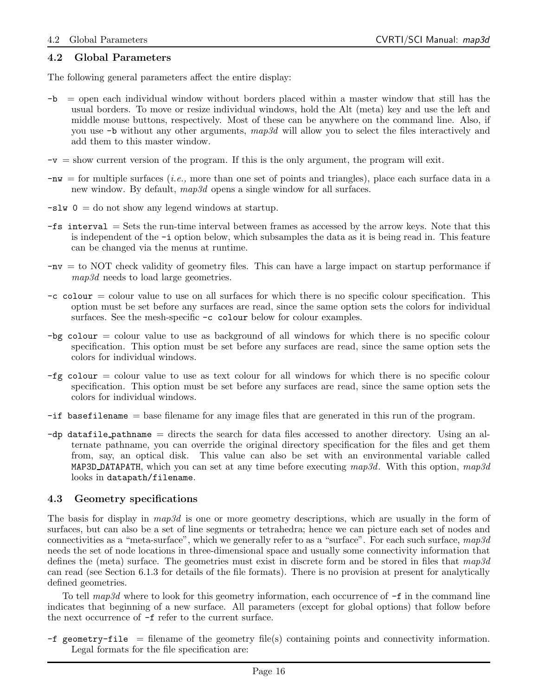## 4.2 Global Parameters

The following general parameters affect the entire display:

- -b = open each individual window without borders placed within a master window that still has the usual borders. To move or resize individual windows, hold the Alt (meta) key and use the left and middle mouse buttons, respectively. Most of these can be anywhere on the command line. Also, if you use  $-b$  without any other arguments, map3d will allow you to select the files interactively and add them to this master window.
- $-v =$  show current version of the program. If this is the only argument, the program will exit.
- $-w =$  for multiple surfaces (*i.e.*, more than one set of points and triangles), place each surface data in a new window. By default,  $map3d$  opens a single window for all surfaces.
- $-slw$  0 = do not show any legend windows at startup.
- -fs interval = Sets the run-time interval between frames as accessed by the arrow keys. Note that this is independent of the -i option below, which subsamples the data as it is being read in. This feature can be changed via the menus at runtime.
- -nv = to NOT check validity of geometry files. This can have a large impact on startup performance if map3d needs to load large geometries.
- $-c$  colour  $=$  colour value to use on all surfaces for which there is no specific colour specification. This option must be set before any surfaces are read, since the same option sets the colors for individual surfaces. See the mesh-specific  $-c$  colour below for colour examples.
- $-bg$  colour  $=$  colour value to use as background of all windows for which there is no specific colour specification. This option must be set before any surfaces are read, since the same option sets the colors for individual windows.
- $-fg$  colour = colour value to use as text colour for all windows for which there is no specific colour specification. This option must be set before any surfaces are read, since the same option sets the colors for individual windows.
- -if basefilename = base filename for any image files that are generated in this run of the program.
- -dp datafile pathname = directs the search for data files accessed to another directory. Using an alternate pathname, you can override the original directory specification for the files and get them from, say, an optical disk. This value can also be set with an environmental variable called MAP3D DATAPATH, which you can set at any time before executing  $map3d$ . With this option,  $map3d$ looks in datapath/filename.

#### 4.3 Geometry specifications

The basis for display in map3d is one or more geometry descriptions, which are usually in the form of surfaces, but can also be a set of line segments or tetrahedra; hence we can picture each set of nodes and connectivities as a "meta-surface", which we generally refer to as a "surface". For each such surface,  $map3d$ needs the set of node locations in three-dimensional space and usually some connectivity information that defines the (meta) surface. The geometries must exist in discrete form and be stored in files that  $map3d$ can read (see Section 6.1.3 for details of the file formats). There is no provision at present for analytically defined geometries.

To tell  $map3d$  where to look for this geometry information, each occurrence of  $-f$  in the command line indicates that beginning of a new surface. All parameters (except for global options) that follow before the next occurrence of -f refer to the current surface.

 $-f$  geometry-file = filename of the geometry file(s) containing points and connectivity information. Legal formats for the file specification are: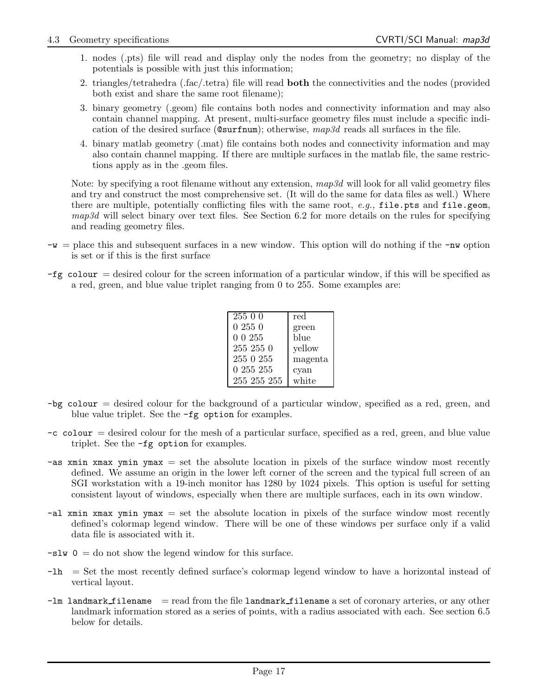- 1. nodes (.pts) file will read and display only the nodes from the geometry; no display of the potentials is possible with just this information;
- 2. triangles/tetrahedra (.fac/.tetra) file will read **both** the connectivities and the nodes (provided both exist and share the same root filename);
- 3. binary geometry (.geom) file contains both nodes and connectivity information and may also contain channel mapping. At present, multi-surface geometry files must include a specific indication of the desired surface ( $\text{Qsurfnum}$ ); otherwise,  $map3d$  reads all surfaces in the file.
- 4. binary matlab geometry (.mat) file contains both nodes and connectivity information and may also contain channel mapping. If there are multiple surfaces in the matlab file, the same restrictions apply as in the .geom files.

Note: by specifying a root filename without any extension,  $map3d$  will look for all valid geometry files and try and construct the most comprehensive set. (It will do the same for data files as well.) Where there are multiple, potentially conflicting files with the same root,  $e.q.,$  file.pts and file.geom,  $map3d$  will select binary over text files. See Section 6.2 for more details on the rules for specifying and reading geometry files.

- $-w =$  place this and subsequent surfaces in a new window. This option will do nothing if the  $-w$  option is set or if this is the first surface
- $-fg$  colour = desired colour for the screen information of a particular window, if this will be specified as a red, green, and blue value triplet ranging from 0 to 255. Some examples are:

| 255 0 0     | red     |
|-------------|---------|
| 02550       | green   |
| 0 0 255     | blue    |
| 255 255 0   | yellow  |
| 255 0 255   | magenta |
| 0 255 255   | cyan    |
| 255 255 255 | white   |

- -bg colour = desired colour for the background of a particular window, specified as a red, green, and blue value triplet. See the -fg option for examples.
- $-c$  colour  $=$  desired colour for the mesh of a particular surface, specified as a red, green, and blue value triplet. See the -fg option for examples.
- $-\text{as xmin xmax ymin ymax}$  = set the absolute location in pixels of the surface window most recently defined. We assume an origin in the lower left corner of the screen and the typical full screen of an SGI workstation with a 19-inch monitor has 1280 by 1024 pixels. This option is useful for setting consistent layout of windows, especially when there are multiple surfaces, each in its own window.
- $-\text{al xmin xmax ymin ymax}$  = set the absolute location in pixels of the surface window most recently defined's colormap legend window. There will be one of these windows per surface only if a valid data file is associated with it.
- $-slw$  0 = do not show the legend window for this surface.
- -lh = Set the most recently defined surface's colormap legend window to have a horizontal instead of vertical layout.
- $-l$ m landmark filename = read from the file landmark filename a set of coronary arteries, or any other landmark information stored as a series of points, with a radius associated with each. See section 6.5 below for details.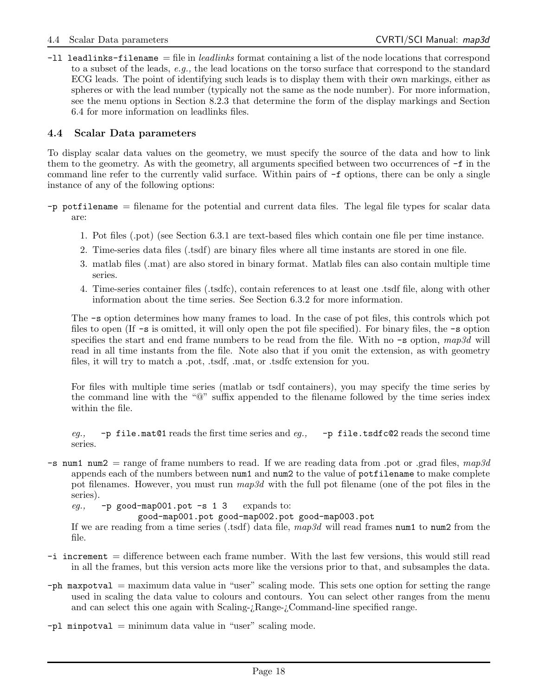$-11$  leadlinks-filename = file in *leadlinks* format containing a list of the node locations that correspond to a subset of the leads, e.g., the lead locations on the torso surface that correspond to the standard ECG leads. The point of identifying such leads is to display them with their own markings, either as spheres or with the lead number (typically not the same as the node number). For more information, see the menu options in Section 8.2.3 that determine the form of the display markings and Section 6.4 for more information on leadlinks files.

### 4.4 Scalar Data parameters

To display scalar data values on the geometry, we must specify the source of the data and how to link them to the geometry. As with the geometry, all arguments specified between two occurrences of -f in the command line refer to the currently valid surface. Within pairs of  $-f$  options, there can be only a single instance of any of the following options:

- -p potfilename = filename for the potential and current data files. The legal file types for scalar data are:
	- 1. Pot files (.pot) (see Section 6.3.1 are text-based files which contain one file per time instance.
	- 2. Time-series data files (.tsdf) are binary files where all time instants are stored in one file.
	- 3. matlab files (.mat) are also stored in binary format. Matlab files can also contain multiple time series.
	- 4. Time-series container files (.tsdfc), contain references to at least one .tsdf file, along with other information about the time series. See Section 6.3.2 for more information.

The -s option determines how many frames to load. In the case of pot files, this controls which pot files to open (If  $-\mathbf{s}$  is omitted, it will only open the pot file specified). For binary files, the  $-\mathbf{s}$  option specifies the start and end frame numbers to be read from the file. With no  $\text{-}s$  option, map3d will read in all time instants from the file. Note also that if you omit the extension, as with geometry files, it will try to match a .pot, .tsdf, .mat, or .tsdfc extension for you.

For files with multiple time series (matlab or tsdf containers), you may specify the time series by the command line with the "@" suffix appended to the filename followed by the time series index within the file.

eq., -p file.mat@1 reads the first time series and eq., -p file.tsdfc@2 reads the second time series.

 $-$ s num1 num2 = range of frame numbers to read. If we are reading data from .pot or .grad files, map3d appends each of the numbers between num1 and num2 to the value of potfilename to make complete pot filenames. However, you must run  $map3d$  with the full pot filename (one of the pot files in the series).

eg.,  $-p$  good-map001.pot -s 1 3 expands to:

good-map001.pot good-map002.pot good-map003.pot

If we are reading from a time series (.tsdf) data file,  $map3d$  will read frames num1 to num2 from the file.

- -i increment = difference between each frame number. With the last few versions, this would still read in all the frames, but this version acts more like the versions prior to that, and subsamples the data.
- -ph maxpotval = maximum data value in "user" scaling mode. This sets one option for setting the range used in scaling the data value to colours and contours. You can select other ranges from the menu and can select this one again with Scaling-¿Range-¿Command-line specified range.
- $-p1$  minpotval = minimum data value in "user" scaling mode.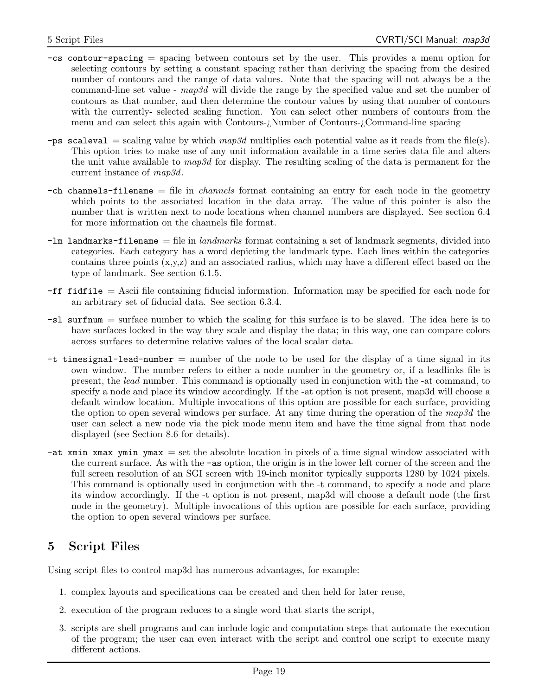- -cs contour-spacing = spacing between contours set by the user. This provides a menu option for selecting contours by setting a constant spacing rather than deriving the spacing from the desired number of contours and the range of data values. Note that the spacing will not always be a the command-line set value - map3d will divide the range by the specified value and set the number of contours as that number, and then determine the contour values by using that number of contours with the currently- selected scaling function. You can select other numbers of contours from the menu and can select this again with Contours-¿Number of Contours-¿Command-line spacing
- -ps scaleval = scaling value by which  $map3d$  multiplies each potential value as it reads from the file(s). This option tries to make use of any unit information available in a time series data file and alters the unit value available to  $map3d$  for display. The resulting scaling of the data is permanent for the current instance of map3d.
- $-\text{ch}$  channels-filename  $=\text{file}$  in *channels* format containing an entry for each node in the geometry which points to the associated location in the data array. The value of this pointer is also the number that is written next to node locations when channel numbers are displayed. See section 6.4 for more information on the channels file format.
- $-\mathsf{Im}$  landmarks-filename = file in landmarks format containing a set of landmark segments, divided into categories. Each category has a word depicting the landmark type. Each lines within the categories contains three points (x,y,z) and an associated radius, which may have a different effect based on the type of landmark. See section 6.1.5.
- -ff fidfile = Ascii file containing fiducial information. Information may be specified for each node for an arbitrary set of fiducial data. See section 6.3.4.
- -sl surfnum = surface number to which the scaling for this surface is to be slaved. The idea here is to have surfaces locked in the way they scale and display the data; in this way, one can compare colors across surfaces to determine relative values of the local scalar data.
- $-t$  timesignal-lead-number  $=$  number of the node to be used for the display of a time signal in its own window. The number refers to either a node number in the geometry or, if a leadlinks file is present, the lead number. This command is optionally used in conjunction with the -at command, to specify a node and place its window accordingly. If the -at option is not present, map3d will choose a default window location. Multiple invocations of this option are possible for each surface, providing the option to open several windows per surface. At any time during the operation of the  $map3d$  the user can select a new node via the pick mode menu item and have the time signal from that node displayed (see Section 8.6 for details).
- $-\text{at } x$  xmin xmax ymin ymax = set the absolute location in pixels of a time signal window associated with the current surface. As with the -as option, the origin is in the lower left corner of the screen and the full screen resolution of an SGI screen with 19-inch monitor typically supports 1280 by 1024 pixels. This command is optionally used in conjunction with the -t command, to specify a node and place its window accordingly. If the -t option is not present, map3d will choose a default node (the first node in the geometry). Multiple invocations of this option are possible for each surface, providing the option to open several windows per surface.

## 5 Script Files

Using script files to control map3d has numerous advantages, for example:

- 1. complex layouts and specifications can be created and then held for later reuse,
- 2. execution of the program reduces to a single word that starts the script,
- 3. scripts are shell programs and can include logic and computation steps that automate the execution of the program; the user can even interact with the script and control one script to execute many different actions.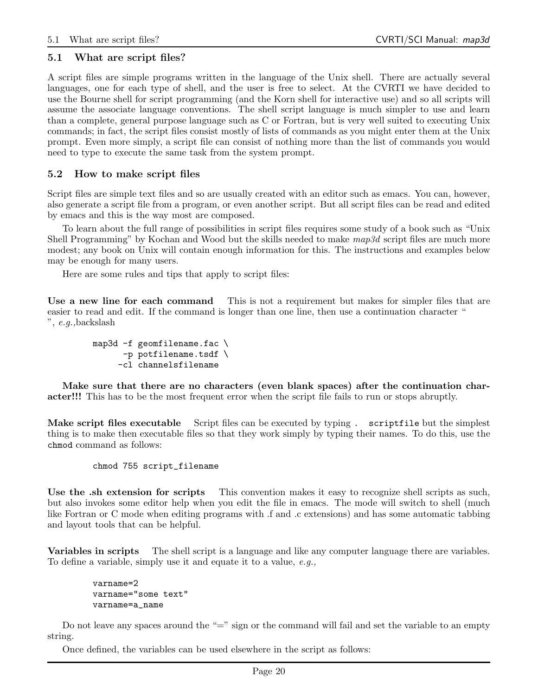### 5.1 What are script files?

A script files are simple programs written in the language of the Unix shell. There are actually several languages, one for each type of shell, and the user is free to select. At the CVRTI we have decided to use the Bourne shell for script programming (and the Korn shell for interactive use) and so all scripts will assume the associate language conventions. The shell script language is much simpler to use and learn than a complete, general purpose language such as C or Fortran, but is very well suited to executing Unix commands; in fact, the script files consist mostly of lists of commands as you might enter them at the Unix prompt. Even more simply, a script file can consist of nothing more than the list of commands you would need to type to execute the same task from the system prompt.

### 5.2 How to make script files

Script files are simple text files and so are usually created with an editor such as emacs. You can, however, also generate a script file from a program, or even another script. But all script files can be read and edited by emacs and this is the way most are composed.

To learn about the full range of possibilities in script files requires some study of a book such as "Unix Shell Programming" by Kochan and Wood but the skills needed to make  $map3d$  script files are much more modest; any book on Unix will contain enough information for this. The instructions and examples below may be enough for many users.

Here are some rules and tips that apply to script files:

Use a new line for each command This is not a requirement but makes for simpler files that are easier to read and edit. If the command is longer than one line, then use a continuation character " ", e.g.,backslash

```
map3d -f geomfilename.fac \
      -p potfilename.tsdf \
     -cl channelsfilename
```
Make sure that there are no characters (even blank spaces) after the continuation character!!! This has to be the most frequent error when the script file fails to run or stops abruptly.

Make script files executable Script files can be executed by typing . scriptfile but the simplest thing is to make then executable files so that they work simply by typing their names. To do this, use the chmod command as follows:

```
chmod 755 script_filename
```
Use the .sh extension for scripts This convention makes it easy to recognize shell scripts as such, but also invokes some editor help when you edit the file in emacs. The mode will switch to shell (much like Fortran or C mode when editing programs with .f and .c extensions) and has some automatic tabbing and layout tools that can be helpful.

Variables in scripts The shell script is a language and like any computer language there are variables. To define a variable, simply use it and equate it to a value, e.g.,

```
varname=2
varname="some text"
varname=a_name
```
Do not leave any spaces around the " $\equiv$ " sign or the command will fail and set the variable to an empty string.

Once defined, the variables can be used elsewhere in the script as follows: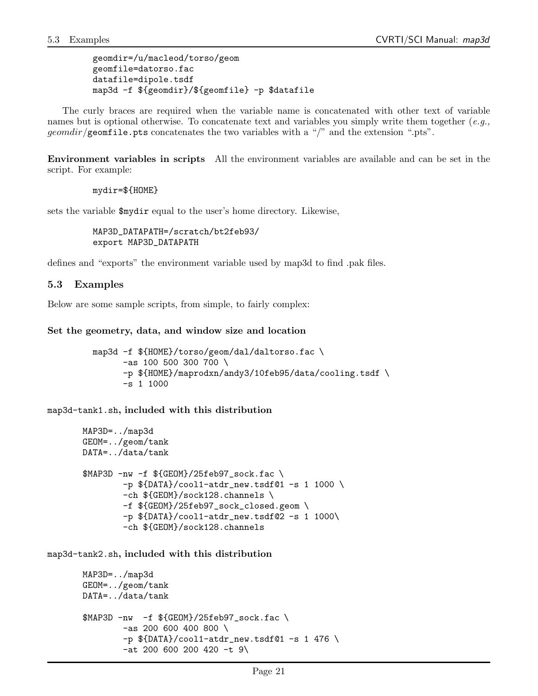```
geomdir=/u/macleod/torso/geom
geomfile=datorso.fac
datafile=dipole.tsdf
map3d -f ${geomdir}/${geomfile} -p $datafile
```
The curly braces are required when the variable name is concatenated with other text of variable names but is optional otherwise. To concatenate text and variables you simply write them together  $(e.g.,)$  $geomdir/g$  comfile.pts concatenates the two variables with a "/" and the extension ".pts".

Environment variables in scripts All the environment variables are available and can be set in the script. For example:

mydir=\${HOME}

sets the variable \$mydir equal to the user's home directory. Likewise,

MAP3D\_DATAPATH=/scratch/bt2feb93/ export MAP3D\_DATAPATH

defines and "exports" the environment variable used by map3d to find .pak files.

### 5.3 Examples

Below are some sample scripts, from simple, to fairly complex:

```
Set the geometry, data, and window size and location
```

```
map3d -f ${HOME}/torso/geom/dal/daltorso.fac \
      -as 100 500 300 700 \
      -p ${HOME}/maprodxn/andy3/10feb95/data/cooling.tsdf \
      -s 1 1000
```
map3d-tank1.sh, included with this distribution

```
MAP3D=../map3d
GEOM=../geom/tank
DATA=../data/tank
$MAP3D -nw -f ${GEDM}/25feb97 sock.fac \
        -p ${DATA}/cool1-atdr_new.tsdf@1 -s 1 1000 \
        -ch ${GEOM}/sock128.channels \
        -f ${GEOM}/25feb97_sock_closed.geom \
        -p ${DATA}/cool1-atdr_new.tsdf@2 -s 1 1000\
        -ch ${GEOM}/sock128.channels
```
map3d-tank2.sh, included with this distribution

```
MAP3D=../map3d
GEOM=../geom/tank
DATA=../data/tank
$MAP3D -nw -f ${GEDM}/25feb97 sock.fac \
        -as 200 600 400 800 \
        -p ${DATA}/cool1-atdr_new.tsdf@1 -s 1 476 \
        -at 200 600 200 420 -t 9\
```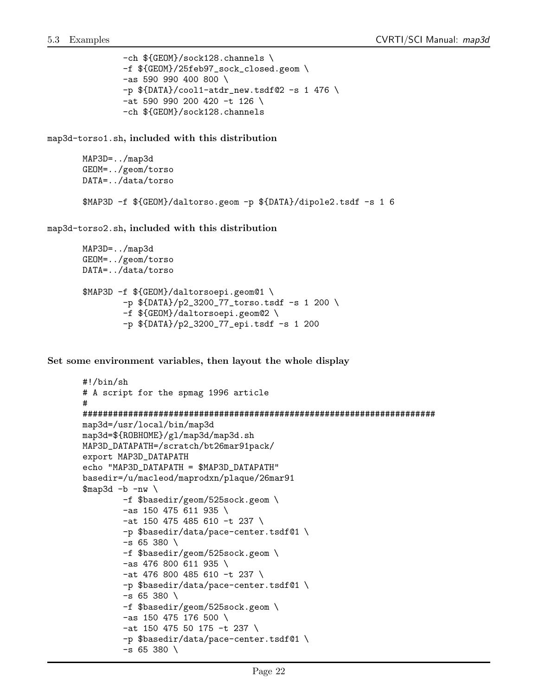-ch \${GEOM}/sock128.channels \ -f \${GEOM}/25feb97\_sock\_closed.geom \ -as 590 990 400 800 \  $-p$  \${DATA}/cool1-atdr\_new.tsdf@2 -s 1 476 \ -at 590 990 200 420 -t 126 \ -ch \${GEOM}/sock128.channels

map3d-torso1.sh, included with this distribution

```
MAP3D=../map3d
GEOM=../geom/torso
DATA=../data/torso
$MAP3D -f ${GEOM}/daltorso.geom -p ${DATA}/dipole2.tsdf -s 1 6
```
map3d-torso2.sh, included with this distribution

```
MAP3D=../map3d
GEOM=../geom/torso
DATA=../data/torso
$MAP3D -f ${GEOM}/daltorsoepi.geom@1 \
        -p ${DATA}/p2_3200_77_torso.tsdf -s 1 200 \
        -f ${GEOM}/daltorsoepi.geom@2 \
        -p ${DATA}/p2_3200_77_epi.tsdf -s 1 200
```
Set some environment variables, then layout the whole display

```
#!/bin/sh
# A script for the spmag 1996 article
#
######################################################################
map3d=/usr/local/bin/map3d
map3d=${ROBHOME}/gl/map3d/map3d.sh
MAP3D_DATAPATH=/scratch/bt26mar91pack/
export MAP3D_DATAPATH
echo "MAP3D_DATAPATH = $MAP3D_DATAPATH"
basedir=/u/macleod/maprodxn/plaque/26mar91
\frac{m}{2}ap3d -b -nw
        -f $basedir/geom/525sock.geom \
        -as 150 475 611 935 \
        -at 150 475 485 610 -t 237 \
        -p $basedir/data/pace-center.tsdf@1 \
        -s 65 380 \
        -f $basedir/geom/525sock.geom \
        -as 476 800 611 935 \
        -at 476 800 485 610 -t 237 \
        -p $basedir/data/pace-center.tsdf@1 \
        -s 65 380 \
        -f $basedir/geom/525sock.geom \
        -as 150 475 176 500 \
        -at 150 475 50 175 -t 237 \
        -p $basedir/data/pace-center.tsdf@1 \
        - s 65 380 \ \{
```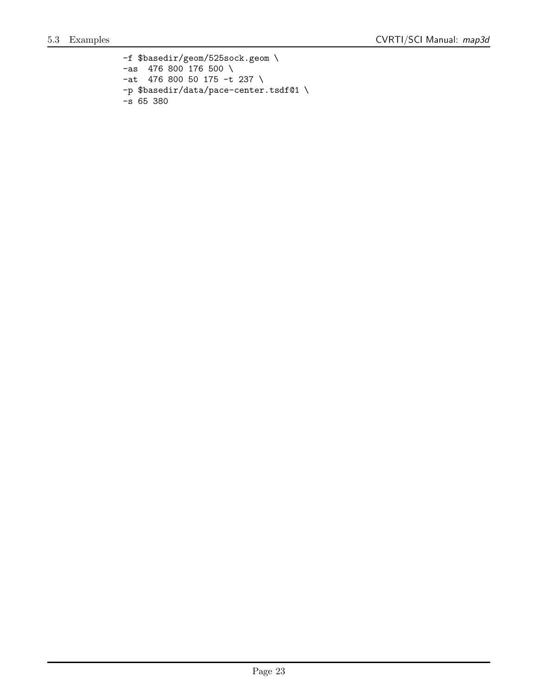-f \$basedir/geom/525sock.geom \  $-$ as 476 800 176 500 \ -at 476 800 50 175 -t 237 \ -p \$basedir/data/pace-center.tsdf@1 \ -s 65 380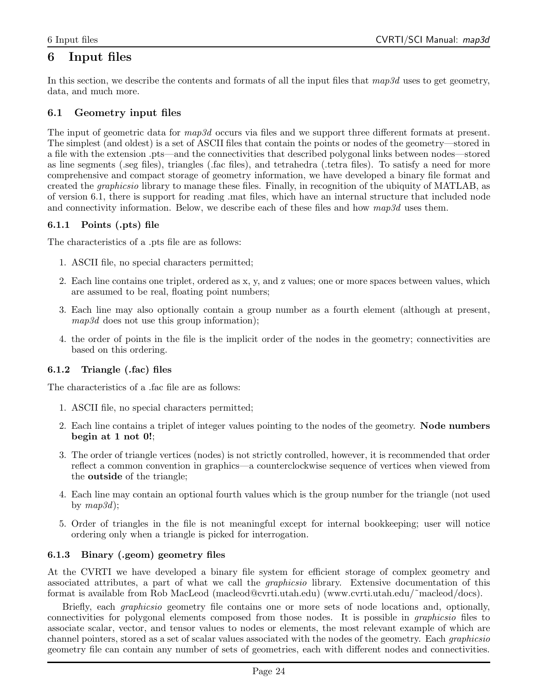## 6 Input files

In this section, we describe the contents and formats of all the input files that  $map3d$  uses to get geometry, data, and much more.

## 6.1 Geometry input files

The input of geometric data for map3d occurs via files and we support three different formats at present. The simplest (and oldest) is a set of ASCII files that contain the points or nodes of the geometry—stored in a file with the extension .pts—and the connectivities that described polygonal links between nodes—stored as line segments (.seg files), triangles (.fac files), and tetrahedra (.tetra files). To satisfy a need for more comprehensive and compact storage of geometry information, we have developed a binary file format and created the graphicsio library to manage these files. Finally, in recognition of the ubiquity of MATLAB, as of version 6.1, there is support for reading .mat files, which have an internal structure that included node and connectivity information. Below, we describe each of these files and how  $map3d$  uses them.

## 6.1.1 Points (.pts) file

The characteristics of a .pts file are as follows:

- 1. ASCII file, no special characters permitted;
- 2. Each line contains one triplet, ordered as x, y, and z values; one or more spaces between values, which are assumed to be real, floating point numbers;
- 3. Each line may also optionally contain a group number as a fourth element (although at present, map3d does not use this group information);
- 4. the order of points in the file is the implicit order of the nodes in the geometry; connectivities are based on this ordering.

## 6.1.2 Triangle (.fac) files

The characteristics of a .fac file are as follows:

- 1. ASCII file, no special characters permitted;
- 2. Each line contains a triplet of integer values pointing to the nodes of the geometry. **Node numbers** begin at 1 not 0!;
- 3. The order of triangle vertices (nodes) is not strictly controlled, however, it is recommended that order reflect a common convention in graphics—a counterclockwise sequence of vertices when viewed from the outside of the triangle;
- 4. Each line may contain an optional fourth values which is the group number for the triangle (not used by  $map3d$ :
- 5. Order of triangles in the file is not meaningful except for internal bookkeeping; user will notice ordering only when a triangle is picked for interrogation.

#### 6.1.3 Binary (.geom) geometry files

At the CVRTI we have developed a binary file system for efficient storage of complex geometry and associated attributes, a part of what we call the graphicsio library. Extensive documentation of this format is available from Rob MacLeod (macleod@cvrti.utah.edu) (www.cvrti.utah.edu/˜macleod/docs).

Briefly, each graphicsio geometry file contains one or more sets of node locations and, optionally, connectivities for polygonal elements composed from those nodes. It is possible in graphicsio files to associate scalar, vector, and tensor values to nodes or elements, the most relevant example of which are channel pointers, stored as a set of scalar values associated with the nodes of the geometry. Each graphicsio geometry file can contain any number of sets of geometries, each with different nodes and connectivities.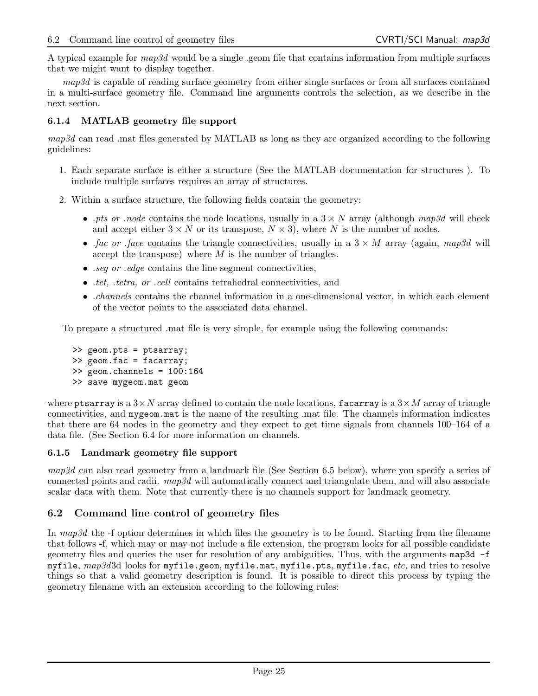A typical example for  $map3d$  would be a single .geom file that contains information from multiple surfaces that we might want to display together.

map3d is capable of reading surface geometry from either single surfaces or from all surfaces contained in a multi-surface geometry file. Command line arguments controls the selection, as we describe in the next section.

### 6.1.4 MATLAB geometry file support

map3d can read .mat files generated by MATLAB as long as they are organized according to the following guidelines:

- 1. Each separate surface is either a structure (See the MATLAB documentation for structures ). To include multiple surfaces requires an array of structures.
- 2. Within a surface structure, the following fields contain the geometry:
	- .pts or .node contains the node locations, usually in a  $3 \times N$  array (although map3d will check and accept either  $3 \times N$  or its transpose,  $N \times 3$ ), where N is the number of nodes.
	- .fac or .face contains the triangle connectivities, usually in a  $3 \times M$  array (again, map3d will accept the transpose) where  $M$  is the number of triangles.
	- *seq or edge* contains the line segment connectivities,
	- .tet, .tetra, or .cell contains tetrahedral connectivities, and
	- *channels* contains the channel information in a one-dimensional vector, in which each element of the vector points to the associated data channel.

To prepare a structured .mat file is very simple, for example using the following commands:

>> geom.pts = ptsarray; >> geom.fac = facarray; >> geom.channels = 100:164 >> save mygeom.mat geom

where ptsarray is a  $3 \times N$  array defined to contain the node locations, facarray is a  $3 \times M$  array of triangle connectivities, and mygeom.mat is the name of the resulting .mat file. The channels information indicates that there are 64 nodes in the geometry and they expect to get time signals from channels 100–164 of a data file. (See Section 6.4 for more information on channels.

#### 6.1.5 Landmark geometry file support

map3d can also read geometry from a landmark file (See Section 6.5 below), where you specify a series of connected points and radii. map3d will automatically connect and triangulate them, and will also associate scalar data with them. Note that currently there is no channels support for landmark geometry.

#### 6.2 Command line control of geometry files

In map3d the -f option determines in which files the geometry is to be found. Starting from the filename that follows -f, which may or may not include a file extension, the program looks for all possible candidate geometry files and queries the user for resolution of any ambiguities. Thus, with the arguments map3d -f myfile,  $map3d3d$  looks for myfile.geom, myfile.mat, myfile.pts, myfile.fac, etc, and tries to resolve things so that a valid geometry description is found. It is possible to direct this process by typing the geometry filename with an extension according to the following rules: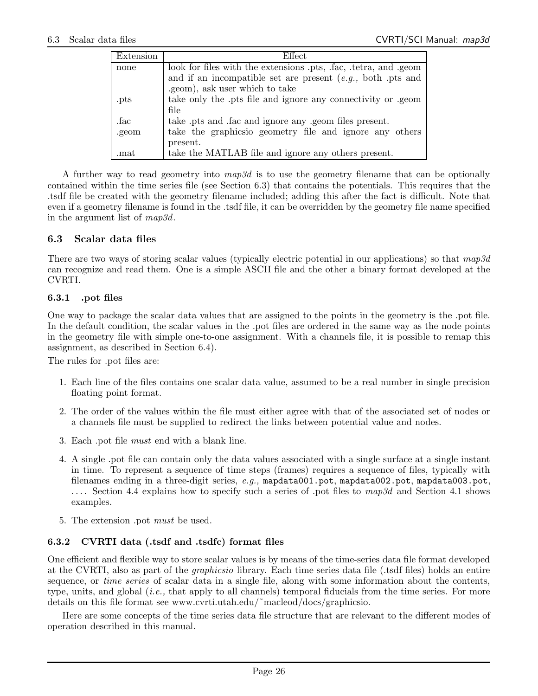| Extension | <b>Effect</b>                                                 |
|-----------|---------------------------------------------------------------|
| none      | look for files with the extensions pts, fac, tetra, and geom  |
|           | and if an incompatible set are present $(e.g., both.pts and)$ |
|           | .geom), ask user which to take                                |
| .pts      | take only the pts file and ignore any connectivity or geom    |
|           | file                                                          |
| .fac      | take .pts and .fac and ignore any .geom files present.        |
| .geom     | take the graphicsio geometry file and ignore any others       |
|           | present.                                                      |
| .mat      | take the MATLAB file and ignore any others present.           |

A further way to read geometry into  $map3d$  is to use the geometry filename that can be optionally contained within the time series file (see Section 6.3) that contains the potentials. This requires that the .tsdf file be created with the geometry filename included; adding this after the fact is difficult. Note that even if a geometry filename is found in the .tsdf file, it can be overridden by the geometry file name specified in the argument list of map3d.

### 6.3 Scalar data files

There are two ways of storing scalar values (typically electric potential in our applications) so that  $map3d$ can recognize and read them. One is a simple ASCII file and the other a binary format developed at the CVRTI.

### 6.3.1 .pot files

One way to package the scalar data values that are assigned to the points in the geometry is the .pot file. In the default condition, the scalar values in the .pot files are ordered in the same way as the node points in the geometry file with simple one-to-one assignment. With a channels file, it is possible to remap this assignment, as described in Section 6.4).

The rules for .pot files are:

- 1. Each line of the files contains one scalar data value, assumed to be a real number in single precision floating point format.
- 2. The order of the values within the file must either agree with that of the associated set of nodes or a channels file must be supplied to redirect the links between potential value and nodes.
- 3. Each .pot file must end with a blank line.
- 4. A single .pot file can contain only the data values associated with a single surface at a single instant in time. To represent a sequence of time steps (frames) requires a sequence of files, typically with filenames ending in a three-digit series,  $e.g.,$  mapdata001.pot, mapdata002.pot, mapdata003.pot, .... Section 4.4 explains how to specify such a series of pot files to  $map3d$  and Section 4.1 shows examples.
- 5. The extension .pot must be used.

## 6.3.2 CVRTI data (.tsdf and .tsdfc) format files

One efficient and flexible way to store scalar values is by means of the time-series data file format developed at the CVRTI, also as part of the graphicsio library. Each time series data file (.tsdf files) holds an entire sequence, or *time series* of scalar data in a single file, along with some information about the contents, type, units, and global (i.e., that apply to all channels) temporal fiducials from the time series. For more details on this file format see www.cvrti.utah.edu/˜macleod/docs/graphicsio.

Here are some concepts of the time series data file structure that are relevant to the different modes of operation described in this manual.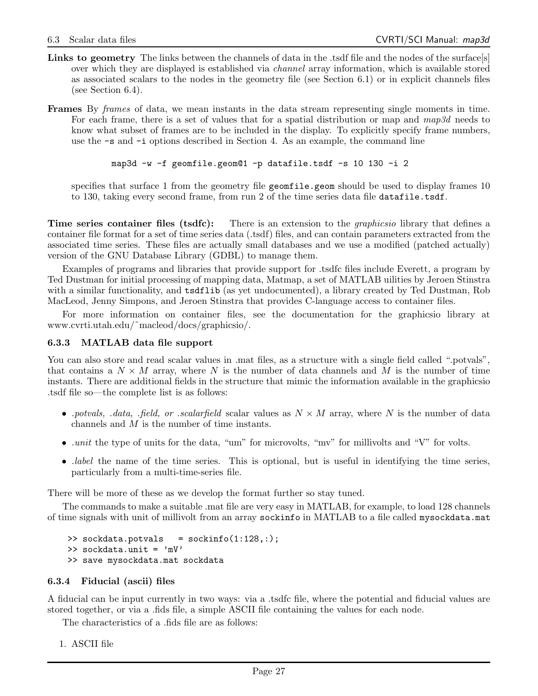- Links to geometry The links between the channels of data in the .tsdf file and the nodes of the surface[s] over which they are displayed is established via channel array information, which is available stored as associated scalars to the nodes in the geometry file (see Section 6.1) or in explicit channels files (see Section 6.4).
- Frames By frames of data, we mean instants in the data stream representing single moments in time. For each frame, there is a set of values that for a spatial distribution or map and  $map3d$  needs to know what subset of frames are to be included in the display. To explicitly specify frame numbers, use the -s and -i options described in Section 4. As an example, the command line

```
map3d -w -f geomfile.geom@1 -p datafile.tsdf -s 10 130 -i 2
```
specifies that surface 1 from the geometry file geometrie.geom should be used to display frames 10 to 130, taking every second frame, from run 2 of the time series data file datafile.tsdf.

**Time series container files (tsdfc):** There is an extension to the *graphicsio* library that defines a container file format for a set of time series data (.tsdf) files, and can contain parameters extracted from the associated time series. These files are actually small databases and we use a modified (patched actually) version of the GNU Database Library (GDBL) to manage them.

Examples of programs and libraries that provide support for .tsdfc files include Everett, a program by Ted Dustman for initial processing of mapping data, Matmap, a set of MATLAB uilities by Jeroen Stinstra with a similar functionality, and tsdflib (as yet undocumented), a library created by Ted Dustman, Rob MacLeod, Jenny Simpons, and Jeroen Stinstra that provides C-language access to container files.

For more information on container files, see the documentation for the graphicsio library at www.cvrti.utah.edu/˜macleod/docs/graphicsio/.

#### 6.3.3 MATLAB data file support

You can also store and read scalar values in .mat files, as a structure with a single field called ".potvals", that contains a  $N \times M$  array, where N is the number of data channels and M is the number of time instants. There are additional fields in the structure that mimic the information available in the graphicsio .tsdf file so—the complete list is as follows:

- .potvals, .data, .field, or .scalarfield scalar values as  $N \times M$  array, where N is the number of data channels and M is the number of time instants.
- *unit* the type of units for the data, "um" for microvolts, "mv" for millivolts and "V" for volts.
- *label* the name of the time series. This is optional, but is useful in identifying the time series, particularly from a multi-time-series file.

There will be more of these as we develop the format further so stay tuned.

The commands to make a suitable .mat file are very easy in MATLAB, for example, to load 128 channels of time signals with unit of millivolt from an array sockinfo in MATLAB to a file called mysockdata.mat

```
>> sockdata.potvals = sockinfo(1:128,:);
>> sockdata.unit = 'mV'
>> save mysockdata.mat sockdata
```
#### 6.3.4 Fiducial (ascii) files

A fiducial can be input currently in two ways: via a .tsdfc file, where the potential and fiducial values are stored together, or via a .fids file, a simple ASCII file containing the values for each node.

The characteristics of a .fids file are as follows:

1. ASCII file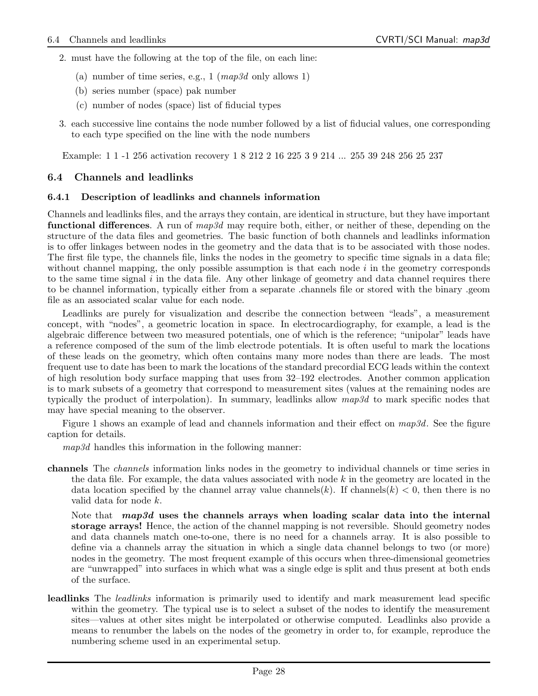- 2. must have the following at the top of the file, on each line:
	- (a) number of time series, e.g., 1 ( $map3d$  only allows 1)
	- (b) series number (space) pak number
	- (c) number of nodes (space) list of fiducial types
- 3. each successive line contains the node number followed by a list of fiducial values, one corresponding to each type specified on the line with the node numbers

Example: 1 1 -1 256 activation recovery 1 8 212 2 16 225 3 9 214 ... 255 39 248 256 25 237

## 6.4 Channels and leadlinks

### 6.4.1 Description of leadlinks and channels information

Channels and leadlinks files, and the arrays they contain, are identical in structure, but they have important **functional differences**. A run of  $map3d$  may require both, either, or neither of these, depending on the structure of the data files and geometries. The basic function of both channels and leadlinks information is to offer linkages between nodes in the geometry and the data that is to be associated with those nodes. The first file type, the channels file, links the nodes in the geometry to specific time signals in a data file; without channel mapping, the only possible assumption is that each node  $i$  in the geometry corresponds to the same time signal  $i$  in the data file. Any other linkage of geometry and data channel requires there to be channel information, typically either from a separate .channels file or stored with the binary .geom file as an associated scalar value for each node.

Leadlinks are purely for visualization and describe the connection between "leads", a measurement concept, with "nodes", a geometric location in space. In electrocardiography, for example, a lead is the algebraic difference between two measured potentials, one of which is the reference; "unipolar" leads have a reference composed of the sum of the limb electrode potentials. It is often useful to mark the locations of these leads on the geometry, which often contains many more nodes than there are leads. The most frequent use to date has been to mark the locations of the standard precordial ECG leads within the context of high resolution body surface mapping that uses from 32–192 electrodes. Another common application is to mark subsets of a geometry that correspond to measurement sites (values at the remaining nodes are typically the product of interpolation). In summary, leadlinks allow  $map3d$  to mark specific nodes that may have special meaning to the observer.

Figure 1 shows an example of lead and channels information and their effect on  $map3d$ . See the figure caption for details.

 $map3d$  handles this information in the following manner:

channels The channels information links nodes in the geometry to individual channels or time series in the data file. For example, the data values associated with node  $k$  in the geometry are located in the data location specified by the channel array value channels(k). If channels(k)  $< 0$ , then there is no valid data for node k.

Note that  $map3d$  uses the channels arrays when loading scalar data into the internal storage arrays! Hence, the action of the channel mapping is not reversible. Should geometry nodes and data channels match one-to-one, there is no need for a channels array. It is also possible to define via a channels array the situation in which a single data channel belongs to two (or more) nodes in the geometry. The most frequent example of this occurs when three-dimensional geometries are "unwrapped" into surfaces in which what was a single edge is split and thus present at both ends of the surface.

leadlinks The *leadlinks* information is primarily used to identify and mark measurement lead specific within the geometry. The typical use is to select a subset of the nodes to identify the measurement sites—values at other sites might be interpolated or otherwise computed. Leadlinks also provide a means to renumber the labels on the nodes of the geometry in order to, for example, reproduce the numbering scheme used in an experimental setup.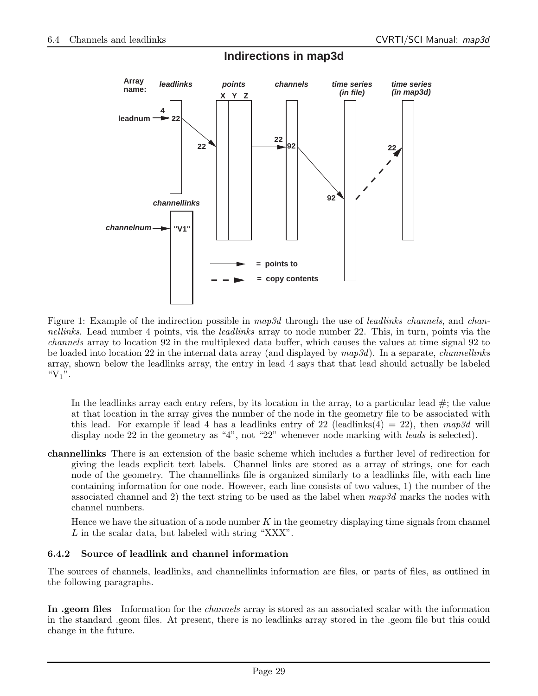

**Indirections in map3d**

Figure 1: Example of the indirection possible in map3d through the use of *leadlinks channels*, and *chan*nellinks. Lead number 4 points, via the *leadlinks* array to node number 22. This, in turn, points via the channels array to location 92 in the multiplexed data buffer, which causes the values at time signal 92 to be loaded into location 22 in the internal data array (and displayed by  $map3d$ ). In a separate, *channellinks* array, shown below the leadlinks array, the entry in lead 4 says that that lead should actually be labeled " $V_1$ ".

In the leadlinks array each entry refers, by its location in the array, to a particular lead  $\#$ ; the value at that location in the array gives the number of the node in the geometry file to be associated with this lead. For example if lead 4 has a leadlinks entry of 22 (leadlinks(4) = 22), then  $map3d$  will display node 22 in the geometry as "4", not "22" whenever node marking with *leads* is selected).

channellinks There is an extension of the basic scheme which includes a further level of redirection for giving the leads explicit text labels. Channel links are stored as a array of strings, one for each node of the geometry. The channellinks file is organized similarly to a leadlinks file, with each line containing information for one node. However, each line consists of two values, 1) the number of the associated channel and 2) the text string to be used as the label when  $map3d$  marks the nodes with channel numbers.

Hence we have the situation of a node number  $K$  in the geometry displaying time signals from channel L in the scalar data, but labeled with string "XXX".

## 6.4.2 Source of leadlink and channel information

The sources of channels, leadlinks, and channellinks information are files, or parts of files, as outlined in the following paragraphs.

In .geom files Information for the *channels* array is stored as an associated scalar with the information in the standard .geom files. At present, there is no leadlinks array stored in the .geom file but this could change in the future.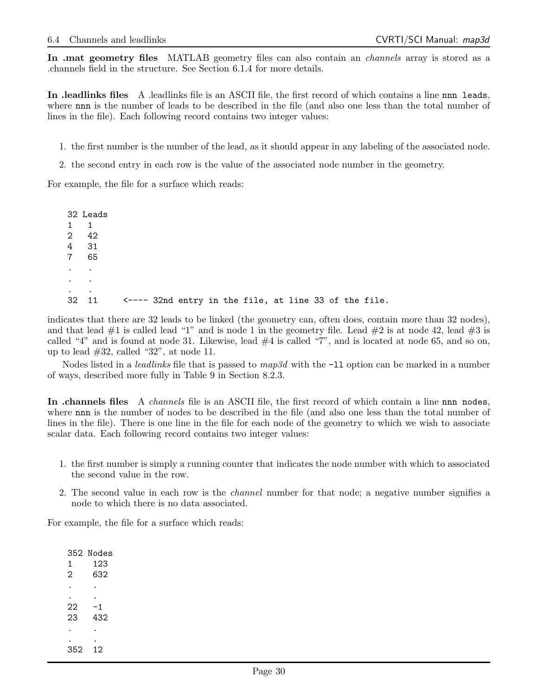In .mat geometry files MATLAB geometry files can also contain an *channels* array is stored as a .channels field in the structure. See Section 6.1.4 for more details.

In .leadlinks files A .leadlinks file is an ASCII file, the first record of which contains a line nnn leads, where nnn is the number of leads to be described in the file (and also one less than the total number of lines in the file). Each following record contains two integer values:

1. the first number is the number of the lead, as it should appear in any labeling of the associated node.

2. the second entry in each row is the value of the associated node number in the geometry.

For example, the file for a surface which reads:

32 Leads 1 1 2 42 4 31 7 65 . . . . . . 32 11 <---- 32nd entry in the file, at line 33 of the file.

indicates that there are 32 leads to be linked (the geometry can, often does, contain more than 32 nodes), and that lead  $\#1$  is called lead "1" and is node 1 in the geometry file. Lead  $\#2$  is at node 42, lead  $\#3$  is called "4" and is found at node 31. Likewise, lead  $#4$  is called "7", and is located at node 65, and so on, up to lead  $#32$ , called "32", at node 11.

Nodes listed in a *leadlinks* file that is passed to  $map3d$  with the  $-11$  option can be marked in a number of ways, described more fully in Table 9 in Section 8.2.3.

In .channels files A *channels* file is an ASCII file, the first record of which contain a line nnn nodes, where nnn is the number of nodes to be described in the file (and also one less than the total number of lines in the file). There is one line in the file for each node of the geometry to which we wish to associate scalar data. Each following record contains two integer values:

- 1. the first number is simply a running counter that indicates the node number with which to associated the second value in the row.
- 2. The second value in each row is the *channel* number for that node; a negative number signifies a node to which there is no data associated.

For example, the file for a surface which reads:

352 Nodes 1 123 2 632 . . . .  $22 - 1$ 23 432 . . . . 352 12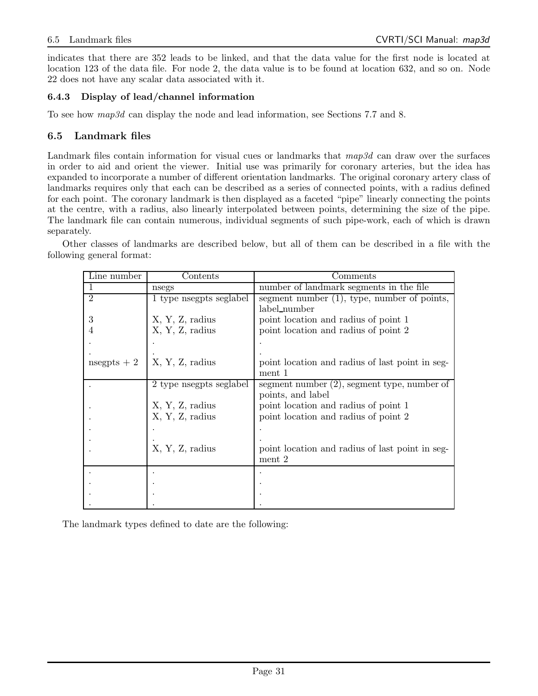indicates that there are 352 leads to be linked, and that the data value for the first node is located at location 123 of the data file. For node 2, the data value is to be found at location 632, and so on. Node 22 does not have any scalar data associated with it.

## 6.4.3 Display of lead/channel information

To see how map3d can display the node and lead information, see Sections 7.7 and 8.

## 6.5 Landmark files

Landmark files contain information for visual cues or landmarks that map3d can draw over the surfaces in order to aid and orient the viewer. Initial use was primarily for coronary arteries, but the idea has expanded to incorporate a number of different orientation landmarks. The original coronary artery class of landmarks requires only that each can be described as a series of connected points, with a radius defined for each point. The coronary landmark is then displayed as a faceted "pipe" linearly connecting the points at the centre, with a radius, also linearly interpolated between points, determining the size of the pipe. The landmark file can contain numerous, individual segments of such pipe-work, each of which is drawn separately.

Other classes of landmarks are described below, but all of them can be described in a file with the following general format:

| Line number    | Contents               | Comments                                        |
|----------------|------------------------|-------------------------------------------------|
|                | nsegs                  | number of landmark segments in the file         |
| $\overline{2}$ | 1 type negpts seglabel | segment number $(1)$ , type, number of points,  |
|                |                        | label_number                                    |
| 3              | X, Y, Z, radius        | point location and radius of point 1            |
|                | X, Y, Z, radius        | point location and radius of point 2            |
|                |                        |                                                 |
|                |                        |                                                 |
| nsegpts $+2$   | X, Y, Z, radius        | point location and radius of last point in seg- |
|                |                        | ment 1                                          |
|                | 2 type negpts seglabel | segment number $(2)$ , segment type, number of  |
|                |                        | points, and label                               |
|                | X, Y, Z, radius        | point location and radius of point 1            |
|                | X, Y, Z, radius        | point location and radius of point 2            |
|                |                        |                                                 |
|                |                        |                                                 |
|                | X, Y, Z, radius        | point location and radius of last point in seg- |
|                |                        | ment 2                                          |
|                |                        |                                                 |
|                |                        |                                                 |
|                |                        |                                                 |
|                |                        |                                                 |

The landmark types defined to date are the following: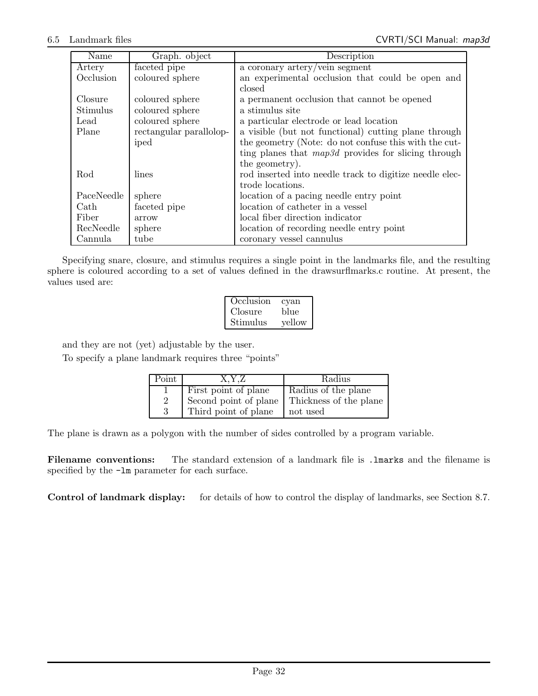| Name       | Graph. object           | Description                                             |
|------------|-------------------------|---------------------------------------------------------|
| Artery     | faceted pipe            | a coronary artery/vein segment                          |
| Occlusion  | coloured sphere         | an experimental occlusion that could be open and        |
|            |                         | closed                                                  |
| Closure    | coloured sphere         | a permanent occlusion that cannot be opened             |
| Stimulus   | coloured sphere         | a stimulus site                                         |
| Lead       | coloured sphere         | a particular electrode or lead location                 |
| Plane      | rectangular parallolop- | a visible (but not functional) cutting plane through    |
|            | iped                    | the geometry (Note: do not confuse this with the cut-   |
|            |                         | ting planes that $map3d$ provides for slicing through   |
|            |                         | the geometry).                                          |
| Rod        | lines                   | rod inserted into needle track to digitize needle elec- |
|            |                         | trode locations.                                        |
| PaceNeedle | sphere                  | location of a pacing needle entry point                 |
| Cath       | faceted pipe            | location of catheter in a vessel                        |
| Fiber      | arrow                   | local fiber direction indicator                         |
| RecNeedle  | sphere                  | location of recording needle entry point                |
| Cannula    | tube                    | coronary vessel cannulus                                |

Specifying snare, closure, and stimulus requires a single point in the landmarks file, and the resulting sphere is coloured according to a set of values defined in the drawsurflmarks.c routine. At present, the values used are:

| Occlusion | cyan   |
|-----------|--------|
| Closure   | blue   |
| Stimulus  | yellow |

and they are not (yet) adjustable by the user.

To specify a plane landmark requires three "points"

| Point          | X.Y.Z                 | Radius                 |
|----------------|-----------------------|------------------------|
|                | First point of plane  | Radius of the plane    |
| $\overline{2}$ | Second point of plane | Thickness of the plane |
| ર              | Third point of plane  | not used               |

The plane is drawn as a polygon with the number of sides controlled by a program variable.

Filename conventions: The standard extension of a landmark file is . Imarks and the filename is specified by the -lm parameter for each surface.

Control of landmark display: for details of how to control the display of landmarks, see Section 8.7.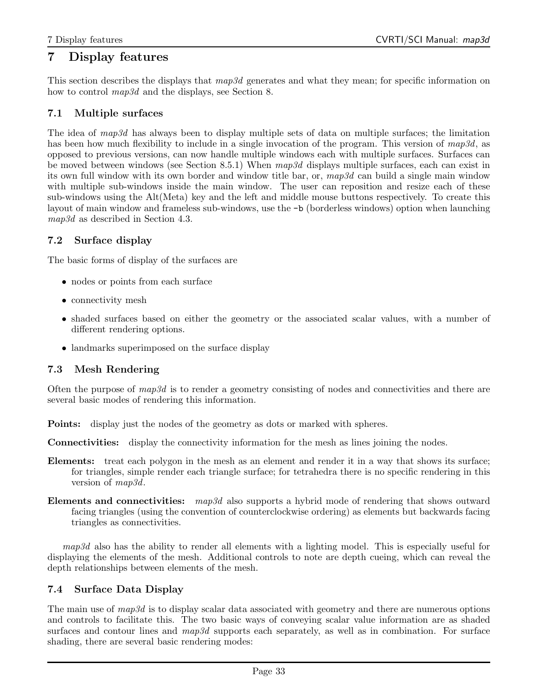## 7 Display features

This section describes the displays that  $map3d$  generates and what they mean; for specific information on how to control  $map3d$  and the displays, see Section 8.

## 7.1 Multiple surfaces

The idea of map3d has always been to display multiple sets of data on multiple surfaces; the limitation has been how much flexibility to include in a single invocation of the program. This version of map3d, as opposed to previous versions, can now handle multiple windows each with multiple surfaces. Surfaces can be moved between windows (see Section 8.5.1) When map3d displays multiple surfaces, each can exist in its own full window with its own border and window title bar, or,  $map3d$  can build a single main window with multiple sub-windows inside the main window. The user can reposition and resize each of these sub-windows using the Alt(Meta) key and the left and middle mouse buttons respectively. To create this layout of main window and frameless sub-windows, use the -b (borderless windows) option when launching map3d as described in Section 4.3.

## 7.2 Surface display

The basic forms of display of the surfaces are

- nodes or points from each surface
- connectivity mesh
- shaded surfaces based on either the geometry or the associated scalar values, with a number of different rendering options.
- landmarks superimposed on the surface display

## 7.3 Mesh Rendering

Often the purpose of  $map3d$  is to render a geometry consisting of nodes and connectivities and there are several basic modes of rendering this information.

Points: display just the nodes of the geometry as dots or marked with spheres.

Connectivities: display the connectivity information for the mesh as lines joining the nodes.

- Elements: treat each polygon in the mesh as an element and render it in a way that shows its surface; for triangles, simple render each triangle surface; for tetrahedra there is no specific rendering in this version of  $map3d$ .
- Elements and connectivities: map3d also supports a hybrid mode of rendering that shows outward facing triangles (using the convention of counterclockwise ordering) as elements but backwards facing triangles as connectivities.

map3d also has the ability to render all elements with a lighting model. This is especially useful for displaying the elements of the mesh. Additional controls to note are depth cueing, which can reveal the depth relationships between elements of the mesh.

## 7.4 Surface Data Display

The main use of  $map3d$  is to display scalar data associated with geometry and there are numerous options and controls to facilitate this. The two basic ways of conveying scalar value information are as shaded surfaces and contour lines and map3d supports each separately, as well as in combination. For surface shading, there are several basic rendering modes: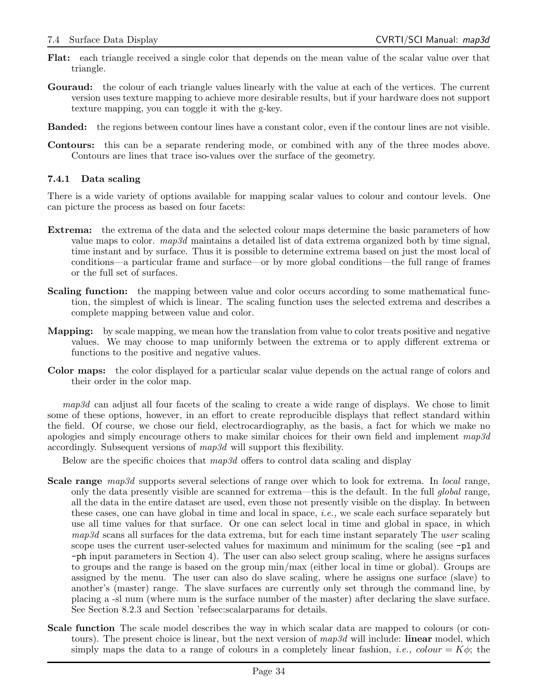- Flat: each triangle received a single color that depends on the mean value of the scalar value over that triangle.
- Gouraud: the colour of each triangle values linearly with the value at each of the vertices. The current version uses texture mapping to achieve more desirable results, but if your hardware does not support texture mapping, you can toggle it with the g-key.
- Banded: the regions between contour lines have a constant color, even if the contour lines are not visible.
- Contours: this can be a separate rendering mode, or combined with any of the three modes above. Contours are lines that trace iso-values over the surface of the geometry.

## 7.4.1 Data scaling

There is a wide variety of options available for mapping scalar values to colour and contour levels. One can picture the process as based on four facets:

- Extrema: the extrema of the data and the selected colour maps determine the basic parameters of how value maps to color.  $map3d$  maintains a detailed list of data extrema organized both by time signal, time instant and by surface. Thus it is possible to determine extrema based on just the most local of conditions—a particular frame and surface—or by more global conditions—the full range of frames or the full set of surfaces.
- **Scaling function:** the mapping between value and color occurs according to some mathematical function, the simplest of which is linear. The scaling function uses the selected extrema and describes a complete mapping between value and color.
- Mapping: by scale mapping, we mean how the translation from value to color treats positive and negative values. We may choose to map uniformly between the extrema or to apply different extrema or functions to the positive and negative values.
- Color maps: the color displayed for a particular scalar value depends on the actual range of colors and their order in the color map.

map3d can adjust all four facets of the scaling to create a wide range of displays. We chose to limit some of these options, however, in an effort to create reproducible displays that reflect standard within the field. Of course, we chose our field, electrocardiography, as the basis, a fact for which we make no apologies and simply encourage others to make similar choices for their own field and implement  $map3d$ accordingly. Subsequent versions of map3d will support this flexibility.

Below are the specific choices that  $map3d$  offers to control data scaling and display

- Scale range map3d supports several selections of range over which to look for extrema. In local range, only the data presently visible are scanned for extrema—this is the default. In the full global range, all the data in the entire dataset are used, even those not presently visible on the display. In between these cases, one can have global in time and local in space, *i.e.*, we scale each surface separately but use all time values for that surface. Or one can select local in time and global in space, in which  $map3d$  scans all surfaces for the data extrema, but for each time instant separately The user scaling scope uses the current user-selected values for maximum and minimum for the scaling (see  $-p1$  and -ph input parameters in Section 4). The user can also select group scaling, where he assigns surfaces to groups and the range is based on the group min/max (either local in time or global). Groups are assigned by the menu. The user can also do slave scaling, where he assigns one surface (slave) to another's (master) range. The slave surfaces are currently only set through the command line, by placing a -sl num (where num is the surface number of the master) after declaring the slave surface. See Section 8.2.3 and Section 'refsec:scalarparams for details.
- Scale function The scale model describes the way in which scalar data are mapped to colours (or contours). The present choice is linear, but the next version of  $map3d$  will include: **linear** model, which simply maps the data to a range of colours in a completely linear fashion, *i.e.*, colour =  $K\phi$ ; the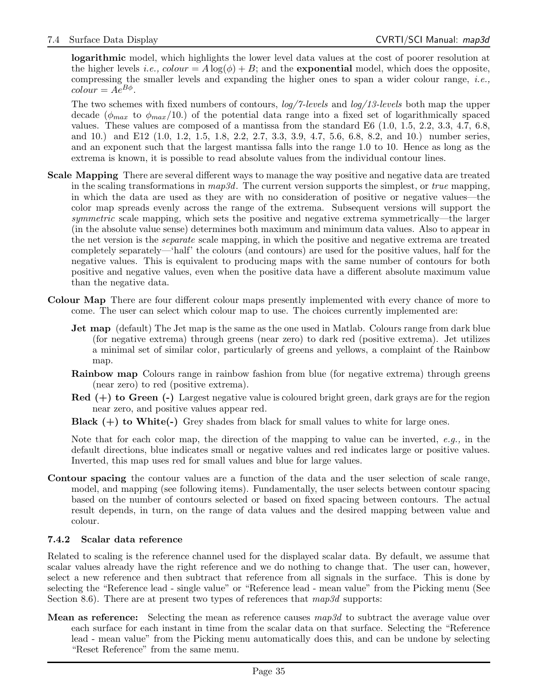logarithmic model, which highlights the lower level data values at the cost of poorer resolution at the higher levels i.e.,  $colour = A \log(\phi) + B$ ; and the **exponential** model, which does the opposite, compressing the smaller levels and expanding the higher ones to span a wider colour range, *i.e.*,  $color = Ae^{B\phi}.$ 

The two schemes with fixed numbers of contours, log/7-levels and log/13-levels both map the upper decade ( $\phi_{max}$  to  $\phi_{max}/10$ .) of the potential data range into a fixed set of logarithmically spaced values. These values are composed of a mantissa from the standard E6 (1.0, 1.5, 2.2, 3.3, 4.7, 6.8, and 10.) and E12 (1.0, 1.2, 1.5, 1.8, 2.2, 2.7, 3.3, 3.9, 4.7, 5.6, 6.8, 8.2, and 10.) number series, and an exponent such that the largest mantissa falls into the range 1.0 to 10. Hence as long as the extrema is known, it is possible to read absolute values from the individual contour lines.

- Scale Mapping There are several different ways to manage the way positive and negative data are treated in the scaling transformations in  $map3d$ . The current version supports the simplest, or *true* mapping, in which the data are used as they are with no consideration of positive or negative values—the color map spreads evenly across the range of the extrema. Subsequent versions will support the symmetric scale mapping, which sets the positive and negative extrema symmetrically—the larger (in the absolute value sense) determines both maximum and minimum data values. Also to appear in the net version is the *separate* scale mapping, in which the positive and negative extrema are treated completely separately—'half' the colours (and contours) are used for the positive values, half for the negative values. This is equivalent to producing maps with the same number of contours for both positive and negative values, even when the positive data have a different absolute maximum value than the negative data.
- Colour Map There are four different colour maps presently implemented with every chance of more to come. The user can select which colour map to use. The choices currently implemented are:
	- Jet map (default) The Jet map is the same as the one used in Matlab. Colours range from dark blue (for negative extrema) through greens (near zero) to dark red (positive extrema). Jet utilizes a minimal set of similar color, particularly of greens and yellows, a complaint of the Rainbow map.
	- Rainbow map Colours range in rainbow fashion from blue (for negative extrema) through greens (near zero) to red (positive extrema).
	- $\text{Red } (+)$  to Green  $(-)$  Largest negative value is coloured bright green, dark grays are for the region near zero, and positive values appear red.
	- **Black**  $(+)$  to White $(-)$  Grey shades from black for small values to white for large ones.

Note that for each color map, the direction of the mapping to value can be inverted,  $e.g.,$  in the default directions, blue indicates small or negative values and red indicates large or positive values. Inverted, this map uses red for small values and blue for large values.

Contour spacing the contour values are a function of the data and the user selection of scale range, model, and mapping (see following items). Fundamentally, the user selects between contour spacing based on the number of contours selected or based on fixed spacing between contours. The actual result depends, in turn, on the range of data values and the desired mapping between value and colour.

#### 7.4.2 Scalar data reference

Related to scaling is the reference channel used for the displayed scalar data. By default, we assume that scalar values already have the right reference and we do nothing to change that. The user can, however, select a new reference and then subtract that reference from all signals in the surface. This is done by selecting the "Reference lead - single value" or "Reference lead - mean value" from the Picking menu (See Section 8.6). There are at present two types of references that  $map3d$  supports:

**Mean as reference:** Selecting the mean as reference causes  $map3d$  to subtract the average value over each surface for each instant in time from the scalar data on that surface. Selecting the "Reference lead - mean value" from the Picking menu automatically does this, and can be undone by selecting "Reset Reference" from the same menu.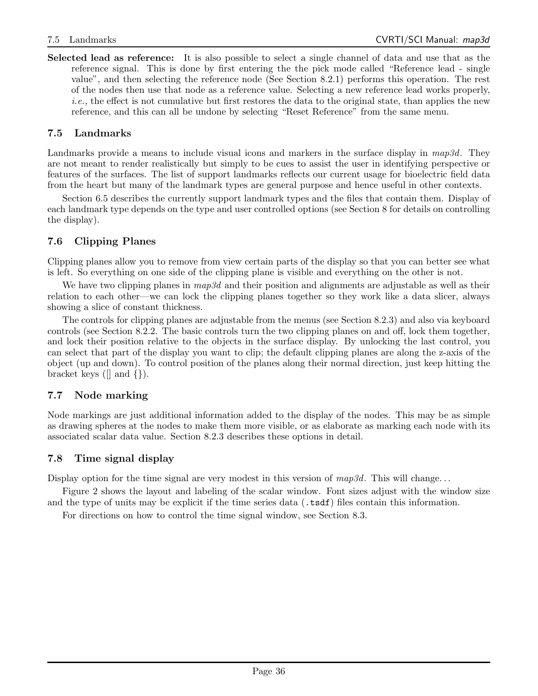Selected lead as reference: It is also possible to select a single channel of data and use that as the reference signal. This is done by first entering the the pick mode called "Reference lead - single value", and then selecting the reference node (See Section 8.2.1) performs this operation. The rest of the nodes then use that node as a reference value. Selecting a new reference lead works properly, i.e., the effect is not cumulative but first restores the data to the original state, than applies the new reference, and this can all be undone by selecting "Reset Reference" from the same menu.

## 7.5 Landmarks

Landmarks provide a means to include visual icons and markers in the surface display in  $map3d$ . They are not meant to render realistically but simply to be cues to assist the user in identifying perspective or features of the surfaces. The list of support landmarks reflects our current usage for bioelectric field data from the heart but many of the landmark types are general purpose and hence useful in other contexts.

Section 6.5 describes the currently support landmark types and the files that contain them. Display of each landmark type depends on the type and user controlled options (see Section 8 for details on controlling the display).

## 7.6 Clipping Planes

Clipping planes allow you to remove from view certain parts of the display so that you can better see what is left. So everything on one side of the clipping plane is visible and everything on the other is not.

We have two clipping planes in  $map3d$  and their position and alignments are adjustable as well as their relation to each other—we can lock the clipping planes together so they work like a data slicer, always showing a slice of constant thickness.

The controls for clipping planes are adjustable from the menus (see Section 8.2.3) and also via keyboard controls (see Section 8.2.2. The basic controls turn the two clipping planes on and off, lock them together, and lock their position relative to the objects in the surface display. By unlocking the last control, you can select that part of the display you want to clip; the default clipping planes are along the z-axis of the object (up and down). To control position of the planes along their normal direction, just keep hitting the bracket keys ( $\lceil \rceil$  and  $\lceil \rceil$ ).

## 7.7 Node marking

Node markings are just additional information added to the display of the nodes. This may be as simple as drawing spheres at the nodes to make them more visible, or as elaborate as marking each node with its associated scalar data value. Section 8.2.3 describes these options in detail.

## 7.8 Time signal display

Display option for the time signal are very modest in this version of  $map3d$ . This will change...

Figure 2 shows the layout and labeling of the scalar window. Font sizes adjust with the window size and the type of units may be explicit if the time series data (.tsdf) files contain this information.

For directions on how to control the time signal window, see Section 8.3.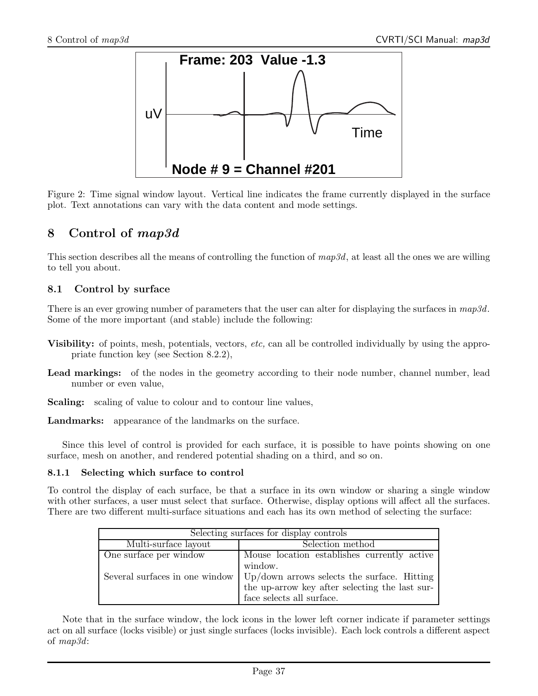

Figure 2: Time signal window layout. Vertical line indicates the frame currently displayed in the surface plot. Text annotations can vary with the data content and mode settings.

## 8 Control of map3d

This section describes all the means of controlling the function of  $map3d$ , at least all the ones we are willing to tell you about.

## 8.1 Control by surface

There is an ever growing number of parameters that the user can alter for displaying the surfaces in  $map3d$ . Some of the more important (and stable) include the following:

- Visibility: of points, mesh, potentials, vectors, etc, can all be controlled individually by using the appropriate function key (see Section 8.2.2),
- Lead markings: of the nodes in the geometry according to their node number, channel number, lead number or even value,
- Scaling: scaling of value to colour and to contour line values,

Landmarks: appearance of the landmarks on the surface.

Since this level of control is provided for each surface, it is possible to have points showing on one surface, mesh on another, and rendered potential shading on a third, and so on.

#### 8.1.1 Selecting which surface to control

To control the display of each surface, be that a surface in its own window or sharing a single window with other surfaces, a user must select that surface. Otherwise, display options will affect all the surfaces. There are two different multi-surface situations and each has its own method of selecting the surface:

| Selecting surfaces for display controls |                                                                                    |  |  |
|-----------------------------------------|------------------------------------------------------------------------------------|--|--|
| Multi-surface layout                    | Selection method                                                                   |  |  |
| One surface per window                  | Mouse location establishes currently active                                        |  |  |
|                                         | window.                                                                            |  |  |
|                                         | Several surfaces in one window $\vert$ Up/down arrows selects the surface. Hitting |  |  |
|                                         | the up-arrow key after selecting the last sur-                                     |  |  |
|                                         | face selects all surface.                                                          |  |  |

Note that in the surface window, the lock icons in the lower left corner indicate if parameter settings act on all surface (locks visible) or just single surfaces (locks invisible). Each lock controls a different aspect of map3d: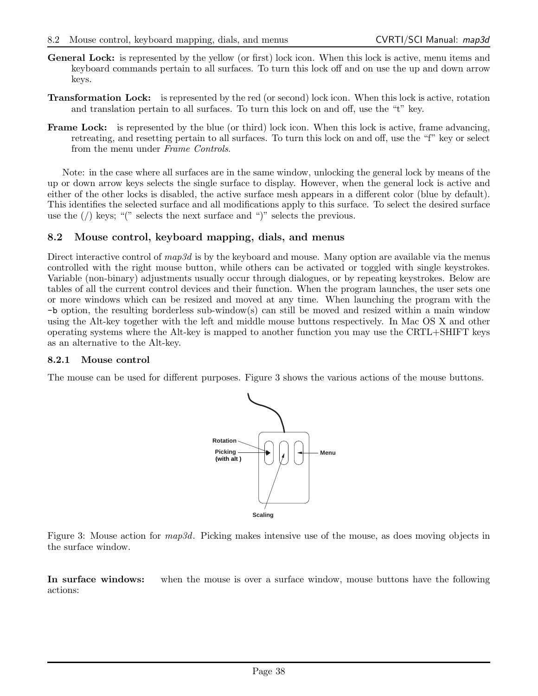- General Lock: is represented by the yellow (or first) lock icon. When this lock is active, menu items and keyboard commands pertain to all surfaces. To turn this lock off and on use the up and down arrow keys.
- Transformation Lock: is represented by the red (or second) lock icon. When this lock is active, rotation and translation pertain to all surfaces. To turn this lock on and off, use the "t" key.
- Frame Lock: is represented by the blue (or third) lock icon. When this lock is active, frame advancing, retreating, and resetting pertain to all surfaces. To turn this lock on and off, use the "f" key or select from the menu under Frame Controls.

Note: in the case where all surfaces are in the same window, unlocking the general lock by means of the up or down arrow keys selects the single surface to display. However, when the general lock is active and either of the other locks is disabled, the active surface mesh appears in a different color (blue by default). This identifies the selected surface and all modifications apply to this surface. To select the desired surface use the  $\langle \cdot \rangle$  keys; "(" selects the next surface and ")" selects the previous.

### 8.2 Mouse control, keyboard mapping, dials, and menus

Direct interactive control of  $map3d$  is by the keyboard and mouse. Many option are available via the menus controlled with the right mouse button, while others can be activated or toggled with single keystrokes. Variable (non-binary) adjustments usually occur through dialogues, or by repeating keystrokes. Below are tables of all the current control devices and their function. When the program launches, the user sets one or more windows which can be resized and moved at any time. When launching the program with the -b option, the resulting borderless sub-window(s) can still be moved and resized within a main window using the Alt-key together with the left and middle mouse buttons respectively. In Mac OS X and other operating systems where the Alt-key is mapped to another function you may use the CRTL+SHIFT keys as an alternative to the Alt-key.

#### 8.2.1 Mouse control

The mouse can be used for different purposes. Figure 3 shows the various actions of the mouse buttons.



Figure 3: Mouse action for  $map3d$ . Picking makes intensive use of the mouse, as does moving objects in the surface window.

In surface windows: when the mouse is over a surface window, mouse buttons have the following actions: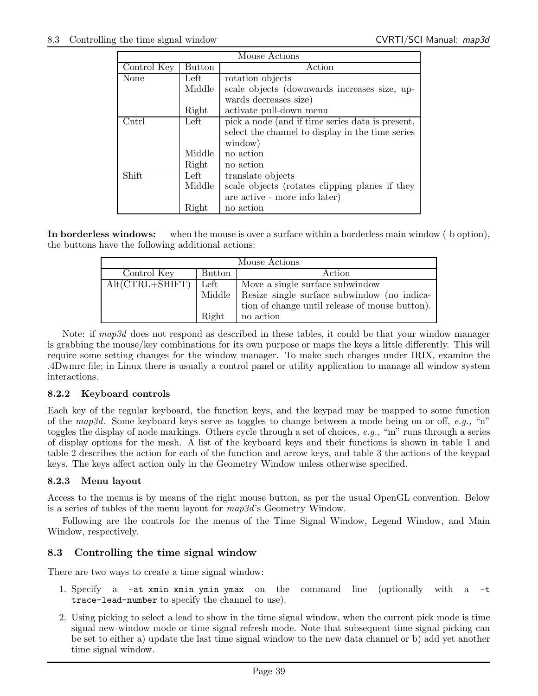|                        |        | Mouse Actions                                    |
|------------------------|--------|--------------------------------------------------|
| Control Key            | Button | Action                                           |
| None                   | Left   | rotation objects                                 |
|                        | Middle | scale objects (downwards increases size, up-     |
|                        |        | wards decreases size)                            |
|                        | Right  | activate pull-down menu                          |
| $\operatorname{Cntrl}$ | Left   | pick a node (and if time series data is present, |
|                        |        | select the channel to display in the time series |
|                        |        | window)                                          |
|                        | Middle | no action                                        |
|                        | Right  | no action                                        |
| Shift                  | Left   | translate objects                                |
|                        | Middle | scale objects (rotates clipping planes if they   |
|                        |        | are active - more info later)                    |
|                        | Right  | no action                                        |

In borderless windows: when the mouse is over a surface within a borderless main window (-b option), the buttons have the following additional actions:

| Mouse Actions       |        |                                                      |  |
|---------------------|--------|------------------------------------------------------|--|
| Control Key         | Button | Action                                               |  |
| $Alt(CTRL + SHIFT)$ | Left   | Move a single surface subwindow                      |  |
|                     |        | Middle   Resize single surface subwindow (no indica- |  |
|                     |        | tion of change until release of mouse button).       |  |
|                     | Right  | no action                                            |  |

Note: if map3d does not respond as described in these tables, it could be that your window manager is grabbing the mouse/key combinations for its own purpose or maps the keys a little differently. This will require some setting changes for the window manager. To make such changes under IRIX, examine the .4Dwmrc file; in Linux there is usually a control panel or utility application to manage all window system interactions.

#### 8.2.2 Keyboard controls

Each key of the regular keyboard, the function keys, and the keypad may be mapped to some function of the map3d. Some keyboard keys serve as toggles to change between a mode being on or off, e.g., "n" toggles the display of node markings. Others cycle through a set of choices, e.g., "m" runs through a series of display options for the mesh. A list of the keyboard keys and their functions is shown in table 1 and table 2 describes the action for each of the function and arrow keys, and table 3 the actions of the keypad keys. The keys affect action only in the Geometry Window unless otherwise specified.

#### 8.2.3 Menu layout

Access to the menus is by means of the right mouse button, as per the usual OpenGL convention. Below is a series of tables of the menu layout for map3d's Geometry Window.

Following are the controls for the menus of the Time Signal Window, Legend Window, and Main Window, respectively.

## 8.3 Controlling the time signal window

There are two ways to create a time signal window:

- 1. Specify a -at xmin xmin ymin ymax on the command line (optionally with a -t trace-lead-number to specify the channel to use).
- 2. Using picking to select a lead to show in the time signal window, when the current pick mode is time signal new-window mode or time signal refresh mode. Note that subsequent time signal picking can be set to either a) update the last time signal window to the new data channel or b) add yet another time signal window.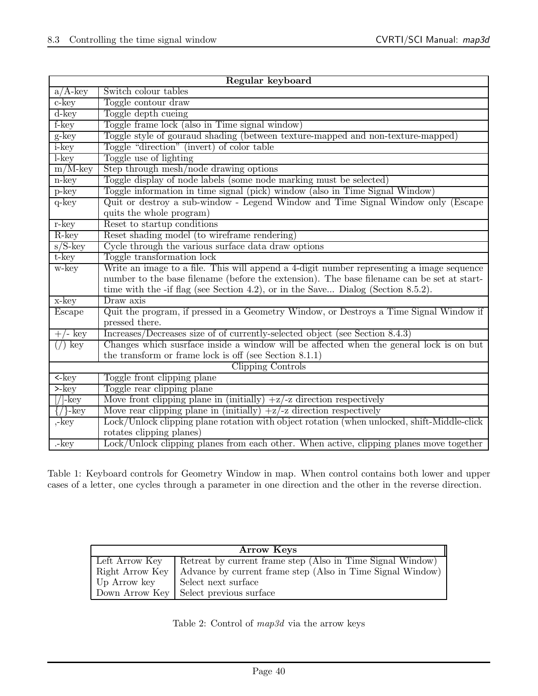| Regular keyboard                         |                                                                                             |  |
|------------------------------------------|---------------------------------------------------------------------------------------------|--|
| $a/A$ -key                               | Switch colour tables                                                                        |  |
| $c$ -key                                 | Toggle contour draw                                                                         |  |
| $d$ -key                                 | Toggle depth cueing                                                                         |  |
| f-key                                    | Toggle frame lock (also in Time signal window)                                              |  |
| g-key                                    | Toggle style of gouraud shading (between texture-mapped and non-texture-mapped)             |  |
| i-key                                    | Toggle "direction" (invert) of color table                                                  |  |
| $l$ -key                                 | Toggle use of lighting                                                                      |  |
| $\text{m/M-key}$                         | Step through mesh/node drawing options                                                      |  |
| n-key                                    | Toggle display of node labels (some node marking must be selected)                          |  |
| $p$ -key                                 | Toggle information in time signal (pick) window (also in Time Signal Window)                |  |
| $q$ -key                                 | Quit or destroy a sub-window - Legend Window and Time Signal Window only (Escape            |  |
|                                          | quits the whole program)                                                                    |  |
| $r$ -key                                 | Reset to startup conditions                                                                 |  |
| R-key                                    | Reset shading model (to wireframe rendering)                                                |  |
| $s/S$ -key                               | Cycle through the various surface data draw options                                         |  |
| t-key                                    | Toggle transformation lock                                                                  |  |
| w-key                                    | Write an image to a file. This will append a 4-digit number representing a image sequence   |  |
|                                          | number to the base filename (before the extension). The base filename can be set at start-  |  |
|                                          | time with the -if flag (see Section 4.2), or in the Save Dialog (Section 8.5.2).            |  |
| x-key                                    | Draw axis                                                                                   |  |
| Escape                                   | Quit the program, if pressed in a Geometry Window, or Destroys a Time Signal Window if      |  |
|                                          | pressed there.                                                                              |  |
| '- key                                   | Increases/Decreases size of of currently-selected object (see Section 8.4.3)                |  |
| key                                      | Changes which suspface inside a window will be affected when the general lock is on but     |  |
|                                          | the transform or frame lock is off (see Section $8.1.1$ )                                   |  |
|                                          | Clipping Controls                                                                           |  |
| $\overline{\left\langle -\right\rangle}$ | Toggle front clipping plane                                                                 |  |
| $>$ - $key$                              | Toggle rear clipping plane                                                                  |  |
| // -key                                  | Move front clipping plane in (initially) $+z/-$ z direction respectively                    |  |
| $\{\frac{\}$ -key                        | Move rear clipping plane in (initially) $+z$ direction respectively                         |  |
| ,-key                                    | Lock/Unlock clipping plane rotation with object rotation (when unlocked, shift-Middle-click |  |
|                                          | rotates clipping planes)                                                                    |  |
| .-key                                    | Lock/Unlock clipping planes from each other. When active, clipping planes move together     |  |

Table 1: Keyboard controls for Geometry Window in map. When control contains both lower and upper cases of a letter, one cycles through a parameter in one direction and the other in the reverse direction.

| <b>Arrow Keys</b>                                                            |                                                                             |  |  |
|------------------------------------------------------------------------------|-----------------------------------------------------------------------------|--|--|
|                                                                              | Left Arrow Key   Retreat by current frame step (Also in Time Signal Window) |  |  |
| Right Arrow Key   Advance by current frame step (Also in Time Signal Window) |                                                                             |  |  |
| Up Arrow key                                                                 | Select next surface                                                         |  |  |
|                                                                              | Down Arrow Key   Select previous surface                                    |  |  |

Table 2: Control of map3d via the arrow keys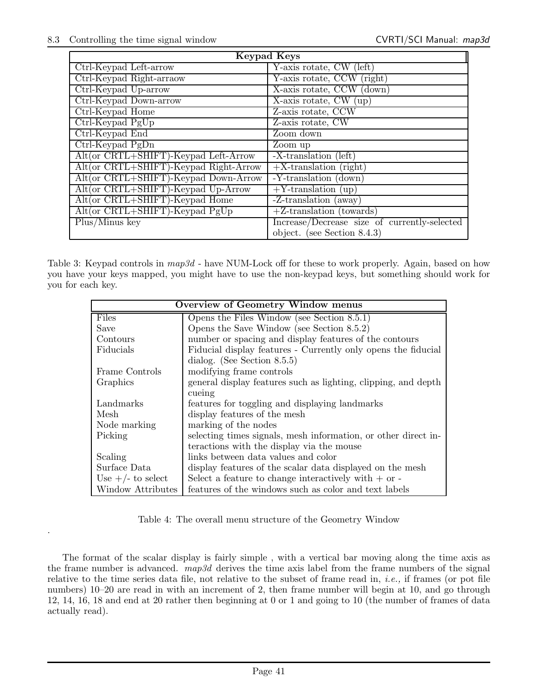.

| <b>Keypad Keys</b>                    |                                              |  |  |  |
|---------------------------------------|----------------------------------------------|--|--|--|
| Ctrl-Keypad Left-arrow                | Y-axis rotate, CW (left)                     |  |  |  |
| Ctrl-Keypad Right-arraow              | Y-axis rotate, CCW (right)                   |  |  |  |
| Ctrl-Keypad Up-arrow                  | X-axis rotate, CCW (down)                    |  |  |  |
| Ctrl-Keypad Down-arrow                | X-axis rotate, $CW$ (up)                     |  |  |  |
| Ctrl-Keypad Home                      | Z-axis rotate, CCW                           |  |  |  |
| Ctrl-Keypad PgUp                      | Z-axis rotate, CW                            |  |  |  |
| Ctrl-Keypad End                       | Zoom down                                    |  |  |  |
| Ctrl-Keypad PgDn                      | Zoom up                                      |  |  |  |
| Alt(or CRTL+SHIFT)-Keypad Left-Arrow  | -X-translation (left)                        |  |  |  |
| Alt(or CRTL+SHIFT)-Keypad Right-Arrow | $+X$ -translation (right)                    |  |  |  |
| Alt(or CRTL+SHIFT)-Keypad Down-Arrow  | -Y-translation (down)                        |  |  |  |
| Alt(or CRTL+SHIFT)-Keypad Up-Arrow    | $+Y$ -translation (up)                       |  |  |  |
| Alt(or CRTL+SHIFT)-Keypad Home        | $-Z$ -translation (away)                     |  |  |  |
| Alt(or CRTL+SHIFT)-Keypad PgUp        | $+Z$ -translation (towards)                  |  |  |  |
| $Plus/Minus$ key                      | Increase/Decrease size of currently-selected |  |  |  |
|                                       | object. (see Section $8.4.3$ )               |  |  |  |

Table 3: Keypad controls in  $map3d$  - have NUM-Lock off for these to work properly. Again, based on how you have your keys mapped, you might have to use the non-keypad keys, but something should work for you for each key.

| <b>Overview of Geometry Window menus</b> |                                                                |  |  |
|------------------------------------------|----------------------------------------------------------------|--|--|
| <b>Files</b>                             | Opens the Files Window (see Section $8.5.1$ )                  |  |  |
| Save                                     | Opens the Save Window (see Section $8.5.2$ )                   |  |  |
| Contours                                 | number or spacing and display features of the contours         |  |  |
| Fiducials                                | Fiducial display features - Currently only opens the fiducial  |  |  |
|                                          | dialog. (See Section $8.5.5$ )                                 |  |  |
| Frame Controls                           | modifying frame controls                                       |  |  |
| Graphics                                 | general display features such as lighting, clipping, and depth |  |  |
|                                          | cueing                                                         |  |  |
| Landmarks                                | features for toggling and displaying landmarks                 |  |  |
| Mesh                                     | display features of the mesh                                   |  |  |
| Node marking                             | marking of the nodes                                           |  |  |
| Picking                                  | selecting times signals, mesh information, or other direct in- |  |  |
|                                          | teractions with the display via the mouse                      |  |  |
| Scaling                                  | links between data values and color                            |  |  |
| Surface Data                             | display features of the scalar data displayed on the mesh      |  |  |
| Use $+/-$ to select                      | Select a feature to change interactively with $+$ or $-$       |  |  |
| <b>Window Attributes</b>                 | features of the windows such as color and text labels          |  |  |

Table 4: The overall menu structure of the Geometry Window

The format of the scalar display is fairly simple , with a vertical bar moving along the time axis as the frame number is advanced.  $map3d$  derives the time axis label from the frame numbers of the signal relative to the time series data file, not relative to the subset of frame read in, i.e., if frames (or pot file numbers) 10–20 are read in with an increment of 2, then frame number will begin at 10, and go through 12, 14, 16, 18 and end at 20 rather then beginning at 0 or 1 and going to 10 (the number of frames of data actually read).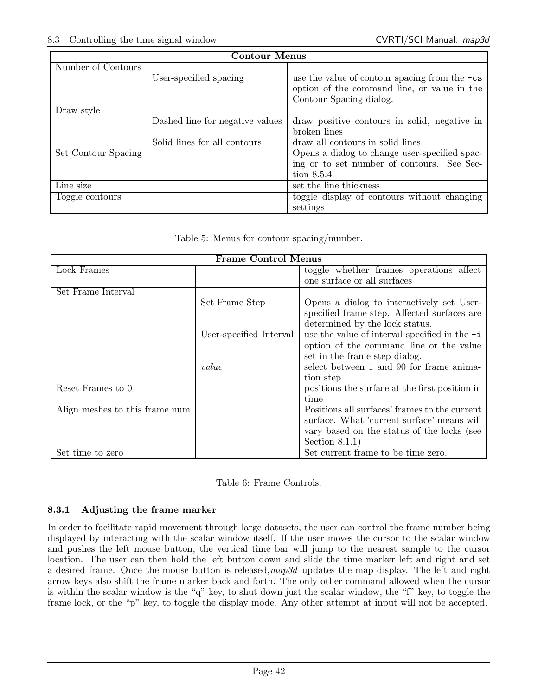| <b>Contour Menus</b> |                                 |                                                                                                                           |  |  |  |
|----------------------|---------------------------------|---------------------------------------------------------------------------------------------------------------------------|--|--|--|
| Number of Contours   |                                 |                                                                                                                           |  |  |  |
|                      | User-specified spacing          | use the value of contour spacing from the $-cs$<br>option of the command line, or value in the<br>Contour Spacing dialog. |  |  |  |
| Draw style           |                                 |                                                                                                                           |  |  |  |
|                      | Dashed line for negative values | draw positive contours in solid, negative in                                                                              |  |  |  |
|                      |                                 | broken lines                                                                                                              |  |  |  |
|                      | Solid lines for all contours    | draw all contours in solid lines                                                                                          |  |  |  |
| Set Contour Spacing  |                                 | Opens a dialog to change user-specified spac-                                                                             |  |  |  |
|                      |                                 | ing or to set number of contours. See Sec-                                                                                |  |  |  |
|                      |                                 | tion 8.5.4.                                                                                                               |  |  |  |
| Line size            |                                 | set the line thickness                                                                                                    |  |  |  |
| Toggle contours      |                                 | toggle display of contours without changing                                                                               |  |  |  |
|                      |                                 | settings                                                                                                                  |  |  |  |

|  |  |  |  |  | Table 5: Menus for contour spacing/number. |
|--|--|--|--|--|--------------------------------------------|
|--|--|--|--|--|--------------------------------------------|

| <b>Frame Control Menus</b>     |                         |                                                 |  |  |
|--------------------------------|-------------------------|-------------------------------------------------|--|--|
| Lock Frames                    |                         | toggle whether frames operations affect         |  |  |
|                                |                         | one surface or all surfaces                     |  |  |
| Set Frame Interval             |                         |                                                 |  |  |
|                                | Set Frame Step          | Opens a dialog to interactively set User-       |  |  |
|                                |                         | specified frame step. Affected surfaces are     |  |  |
|                                |                         | determined by the lock status.                  |  |  |
|                                | User-specified Interval | use the value of interval specified in the $-i$ |  |  |
|                                |                         | option of the command line or the value         |  |  |
|                                |                         | set in the frame step dialog.                   |  |  |
|                                | value                   | select between 1 and 90 for frame anima-        |  |  |
|                                |                         | tion step                                       |  |  |
| Reset Frames to 0              |                         | positions the surface at the first position in  |  |  |
|                                |                         | time                                            |  |  |
| Align meshes to this frame num |                         | Positions all surfaces' frames to the current   |  |  |
|                                |                         | surface. What 'current surface' means will      |  |  |
|                                |                         | vary based on the status of the locks (see      |  |  |
|                                |                         | Section $8.1.1$ )                               |  |  |
| Set time to zero               |                         | Set current frame to be time zero.              |  |  |

Table 6: Frame Controls.

## 8.3.1 Adjusting the frame marker

In order to facilitate rapid movement through large datasets, the user can control the frame number being displayed by interacting with the scalar window itself. If the user moves the cursor to the scalar window and pushes the left mouse button, the vertical time bar will jump to the nearest sample to the cursor location. The user can then hold the left button down and slide the time marker left and right and set a desired frame. Once the mouse button is released,  $map3d$  updates the map display. The left and right arrow keys also shift the frame marker back and forth. The only other command allowed when the cursor is within the scalar window is the "q"-key, to shut down just the scalar window, the "f" key, to toggle the frame lock, or the "p" key, to toggle the display mode. Any other attempt at input will not be accepted.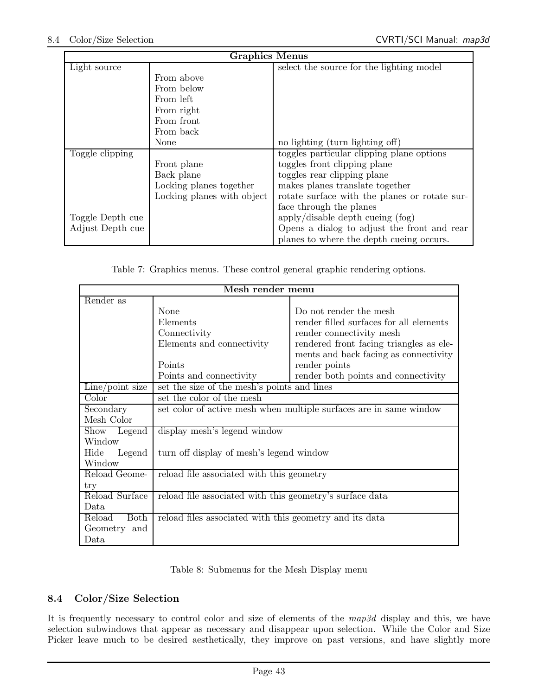| <b>Graphics Menus</b> |                            |                                               |  |  |
|-----------------------|----------------------------|-----------------------------------------------|--|--|
| Light source          |                            | select the source for the lighting model      |  |  |
|                       | From above                 |                                               |  |  |
|                       | From below                 |                                               |  |  |
|                       | From left                  |                                               |  |  |
|                       | From right                 |                                               |  |  |
|                       | From front                 |                                               |  |  |
|                       | From back                  |                                               |  |  |
|                       | None                       | no lighting (turn lighting off)               |  |  |
| Toggle clipping       |                            | toggles particular clipping plane options     |  |  |
|                       | Front plane                | toggles front clipping plane                  |  |  |
|                       | Back plane                 | toggles rear clipping plane                   |  |  |
|                       | Locking planes together    | makes planes translate together               |  |  |
|                       | Locking planes with object | rotate surface with the planes or rotate sur- |  |  |
|                       |                            | face through the planes                       |  |  |
| Toggle Depth cue      |                            | apply/disable depth cueing (fog)              |  |  |
| Adjust Depth cue      |                            | Opens a dialog to adjust the front and rear   |  |  |
|                       |                            | planes to where the depth cueing occurs.      |  |  |

Table 7: Graphics menus. These control general graphic rendering options.

| Mesh render menu  |                                                                    |                                         |  |  |  |  |
|-------------------|--------------------------------------------------------------------|-----------------------------------------|--|--|--|--|
| Render as         |                                                                    |                                         |  |  |  |  |
|                   | None                                                               | Do not render the mesh                  |  |  |  |  |
|                   | Elements                                                           | render filled surfaces for all elements |  |  |  |  |
|                   | Connectivity                                                       | render connectivity mesh                |  |  |  |  |
|                   | Elements and connectivity                                          | rendered front facing triangles as ele- |  |  |  |  |
|                   |                                                                    | ments and back facing as connectivity   |  |  |  |  |
|                   | Points                                                             | render points                           |  |  |  |  |
|                   | Points and connectivity                                            | render both points and connectivity     |  |  |  |  |
| $Line$ point size | set the size of the mesh's points and lines                        |                                         |  |  |  |  |
| Color             | set the color of the mesh                                          |                                         |  |  |  |  |
| Secondary         | set color of active mesh when multiple surfaces are in same window |                                         |  |  |  |  |
| Mesh Color        |                                                                    |                                         |  |  |  |  |
| Show Legend       | display mesh's legend window                                       |                                         |  |  |  |  |
| Window            |                                                                    |                                         |  |  |  |  |
| Hide<br>Legend    | turn off display of mesh's legend window                           |                                         |  |  |  |  |
| Window            |                                                                    |                                         |  |  |  |  |
| Reload Geome-     | reload file associated with this geometry                          |                                         |  |  |  |  |
| try               |                                                                    |                                         |  |  |  |  |
| Reload Surface    | reload file associated with this geometry's surface data           |                                         |  |  |  |  |
| Data              |                                                                    |                                         |  |  |  |  |
| Reload<br>Both    | reload files associated with this geometry and its data            |                                         |  |  |  |  |
| Geometry and      |                                                                    |                                         |  |  |  |  |
| Data              |                                                                    |                                         |  |  |  |  |

Table 8: Submenus for the Mesh Display menu

## 8.4 Color/Size Selection

It is frequently necessary to control color and size of elements of the map3d display and this, we have selection subwindows that appear as necessary and disappear upon selection. While the Color and Size Picker leave much to be desired aesthetically, they improve on past versions, and have slightly more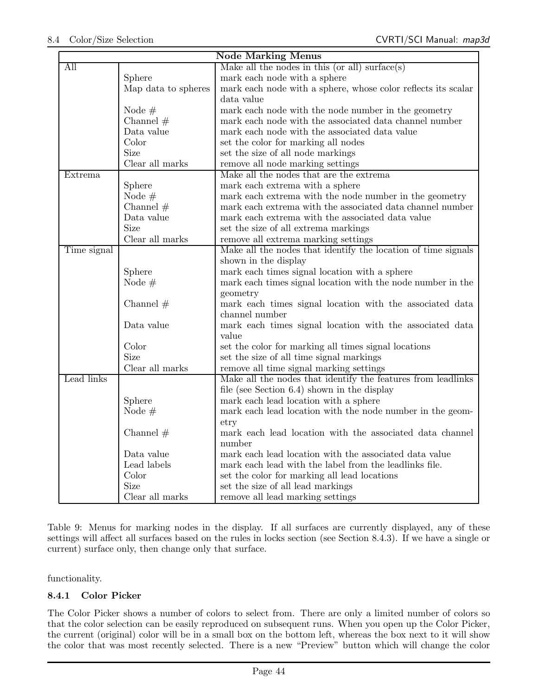| Node Marking Menus |                     |                                                               |  |  |  |
|--------------------|---------------------|---------------------------------------------------------------|--|--|--|
| All                |                     | Make all the nodes in this (or all) surface(s)                |  |  |  |
|                    | Sphere              | mark each node with a sphere                                  |  |  |  |
|                    | Map data to spheres | mark each node with a sphere, whose color reflects its scalar |  |  |  |
|                    |                     | data value                                                    |  |  |  |
|                    | Node $#$            | mark each node with the node number in the geometry           |  |  |  |
|                    | Channel $#$         | mark each node with the associated data channel number        |  |  |  |
|                    | Data value          | mark each node with the associated data value                 |  |  |  |
|                    | Color               | set the color for marking all nodes                           |  |  |  |
|                    | <b>Size</b>         | set the size of all node markings                             |  |  |  |
|                    | Clear all marks     | remove all node marking settings                              |  |  |  |
| Extrema            |                     | Make all the nodes that are the extrema                       |  |  |  |
|                    | Sphere              | mark each extrema with a sphere                               |  |  |  |
|                    | Node $#$            | mark each extrema with the node number in the geometry        |  |  |  |
|                    | Channel $#$         | mark each extrema with the associated data channel number     |  |  |  |
|                    | Data value          | mark each extrema with the associated data value              |  |  |  |
|                    | <b>Size</b>         | set the size of all extrema markings                          |  |  |  |
|                    | Clear all marks     | remove all extrema marking settings                           |  |  |  |
| Time signal        |                     | Make all the nodes that identify the location of time signals |  |  |  |
|                    |                     | shown in the display                                          |  |  |  |
|                    | Sphere              | mark each times signal location with a sphere                 |  |  |  |
|                    | Node $#$            | mark each times signal location with the node number in the   |  |  |  |
|                    |                     | geometry                                                      |  |  |  |
|                    | Channel $#$         | mark each times signal location with the associated data      |  |  |  |
|                    |                     | channel number                                                |  |  |  |
|                    | Data value          | mark each times signal location with the associated data      |  |  |  |
|                    |                     | value                                                         |  |  |  |
|                    | Color               | set the color for marking all times signal locations          |  |  |  |
|                    | <b>Size</b>         | set the size of all time signal markings                      |  |  |  |
|                    | Clear all marks     | remove all time signal marking settings                       |  |  |  |
| Lead links         |                     | Make all the nodes that identify the features from leadlinks  |  |  |  |
|                    |                     | file (see Section $6.4$ ) shown in the display                |  |  |  |
|                    | Sphere              | mark each lead location with a sphere                         |  |  |  |
|                    | Node $#$            | mark each lead location with the node number in the geom-     |  |  |  |
|                    |                     | $_{\rm \footnotesize etry}$                                   |  |  |  |
|                    | Channel $#$         | mark each lead location with the associated data channel      |  |  |  |
|                    |                     | number                                                        |  |  |  |
|                    | Data value          | mark each lead location with the associated data value        |  |  |  |
|                    | Lead labels         | mark each lead with the label from the leadlinks file.        |  |  |  |
|                    | Color               | set the color for marking all lead locations                  |  |  |  |
|                    | Size                | set the size of all lead markings                             |  |  |  |
|                    | Clear all marks     | remove all lead marking settings                              |  |  |  |

Table 9: Menus for marking nodes in the display. If all surfaces are currently displayed, any of these settings will affect all surfaces based on the rules in locks section (see Section 8.4.3). If we have a single or current) surface only, then change only that surface.

functionality.

## 8.4.1 Color Picker

The Color Picker shows a number of colors to select from. There are only a limited number of colors so that the color selection can be easily reproduced on subsequent runs. When you open up the Color Picker, the current (original) color will be in a small box on the bottom left, whereas the box next to it will show the color that was most recently selected. There is a new "Preview" button which will change the color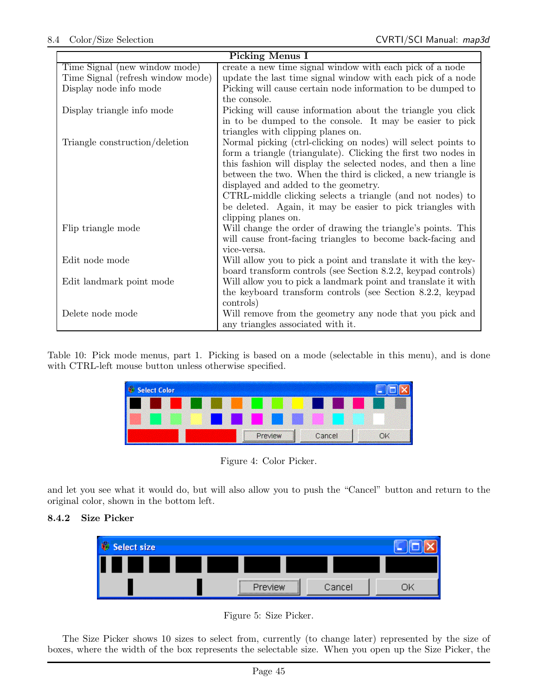|                                   | <b>Picking Menus I</b>                                         |  |  |  |  |
|-----------------------------------|----------------------------------------------------------------|--|--|--|--|
| Time Signal (new window mode)     | create a new time signal window with each pick of a node       |  |  |  |  |
| Time Signal (refresh window mode) | update the last time signal window with each pick of a node    |  |  |  |  |
| Display node info mode            | Picking will cause certain node information to be dumped to    |  |  |  |  |
|                                   | the console.                                                   |  |  |  |  |
| Display triangle info mode        | Picking will cause information about the triangle you click    |  |  |  |  |
|                                   | in to be dumped to the console. It may be easier to pick       |  |  |  |  |
|                                   | triangles with clipping planes on.                             |  |  |  |  |
| Triangle construction/deletion    | Normal picking (ctrl-clicking on nodes) will select points to  |  |  |  |  |
|                                   | form a triangle (triangulate). Clicking the first two nodes in |  |  |  |  |
|                                   | this fashion will display the selected nodes, and then a line  |  |  |  |  |
|                                   | between the two. When the third is clicked, a new triangle is  |  |  |  |  |
|                                   | displayed and added to the geometry.                           |  |  |  |  |
|                                   | CTRL-middle clicking selects a triangle (and not nodes) to     |  |  |  |  |
|                                   | be deleted. Again, it may be easier to pick triangles with     |  |  |  |  |
|                                   | clipping planes on.                                            |  |  |  |  |
| Flip triangle mode                | Will change the order of drawing the triangle's points. This   |  |  |  |  |
|                                   | will cause front-facing triangles to become back-facing and    |  |  |  |  |
|                                   | vice-versa.                                                    |  |  |  |  |
| Edit node mode                    | Will allow you to pick a point and translate it with the key-  |  |  |  |  |
|                                   | board transform controls (see Section 8.2.2, keypad controls)  |  |  |  |  |
| Edit landmark point mode          | Will allow you to pick a landmark point and translate it with  |  |  |  |  |
|                                   | the keyboard transform controls (see Section 8.2.2, keypad     |  |  |  |  |
|                                   | controls)                                                      |  |  |  |  |
| Delete node mode                  | Will remove from the geometry any node that you pick and       |  |  |  |  |
|                                   | any triangles associated with it.                              |  |  |  |  |

Table 10: Pick mode menus, part 1. Picking is based on a mode (selectable in this menu), and is done with CTRL-left mouse button unless otherwise specified.



Figure 4: Color Picker.

and let you see what it would do, but will also allow you to push the "Cancel" button and return to the original color, shown in the bottom left.

## 8.4.2 Size Picker



Figure 5: Size Picker.

The Size Picker shows 10 sizes to select from, currently (to change later) represented by the size of boxes, where the width of the box represents the selectable size. When you open up the Size Picker, the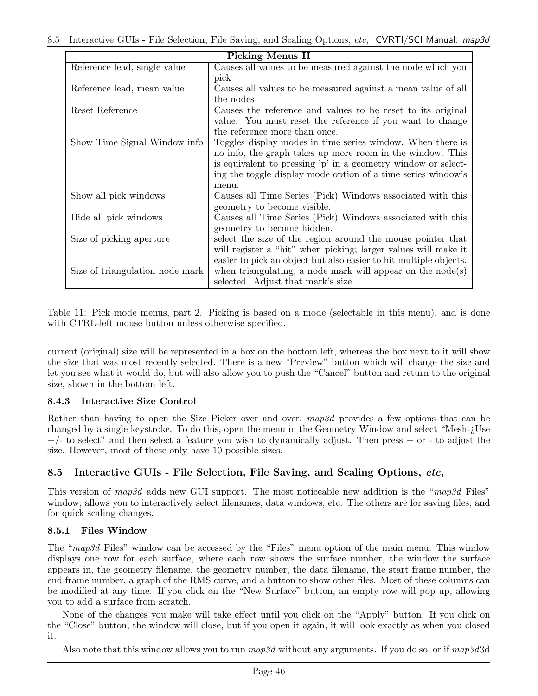| <b>Picking Menus II</b>         |                                                                   |  |  |  |
|---------------------------------|-------------------------------------------------------------------|--|--|--|
| Reference lead, single value    | Causes all values to be measured against the node which you       |  |  |  |
|                                 | pick                                                              |  |  |  |
| Reference lead, mean value      | Causes all values to be measured against a mean value of all      |  |  |  |
|                                 | the nodes                                                         |  |  |  |
| Reset Reference                 | Causes the reference and values to be reset to its original       |  |  |  |
|                                 | value. You must reset the reference if you want to change         |  |  |  |
|                                 | the reference more than once.                                     |  |  |  |
| Show Time Signal Window info    | Toggles display modes in time series window. When there is        |  |  |  |
|                                 | no info, the graph takes up more room in the window. This         |  |  |  |
|                                 | is equivalent to pressing 'p' in a geometry window or select-     |  |  |  |
|                                 | ing the toggle display mode option of a time series window's      |  |  |  |
|                                 | menu.                                                             |  |  |  |
| Show all pick windows           | Causes all Time Series (Pick) Windows associated with this        |  |  |  |
|                                 | geometry to become visible.                                       |  |  |  |
| Hide all pick windows           | Causes all Time Series (Pick) Windows associated with this        |  |  |  |
|                                 | geometry to become hidden.                                        |  |  |  |
| Size of picking aperture        | select the size of the region around the mouse pointer that       |  |  |  |
|                                 | will register a "hit" when picking; larger values will make it    |  |  |  |
|                                 | easier to pick an object but also easier to hit multiple objects. |  |  |  |
| Size of triangulation node mark | when triangulating, a node mark will appear on the $node(s)$      |  |  |  |
|                                 | selected. Adjust that mark's size.                                |  |  |  |

Table 11: Pick mode menus, part 2. Picking is based on a mode (selectable in this menu), and is done with CTRL-left mouse button unless otherwise specified.

current (original) size will be represented in a box on the bottom left, whereas the box next to it will show the size that was most recently selected. There is a new "Preview" button which will change the size and let you see what it would do, but will also allow you to push the "Cancel" button and return to the original size, shown in the bottom left.

## 8.4.3 Interactive Size Control

Rather than having to open the Size Picker over and over, map3d provides a few options that can be changed by a single keystroke. To do this, open the menu in the Geometry Window and select "Mesh-¿Use  $+/-$  to select" and then select a feature you wish to dynamically adjust. Then press  $+$  or - to adjust the size. However, most of these only have 10 possible sizes.

## 8.5 Interactive GUIs - File Selection, File Saving, and Scaling Options, etc,

This version of map3d adds new GUI support. The most noticeable new addition is the "map3d Files" window, allows you to interactively select filenames, data windows, etc. The others are for saving files, and for quick scaling changes.

## 8.5.1 Files Window

The "map3d Files" window can be accessed by the "Files" menu option of the main menu. This window displays one row for each surface, where each row shows the surface number, the window the surface appears in, the geometry filename, the geometry number, the data filename, the start frame number, the end frame number, a graph of the RMS curve, and a button to show other files. Most of these columns can be modified at any time. If you click on the "New Surface" button, an empty row will pop up, allowing you to add a surface from scratch.

None of the changes you make will take effect until you click on the "Apply" button. If you click on the "Close" button, the window will close, but if you open it again, it will look exactly as when you closed it.

Also note that this window allows you to run  $map3d$  without any arguments. If you do so, or if  $map3d3d$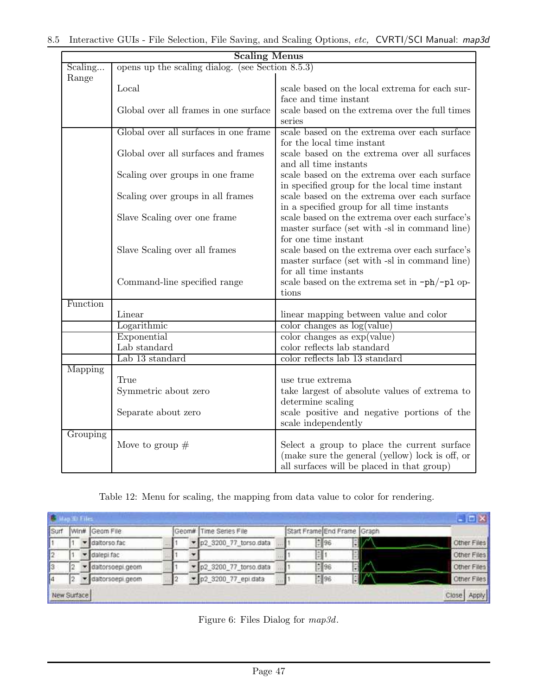|          | <b>Scaling Menus</b>                                |                                                                                               |  |  |  |  |  |
|----------|-----------------------------------------------------|-----------------------------------------------------------------------------------------------|--|--|--|--|--|
| Scaling  | opens up the scaling dialog. (see Section $8.5.3$ ) |                                                                                               |  |  |  |  |  |
| Range    |                                                     |                                                                                               |  |  |  |  |  |
|          | Local                                               | scale based on the local extrema for each sur-<br>face and time instant                       |  |  |  |  |  |
|          | Global over all frames in one surface               | scale based on the extrema over the full times                                                |  |  |  |  |  |
|          |                                                     | series                                                                                        |  |  |  |  |  |
|          | Global over all surfaces in one frame               | scale based on the extrema over each surface                                                  |  |  |  |  |  |
|          |                                                     | for the local time instant                                                                    |  |  |  |  |  |
|          | Global over all surfaces and frames                 | scale based on the extrema over all surfaces                                                  |  |  |  |  |  |
|          |                                                     | and all time instants                                                                         |  |  |  |  |  |
|          | Scaling over groups in one frame                    | scale based on the extrema over each surface                                                  |  |  |  |  |  |
|          | Scaling over groups in all frames                   | in specified group for the local time instant<br>scale based on the extrema over each surface |  |  |  |  |  |
|          |                                                     | in a specified group for all time instants                                                    |  |  |  |  |  |
|          | Slave Scaling over one frame                        | scale based on the extrema over each surface's                                                |  |  |  |  |  |
|          |                                                     | master surface (set with -sl in command line)                                                 |  |  |  |  |  |
|          |                                                     | for one time instant                                                                          |  |  |  |  |  |
|          | Slave Scaling over all frames                       | scale based on the extrema over each surface's                                                |  |  |  |  |  |
|          |                                                     | master surface (set with -sl in command line)                                                 |  |  |  |  |  |
|          |                                                     | for all time instants                                                                         |  |  |  |  |  |
|          | Command-line specified range                        | scale based on the extrema set in $-\text{ph}/-\text{pl}$ op-                                 |  |  |  |  |  |
|          |                                                     | tions                                                                                         |  |  |  |  |  |
| Function | Linear                                              |                                                                                               |  |  |  |  |  |
|          | Logarithmic                                         | linear mapping between value and color<br>color changes as $log($ value $)$                   |  |  |  |  |  |
|          | Exponential                                         | color change as exp(value)                                                                    |  |  |  |  |  |
|          | Lab standard                                        | color reflects lab standard                                                                   |  |  |  |  |  |
|          | Lab 13 standard                                     | color reflects lab 13 standard                                                                |  |  |  |  |  |
| Mapping  |                                                     |                                                                                               |  |  |  |  |  |
|          | True                                                | use true extrema                                                                              |  |  |  |  |  |
|          | Symmetric about zero                                | take largest of absolute values of extrema to                                                 |  |  |  |  |  |
|          |                                                     | determine scaling                                                                             |  |  |  |  |  |
|          | Separate about zero                                 | scale positive and negative portions of the                                                   |  |  |  |  |  |
|          |                                                     | scale independently                                                                           |  |  |  |  |  |
| Grouping |                                                     |                                                                                               |  |  |  |  |  |
|          | Move to group $#$                                   | Select a group to place the current surface                                                   |  |  |  |  |  |
|          |                                                     | (make sure the general (yellow) lock is off, or<br>all surfaces will be placed in that group) |  |  |  |  |  |

Table 12: Menu for scaling, the mapping from data value to color for rendering.

|             |  |                 |  |                        |  |                             |  | $ \Box$ $\times$ |
|-------------|--|-----------------|--|------------------------|--|-----------------------------|--|------------------|
| Surf        |  | Win# Geom File  |  | Geom# Time Series File |  | Start Frame End Frame Graph |  |                  |
|             |  | daltorso fac    |  | p2_3200_77_torso.data  |  | $= 96$                      |  | Other Files      |
|             |  | v dalegi fac    |  |                        |  | (日)                         |  | Other Files      |
|             |  | datorsoepi.geom |  | p2_3200_77_torso.data  |  | 696                         |  | Other Files      |
|             |  | datorsoepi.geom |  | p2_3200_77_epi.data    |  | $\frac{1}{2}$ 96            |  | Other Files      |
| New Surface |  |                 |  |                        |  |                             |  | Close Apply      |

Figure 6: Files Dialog for map3d.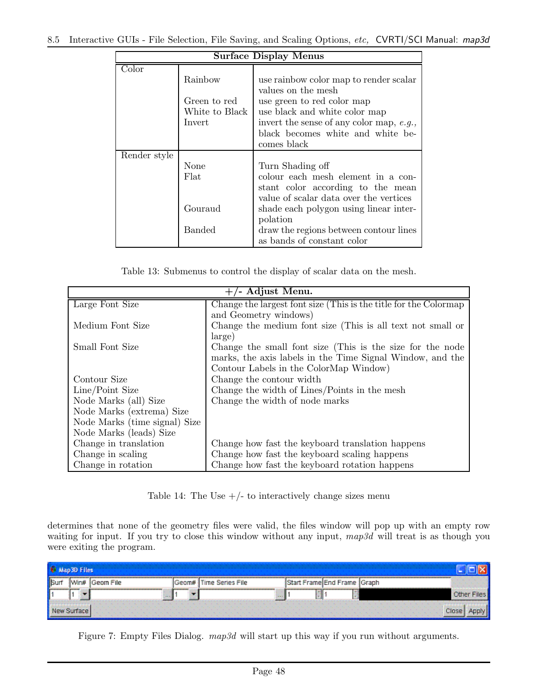| <b>Surface Display Menus</b> |                |                                          |  |  |  |  |
|------------------------------|----------------|------------------------------------------|--|--|--|--|
| Color                        |                |                                          |  |  |  |  |
|                              | Rainbow        | use rainbow color map to render scalar   |  |  |  |  |
|                              |                | values on the mesh                       |  |  |  |  |
|                              | Green to red   | use green to red color map               |  |  |  |  |
|                              | White to Black | use black and white color map            |  |  |  |  |
|                              | Invert         | invert the sense of any color map, e.g., |  |  |  |  |
|                              |                | black becomes white and white be-        |  |  |  |  |
|                              |                | comes black                              |  |  |  |  |
| Render style                 |                |                                          |  |  |  |  |
|                              | None           | Turn Shading off                         |  |  |  |  |
|                              | Flat           | colour each mesh element in a con-       |  |  |  |  |
|                              |                | stant color according to the mean        |  |  |  |  |
|                              |                | value of scalar data over the vertices   |  |  |  |  |
|                              | Gouraud        | shade each polygon using linear inter-   |  |  |  |  |
|                              |                | polation                                 |  |  |  |  |
|                              | Banded         | draw the regions between contour lines   |  |  |  |  |
|                              |                | as bands of constant color               |  |  |  |  |

Table 13: Submenus to control the display of scalar data on the mesh.

| $+/-$ Adjust Menu.            |                                                                  |  |  |  |
|-------------------------------|------------------------------------------------------------------|--|--|--|
| Large Font Size               | Change the largest font size (This is the title for the Colormap |  |  |  |
|                               | and Geometry windows)                                            |  |  |  |
| Medium Font Size              | Change the medium font size (This is all text not small or       |  |  |  |
|                               | large)                                                           |  |  |  |
| Small Font Size               | Change the small font size (This is the size for the node        |  |  |  |
|                               | marks, the axis labels in the Time Signal Window, and the        |  |  |  |
|                               | Contour Labels in the ColorMap Window)                           |  |  |  |
| Contour Size                  | Change the contour width                                         |  |  |  |
| Line/Point Size               | Change the width of Lines/Points in the mesh                     |  |  |  |
| Node Marks (all) Size         | Change the width of node marks                                   |  |  |  |
| Node Marks (extrema) Size     |                                                                  |  |  |  |
| Node Marks (time signal) Size |                                                                  |  |  |  |
| Node Marks (leads) Size       |                                                                  |  |  |  |
| Change in translation         | Change how fast the keyboard translation happens                 |  |  |  |
| Change in scaling             | Change how fast the keyboard scaling happens                     |  |  |  |
| Change in rotation            | Change how fast the keyboard rotation happens                    |  |  |  |

Table 14: The Use  $+/-$  to interactively change sizes menu

determines that none of the geometry files were valid, the files window will pop up with an empty row waiting for input. If you try to close this window without any input,  $map3d$  will treat is as though you were exiting the program.

| <b>THES</b> |           |                         |                              |                            |
|-------------|-----------|-------------------------|------------------------------|----------------------------|
| <b>Win#</b> | Geom File | <b>Time Series File</b> | Start Frame End Frame (Graph |                            |
|             | $\cdots$  | _______<br>---          |                              | Other Files                |
|             |           |                         |                              | the company of the company |

Figure 7: Empty Files Dialog.  $map3d$  will start up this way if you run without arguments.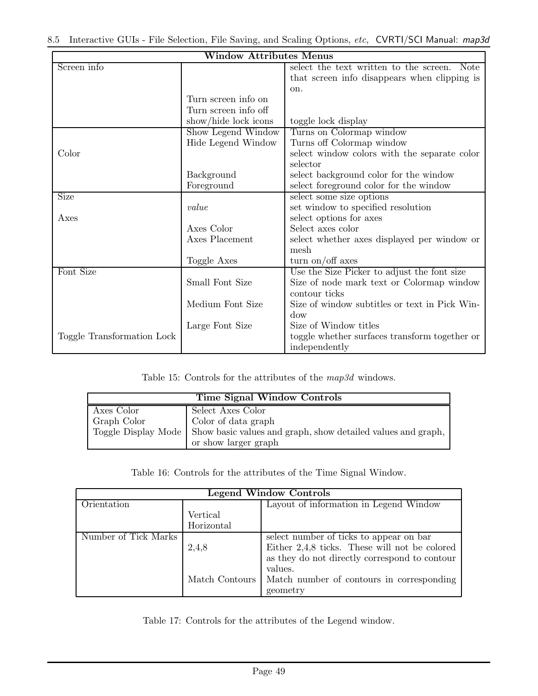| $\overline{\text{Window} } \text{Attributes } \overline{\text{M}} \text{enus}$ |                      |                                                       |  |  |  |
|--------------------------------------------------------------------------------|----------------------|-------------------------------------------------------|--|--|--|
| Screen info                                                                    |                      | select the text written to the screen.<br><b>Note</b> |  |  |  |
|                                                                                |                      | that screen info disappears when clipping is          |  |  |  |
|                                                                                |                      | on.                                                   |  |  |  |
|                                                                                | Turn screen info on  |                                                       |  |  |  |
|                                                                                | Turn screen info off |                                                       |  |  |  |
|                                                                                | show/hide lock icons | toggle lock display                                   |  |  |  |
|                                                                                | Show Legend Window   | Turns on Colormap window                              |  |  |  |
|                                                                                | Hide Legend Window   | Turns off Colormap window                             |  |  |  |
| Color                                                                          |                      | select window colors with the separate color          |  |  |  |
|                                                                                |                      | selector                                              |  |  |  |
|                                                                                | Background           | select background color for the window                |  |  |  |
|                                                                                | Foreground           | select foreground color for the window                |  |  |  |
| Size                                                                           |                      | select some size options                              |  |  |  |
|                                                                                | value                | set window to specified resolution                    |  |  |  |
| Axes                                                                           |                      | select options for axes                               |  |  |  |
|                                                                                | Axes Color           | Select axes color                                     |  |  |  |
|                                                                                | Axes Placement       | select whether axes displayed per window or           |  |  |  |
|                                                                                |                      | mesh                                                  |  |  |  |
|                                                                                | Toggle Axes          | turn on/off axes                                      |  |  |  |
| Font Size                                                                      |                      | Use the Size Picker to adjust the font size           |  |  |  |
|                                                                                | Small Font Size      | Size of node mark text or Colormap window             |  |  |  |
|                                                                                |                      | contour ticks                                         |  |  |  |
|                                                                                | Medium Font Size     | Size of window subtitles or text in Pick Win-         |  |  |  |
|                                                                                |                      | dow                                                   |  |  |  |
|                                                                                | Large Font Size      | Size of Window titles                                 |  |  |  |
| Toggle Transformation Lock                                                     |                      | toggle whether surfaces transform together or         |  |  |  |
|                                                                                |                      | independently                                         |  |  |  |

Table 15: Controls for the attributes of the map3d windows.

| <b>Time Signal Window Controls</b> |                                                                                                                                                        |  |  |
|------------------------------------|--------------------------------------------------------------------------------------------------------------------------------------------------------|--|--|
| Axes Color<br>Graph Color          | Select Axes Color<br>Color of data graph<br>Toggle Display Mode   Show basic values and graph, show detailed values and graph,<br>or show larger graph |  |  |
|                                    |                                                                                                                                                        |  |  |

Table 16: Controls for the attributes of the Time Signal Window.

| <b>Legend Window Controls</b> |                |                                               |  |  |  |
|-------------------------------|----------------|-----------------------------------------------|--|--|--|
| Orientation                   |                | Layout of information in Legend Window        |  |  |  |
|                               | Vertical       |                                               |  |  |  |
|                               | Horizontal     |                                               |  |  |  |
| Number of Tick Marks          |                | select number of ticks to appear on bar       |  |  |  |
|                               | 2,4,8          | Either 2,4,8 ticks. These will not be colored |  |  |  |
|                               |                | as they do not directly correspond to contour |  |  |  |
|                               |                | values.                                       |  |  |  |
|                               | Match Contours | Match number of contours in corresponding     |  |  |  |
|                               |                | geometry                                      |  |  |  |

Table 17: Controls for the attributes of the Legend window.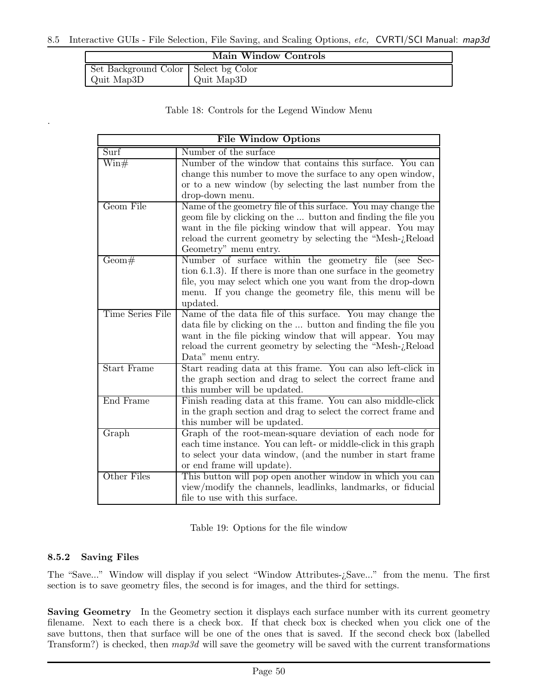| Main Window Controls                 |            |  |
|--------------------------------------|------------|--|
| Set Background Color Select bg Color |            |  |
| Quit Map3D                           | Quit Map3D |  |

Table 18: Controls for the Legend Window Menu

| <b>File Window Options</b> |                                                                                                                                                                                                                                                                                      |  |
|----------------------------|--------------------------------------------------------------------------------------------------------------------------------------------------------------------------------------------------------------------------------------------------------------------------------------|--|
| Surf                       | Number of the surface                                                                                                                                                                                                                                                                |  |
| $\operatorname{Win\#}$     | Number of the window that contains this surface.<br>You can<br>change this number to move the surface to any open window,<br>or to a new window (by selecting the last number from the<br>drop-down menu.                                                                            |  |
| Geom File                  | Name of the geometry file of this surface. You may change the<br>geom file by clicking on the  button and finding the file you<br>want in the file picking window that will appear. You may<br>reload the current geometry by selecting the "Mesh-¿Reload<br>Geometry" menu entry.   |  |
| Geom#                      | Number of surface within the geometry file (see Sec-<br>tion 6.1.3). If there is more than one surface in the geometry<br>file, you may select which one you want from the drop-down<br>menu. If you change the geometry file, this menu will be<br>updated.                         |  |
| Time Series File           | Name of the data file of this surface. You may change the<br>data file by clicking on the  button and finding the file you<br>want in the file picking window that will appear. You may<br>reload the current geometry by selecting the "Mesh- <i>i</i> Reload"<br>Data" menu entry. |  |
| <b>Start Frame</b>         | Start reading data at this frame. You can also left-click in<br>the graph section and drag to select the correct frame and<br>this number will be updated.                                                                                                                           |  |
| End Frame                  | Finish reading data at this frame. You can also middle-click<br>in the graph section and drag to select the correct frame and<br>this number will be updated.                                                                                                                        |  |
| Graph                      | Graph of the root-mean-square deviation of each node for<br>each time instance. You can left- or middle-click in this graph<br>to select your data window, (and the number in start frame<br>or end frame will update).                                                              |  |
| Other Files                | This button will pop open another window in which you can<br>view/modify the channels, leadlinks, landmarks, or fiducial<br>file to use with this surface.                                                                                                                           |  |

Table 19: Options for the file window

#### 8.5.2 Saving Files

.

The "Save..." Window will display if you select "Window Attributes-¿Save..." from the menu. The first section is to save geometry files, the second is for images, and the third for settings.

Saving Geometry In the Geometry section it displays each surface number with its current geometry filename. Next to each there is a check box. If that check box is checked when you click one of the save buttons, then that surface will be one of the ones that is saved. If the second check box (labelled Transform?) is checked, then  $map3d$  will save the geometry will be saved with the current transformations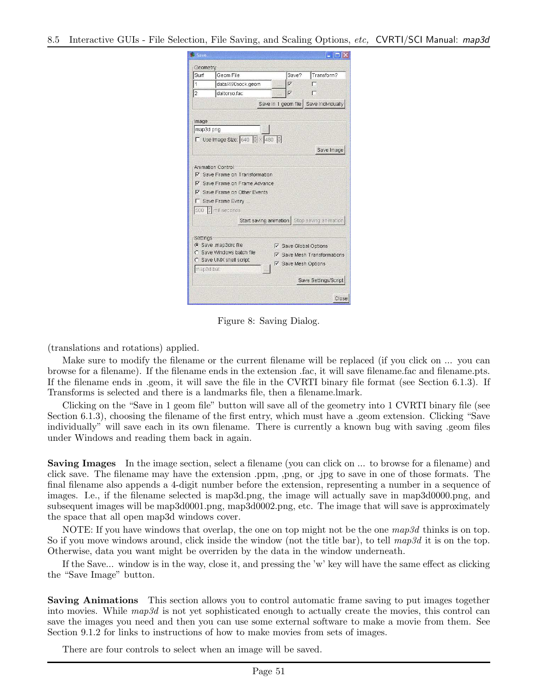| Save                  |                                                                                                                                              |                                                                                                                   |  |  |  |
|-----------------------|----------------------------------------------------------------------------------------------------------------------------------------------|-------------------------------------------------------------------------------------------------------------------|--|--|--|
| Geometry              |                                                                                                                                              |                                                                                                                   |  |  |  |
| Surf                  | Geom File                                                                                                                                    | Transform?<br>Save?                                                                                               |  |  |  |
| $\mathbf{1}$          | data/490sock.geom                                                                                                                            | ঢ়                                                                                                                |  |  |  |
| $\overline{2}$        | daltorso.fac                                                                                                                                 | 冈                                                                                                                 |  |  |  |
|                       | Save in 1 geom file   Save Individually                                                                                                      |                                                                                                                   |  |  |  |
|                       |                                                                                                                                              |                                                                                                                   |  |  |  |
| Image<br>map3d.png    |                                                                                                                                              |                                                                                                                   |  |  |  |
|                       |                                                                                                                                              |                                                                                                                   |  |  |  |
|                       | $\Box$ Use Image Size: 640 $\div$ × 480 $\div$                                                                                               |                                                                                                                   |  |  |  |
|                       |                                                                                                                                              | Save Image                                                                                                        |  |  |  |
| ⊽<br>1∡<br>Г          | <b>▽</b> Save Frame on Transformation<br>Save Frame on Frame Advance<br>Save Frame on Other Events<br>Save Frame Every<br>500 F milliseconds | Start saving animation   Stop saving animation                                                                    |  |  |  |
| Settings<br>map3d.bat | C Save map3drc file<br>Save Windows batch file<br>Save UNIX shell script                                                                     | <b>⊽</b> Save Global Options<br>Ⅳ Save Mesh Transformations<br><b>▽</b> Save Mesh Options<br>Save Settings/Script |  |  |  |
|                       |                                                                                                                                              | Close                                                                                                             |  |  |  |

Figure 8: Saving Dialog.

(translations and rotations) applied.

Make sure to modify the filename or the current filename will be replaced (if you click on ... you can browse for a filename). If the filename ends in the extension .fac, it will save filename.fac and filename.pts. If the filename ends in .geom, it will save the file in the CVRTI binary file format (see Section 6.1.3). If Transforms is selected and there is a landmarks file, then a filename.lmark.

Clicking on the "Save in 1 geom file" button will save all of the geometry into 1 CVRTI binary file (see Section 6.1.3), choosing the filename of the first entry, which must have a .geom extension. Clicking "Save individually" will save each in its own filename. There is currently a known bug with saving .geom files under Windows and reading them back in again.

Saving Images In the image section, select a filename (you can click on ... to browse for a filename) and click save. The filename may have the extension .ppm, ,png, or .jpg to save in one of those formats. The final filename also appends a 4-digit number before the extension, representing a number in a sequence of images. I.e., if the filename selected is map3d.png, the image will actually save in map3d0000.png, and subsequent images will be map3d0001.png, map3d0002.png, etc. The image that will save is approximately the space that all open map3d windows cover.

NOTE: If you have windows that overlap, the one on top might not be the one  $map3d$  thinks is on top. So if you move windows around, click inside the window (not the title bar), to tell  $map3d$  it is on the top. Otherwise, data you want might be overriden by the data in the window underneath.

If the Save... window is in the way, close it, and pressing the 'w' key will have the same effect as clicking the "Save Image" button.

Saving Animations This section allows you to control automatic frame saving to put images together into movies. While map3d is not yet sophisticated enough to actually create the movies, this control can save the images you need and then you can use some external software to make a movie from them. See Section 9.1.2 for links to instructions of how to make movies from sets of images.

There are four controls to select when an image will be saved.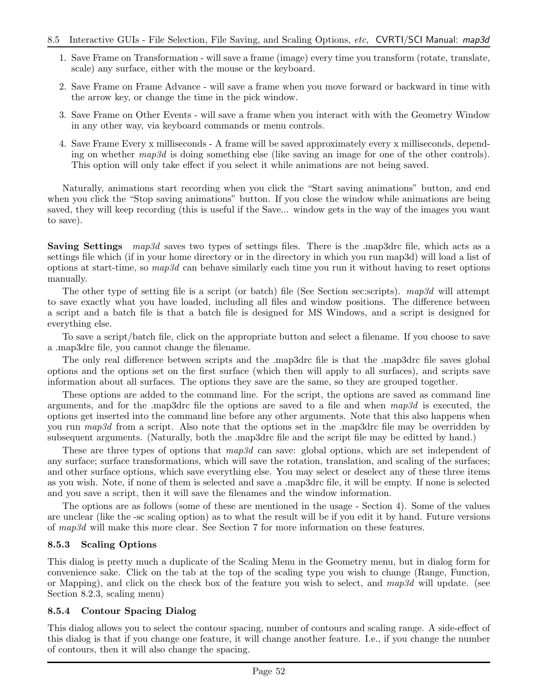- 1. Save Frame on Transformation will save a frame (image) every time you transform (rotate, translate, scale) any surface, either with the mouse or the keyboard.
- 2. Save Frame on Frame Advance will save a frame when you move forward or backward in time with the arrow key, or change the time in the pick window.
- 3. Save Frame on Other Events will save a frame when you interact with with the Geometry Window in any other way, via keyboard commands or menu controls.
- 4. Save Frame Every x milliseconds A frame will be saved approximately every x milliseconds, depending on whether map3d is doing something else (like saving an image for one of the other controls). This option will only take effect if you select it while animations are not being saved.

Naturally, animations start recording when you click the "Start saving animations" button, and end when you click the "Stop saving animations" button. If you close the window while animations are being saved, they will keep recording (this is useful if the Save... window gets in the way of the images you want to save).

Saving Settings map3d saves two types of settings files. There is the .map3drc file, which acts as a settings file which (if in your home directory or in the directory in which you run map3d) will load a list of options at start-time, so  $map3d$  can behave similarly each time you run it without having to reset options manually.

The other type of setting file is a script (or batch) file (See Section sec:scripts). map3d will attempt to save exactly what you have loaded, including all files and window positions. The difference between a script and a batch file is that a batch file is designed for MS Windows, and a script is designed for everything else.

To save a script/batch file, click on the appropriate button and select a filename. If you choose to save a .map3drc file, you cannot change the filename.

The only real difference between scripts and the .map3drc file is that the .map3drc file saves global options and the options set on the first surface (which then will apply to all surfaces), and scripts save information about all surfaces. The options they save are the same, so they are grouped together.

These options are added to the command line. For the script, the options are saved as command line arguments, and for the .map3drc file the options are saved to a file and when  $map3d$  is executed, the options get inserted into the command line before any other arguments. Note that this also happens when you run map3d from a script. Also note that the options set in the .map3drc file may be overridden by subsequent arguments. (Naturally, both the .map3drc file and the script file may be editted by hand.)

These are three types of options that  $map3d$  can save: global options, which are set independent of any surface; surface transformations, which will save the rotation, translation, and scaling of the surfaces; and other surface options, which save everything else. You may select or deselect any of these three items as you wish. Note, if none of them is selected and save a .map3drc file, it will be empty. If none is selected and you save a script, then it will save the filenames and the window information.

The options are as follows (some of these are mentioned in the usage - Section 4). Some of the values are unclear (like the -sc scaling option) as to what the result will be if you edit it by hand. Future versions of map3d will make this more clear. See Section 7 for more information on these features.

#### 8.5.3 Scaling Options

This dialog is pretty much a duplicate of the Scaling Menu in the Geometry menu, but in dialog form for convenience sake. Click on the tab at the top of the scaling type you wish to change (Range, Function, or Mapping), and click on the check box of the feature you wish to select, and  $map3d$  will update. (see Section 8.2.3, scaling menu)

#### 8.5.4 Contour Spacing Dialog

This dialog allows you to select the contour spacing, number of contours and scaling range. A side-effect of this dialog is that if you change one feature, it will change another feature. I.e., if you change the number of contours, then it will also change the spacing.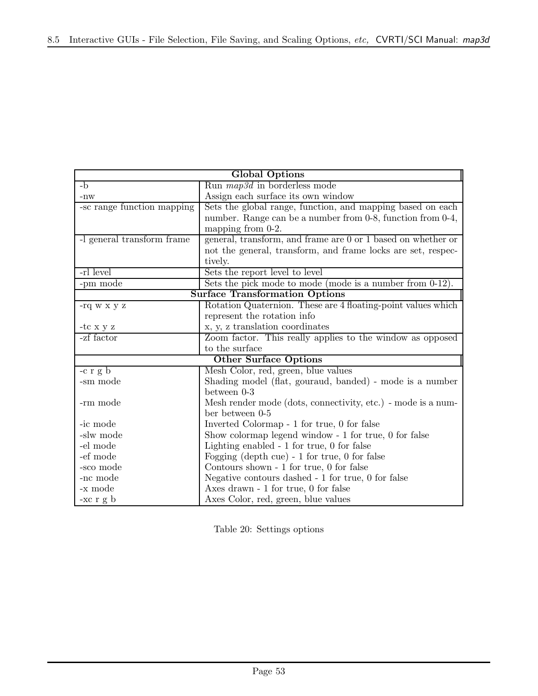| <b>Global Options</b>                 |                                                              |  |  |
|---------------------------------------|--------------------------------------------------------------|--|--|
| $-b$                                  | Run $map3d$ in borderless mode                               |  |  |
| $-{\rm nw}$                           | Assign each surface its own window                           |  |  |
| -sc range function mapping            | Sets the global range, function, and mapping based on each   |  |  |
|                                       | number. Range can be a number from 0-8, function from 0-4,   |  |  |
|                                       | mapping from 0-2.                                            |  |  |
| -l general transform frame            | general, transform, and frame are 0 or 1 based on whether or |  |  |
|                                       | not the general, transform, and frame locks are set, respec- |  |  |
|                                       | tively.                                                      |  |  |
| -rl level                             | Sets the report level to level                               |  |  |
| -pm mode                              | Sets the pick mode to mode (mode is a number from $0-12$ ).  |  |  |
| <b>Surface Transformation Options</b> |                                                              |  |  |
| -rq w x y z                           | Rotation Quaternion. These are 4 floating-point values which |  |  |
|                                       | represent the rotation info                                  |  |  |
| -tc x y z                             | x, y, z translation coordinates                              |  |  |
| -zf factor                            | Zoom factor. This really applies to the window as opposed    |  |  |
| to the surface                        |                                                              |  |  |
|                                       | <b>Other Surface Options</b>                                 |  |  |
| $-c r g b$                            | Mesh Color, red, green, blue values                          |  |  |
| -sm mode                              | Shading model (flat, gouraud, banded) - mode is a number     |  |  |
|                                       | between 0-3                                                  |  |  |
| -rm mode                              | Mesh render mode (dots, connectivity, etc.) - mode is a num- |  |  |
|                                       | ber between 0-5                                              |  |  |
| -ic mode                              | Inverted Colormap - 1 for true, 0 for false                  |  |  |
| -slw mode                             | Show colormap legend window - 1 for true, 0 for false        |  |  |
| -el mode                              | Lighting enabled $-1$ for true, 0 for false                  |  |  |
| -ef mode                              | Fogging (depth cue) $-1$ for true, 0 for false               |  |  |
| -sco mode                             | Contours shown - 1 for true, 0 for false                     |  |  |
| -nc mode                              | Negative contours dashed $-1$ for true, 0 for false          |  |  |
| -x mode                               | Axes drawn - 1 for true, 0 for false                         |  |  |
| $-xc$ r g b                           | Axes Color, red, green, blue values                          |  |  |

Table 20: Settings options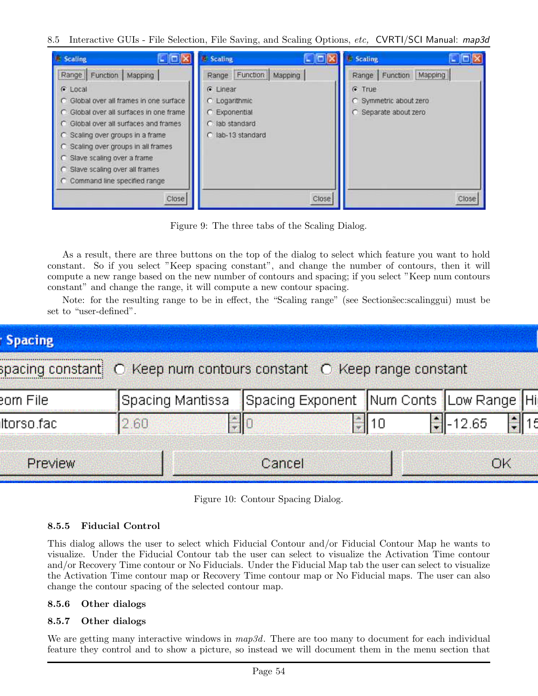| <b>E.</b> Scaling<br>- 101                                                                                                                                                                                                                                                                                              | <b>Scaling</b><br>- olx                                                           | Scaling<br>- Iolx                                           |
|-------------------------------------------------------------------------------------------------------------------------------------------------------------------------------------------------------------------------------------------------------------------------------------------------------------------------|-----------------------------------------------------------------------------------|-------------------------------------------------------------|
| Range   Function<br>Mapping                                                                                                                                                                                                                                                                                             | Function<br>Mapping<br>Range                                                      | Mapping<br>Function<br>Range                                |
| C Local<br>C Global over all frames in one surface<br>C. Global over all surfaces in one frame<br>C Global over all surfaces and frames<br>C Scaling over groups in a frame<br>C Scaling over groups in all frames<br>C Slave scaling over a frame<br>C Slave scaling over all frames<br>C Command line specified range | G Linear<br>C Logarithmic<br>C Exponential<br>C lab standard<br>C lab-13 standard | $F$ True<br>C Symmetric about zero<br>C Separate about zero |
| Close                                                                                                                                                                                                                                                                                                                   | Close                                                                             | Close                                                       |

Figure 9: The three tabs of the Scaling Dialog.

As a result, there are three buttons on the top of the dialog to select which feature you want to hold constant. So if you select "Keep spacing constant", and change the number of contours, then it will compute a new range based on the new number of contours and spacing; if you select "Keep num contours constant" and change the range, it will compute a new contour spacing.

Note: for the resulting range to be in effect, the "Scaling range" (see Section sec: scalinggui) must be set to "user-defined".

| <b>Spacing</b>                                                                                          |                  |                                              |    |                             |  |
|---------------------------------------------------------------------------------------------------------|------------------|----------------------------------------------|----|-----------------------------|--|
| spacing constant $\circlearrowright$ Keep num contours constant $\circlearrowright$ Keep range constant |                  |                                              |    |                             |  |
| eom File.                                                                                               | Spacing Mantissa | Spacing Exponent   Num Conts   Low Range   H |    |                             |  |
| Itorso.fac.                                                                                             | 2.60             |                                              | 10 | ■ 12.65<br><b>September</b> |  |
| Preview                                                                                                 |                  | Cancel                                       |    | 0.4                         |  |

Figure 10: Contour Spacing Dialog.

## 8.5.5 Fiducial Control

This dialog allows the user to select which Fiducial Contour and/or Fiducial Contour Map he wants to visualize. Under the Fiducial Contour tab the user can select to visualize the Activation Time contour and/or Recovery Time contour or No Fiducials. Under the Fiducial Map tab the user can select to visualize the Activation Time contour map or Recovery Time contour map or No Fiducial maps. The user can also change the contour spacing of the selected contour map.

## 8.5.6 Other dialogs

## 8.5.7 Other dialogs

We are getting many interactive windows in  $map3d$ . There are too many to document for each individual feature they control and to show a picture, so instead we will document them in the menu section that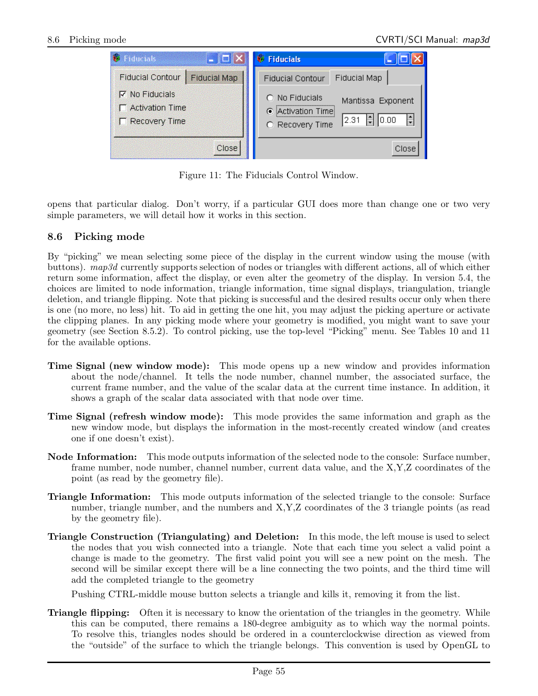| <b>Fiducials</b>                                                 | $\blacksquare$ $\blacksquare$ $\times$ | <b>Fiducials</b>                                                                                          |
|------------------------------------------------------------------|----------------------------------------|-----------------------------------------------------------------------------------------------------------|
| Fiducial Contour                                                 | <b>Fiducial Map</b>                    | <b>Fiducial Map</b><br><b>Fiducial Contour</b>                                                            |
| $\nabla$ No Fiducials<br><b>Activation Time</b><br>Recovery Time |                                        | C No Fiducials<br>Mantissa Exponent<br>• Activation Time<br>$\bigoplus$   0.00<br>2.31<br>O Recovery Time |
|                                                                  | Close                                  | Close                                                                                                     |

Figure 11: The Fiducials Control Window.

opens that particular dialog. Don't worry, if a particular GUI does more than change one or two very simple parameters, we will detail how it works in this section.

#### 8.6 Picking mode

By "picking" we mean selecting some piece of the display in the current window using the mouse (with buttons). map3d currently supports selection of nodes or triangles with different actions, all of which either return some information, affect the display, or even alter the geometry of the display. In version 5.4, the choices are limited to node information, triangle information, time signal displays, triangulation, triangle deletion, and triangle flipping. Note that picking is successful and the desired results occur only when there is one (no more, no less) hit. To aid in getting the one hit, you may adjust the picking aperture or activate the clipping planes. In any picking mode where your geometry is modified, you might want to save your geometry (see Section 8.5.2). To control picking, use the top-level "Picking" menu. See Tables 10 and 11 for the available options.

- Time Signal (new window mode): This mode opens up a new window and provides information about the node/channel. It tells the node number, channel number, the associated surface, the current frame number, and the value of the scalar data at the current time instance. In addition, it shows a graph of the scalar data associated with that node over time.
- Time Signal (refresh window mode): This mode provides the same information and graph as the new window mode, but displays the information in the most-recently created window (and creates one if one doesn't exist).
- Node Information: This mode outputs information of the selected node to the console: Surface number, frame number, node number, channel number, current data value, and the X,Y,Z coordinates of the point (as read by the geometry file).
- Triangle Information: This mode outputs information of the selected triangle to the console: Surface number, triangle number, and the numbers and X,Y,Z coordinates of the 3 triangle points (as read by the geometry file).
- Triangle Construction (Triangulating) and Deletion: In this mode, the left mouse is used to select the nodes that you wish connected into a triangle. Note that each time you select a valid point a change is made to the geometry. The first valid point you will see a new point on the mesh. The second will be similar except there will be a line connecting the two points, and the third time will add the completed triangle to the geometry

Pushing CTRL-middle mouse button selects a triangle and kills it, removing it from the list.

**Triangle flipping:** Often it is necessary to know the orientation of the triangles in the geometry. While this can be computed, there remains a 180-degree ambiguity as to which way the normal points. To resolve this, triangles nodes should be ordered in a counterclockwise direction as viewed from the "outside" of the surface to which the triangle belongs. This convention is used by OpenGL to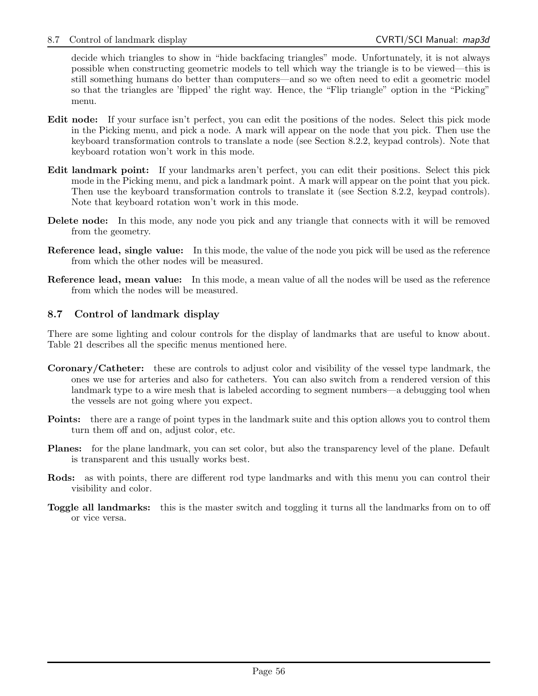decide which triangles to show in "hide backfacing triangles" mode. Unfortunately, it is not always possible when constructing geometric models to tell which way the triangle is to be viewed—this is still something humans do better than computers—and so we often need to edit a geometric model so that the triangles are 'flipped' the right way. Hence, the "Flip triangle" option in the "Picking" menu.

- Edit node: If your surface isn't perfect, you can edit the positions of the nodes. Select this pick mode in the Picking menu, and pick a node. A mark will appear on the node that you pick. Then use the keyboard transformation controls to translate a node (see Section 8.2.2, keypad controls). Note that keyboard rotation won't work in this mode.
- Edit landmark point: If your landmarks aren't perfect, you can edit their positions. Select this pick mode in the Picking menu, and pick a landmark point. A mark will appear on the point that you pick. Then use the keyboard transformation controls to translate it (see Section 8.2.2, keypad controls). Note that keyboard rotation won't work in this mode.
- Delete node: In this mode, any node you pick and any triangle that connects with it will be removed from the geometry.
- Reference lead, single value: In this mode, the value of the node you pick will be used as the reference from which the other nodes will be measured.
- Reference lead, mean value: In this mode, a mean value of all the nodes will be used as the reference from which the nodes will be measured.

## 8.7 Control of landmark display

There are some lighting and colour controls for the display of landmarks that are useful to know about. Table 21 describes all the specific menus mentioned here.

- Coronary/Catheter: these are controls to adjust color and visibility of the vessel type landmark, the ones we use for arteries and also for catheters. You can also switch from a rendered version of this landmark type to a wire mesh that is labeled according to segment numbers—a debugging tool when the vessels are not going where you expect.
- Points: there are a range of point types in the landmark suite and this option allows you to control them turn them off and on, adjust color, etc.
- Planes: for the plane landmark, you can set color, but also the transparency level of the plane. Default is transparent and this usually works best.
- Rods: as with points, there are different rod type landmarks and with this menu you can control their visibility and color.
- Toggle all landmarks: this is the master switch and toggling it turns all the landmarks from on to off or vice versa.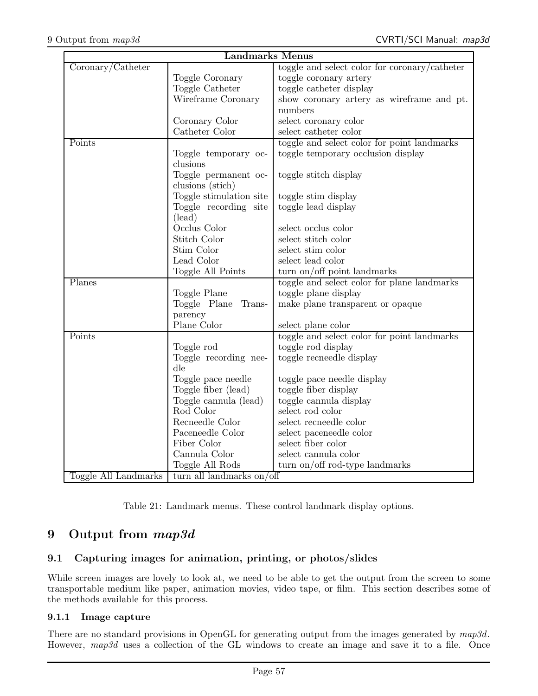| <b>Landmarks Menus</b>                       |                                 |                                               |  |  |
|----------------------------------------------|---------------------------------|-----------------------------------------------|--|--|
| $\overline{\text{Coronary}}/\text{Catheter}$ |                                 | toggle and select color for coronary/catheter |  |  |
|                                              | Toggle Coronary                 | toggle coronary artery                        |  |  |
|                                              | Toggle Catheter                 | toggle catheter display                       |  |  |
|                                              | Wireframe Coronary              | show coronary artery as wireframe and pt.     |  |  |
|                                              |                                 | numbers                                       |  |  |
|                                              | Coronary Color                  | select coronary color                         |  |  |
|                                              | Catheter Color                  | select catheter color                         |  |  |
| Points                                       |                                 | toggle and select color for point landmarks   |  |  |
|                                              | Toggle temporary oc-            | toggle temporary occlusion display            |  |  |
|                                              | clusions                        |                                               |  |  |
|                                              | Toggle permanent oc-            | toggle stitch display                         |  |  |
|                                              | clusions (stich)                |                                               |  |  |
|                                              | Toggle stimulation site         | toggle stim display                           |  |  |
|                                              | Toggle recording site           | toggle lead display                           |  |  |
|                                              | (lead)                          |                                               |  |  |
|                                              | Occlus Color                    | select occlus color                           |  |  |
|                                              | Stitch Color                    | select stitch color                           |  |  |
|                                              | Stim Color                      | select stim color                             |  |  |
|                                              | Lead Color                      | select lead color                             |  |  |
|                                              | Toggle All Points               | turn on/off point landmarks                   |  |  |
| Planes                                       |                                 | toggle and select color for plane landmarks   |  |  |
|                                              | Toggle Plane                    | toggle plane display                          |  |  |
|                                              | Toggle Plane<br>Trans-          | make plane transparent or opaque              |  |  |
|                                              | parency                         |                                               |  |  |
|                                              | Plane Color                     | select plane color                            |  |  |
| Points                                       |                                 | toggle and select color for point landmarks   |  |  |
|                                              | Toggle rod                      | toggle rod display                            |  |  |
|                                              | Toggle recording nee-           | toggle recneedle display                      |  |  |
|                                              | dle                             |                                               |  |  |
|                                              | Toggle pace needle              | toggle pace needle display                    |  |  |
|                                              | Toggle fiber (lead)             | toggle fiber display                          |  |  |
|                                              | Toggle cannula (lead)           | toggle cannula display                        |  |  |
|                                              | Rod Color                       | select rod color                              |  |  |
|                                              | Recneedle Color                 | select recneedle color                        |  |  |
|                                              | Paceneedle Color<br>Fiber Color | select paceneedle color<br>select fiber color |  |  |
|                                              |                                 |                                               |  |  |
|                                              | Cannula Color                   | select cannula color                          |  |  |
|                                              | Toggle All Rods                 | turn on/off rod-type landmarks                |  |  |
| Toggle All Landmarks                         | turn all landmarks on/off       |                                               |  |  |

Table 21: Landmark menus. These control landmark display options.

## 9 Output from map3d

## 9.1 Capturing images for animation, printing, or photos/slides

While screen images are lovely to look at, we need to be able to get the output from the screen to some transportable medium like paper, animation movies, video tape, or film. This section describes some of the methods available for this process.

#### 9.1.1 Image capture

There are no standard provisions in OpenGL for generating output from the images generated by  $map3d$ . However, map3d uses a collection of the GL windows to create an image and save it to a file. Once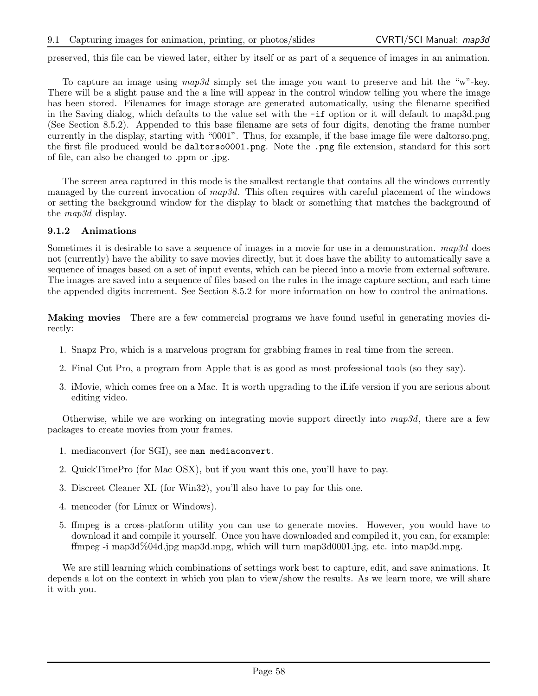preserved, this file can be viewed later, either by itself or as part of a sequence of images in an animation.

To capture an image using map3d simply set the image you want to preserve and hit the "w"-key. There will be a slight pause and the a line will appear in the control window telling you where the image has been stored. Filenames for image storage are generated automatically, using the filename specified in the Saving dialog, which defaults to the value set with the -if option or it will default to map3d.png (See Section 8.5.2). Appended to this base filename are sets of four digits, denoting the frame number currently in the display, starting with "0001". Thus, for example, if the base image file were daltorso.png, the first file produced would be daltorso0001.png. Note the .png file extension, standard for this sort of file, can also be changed to .ppm or .jpg.

The screen area captured in this mode is the smallest rectangle that contains all the windows currently managed by the current invocation of  $map3d$ . This often requires with careful placement of the windows or setting the background window for the display to black or something that matches the background of the map3d display.

#### 9.1.2 Animations

Sometimes it is desirable to save a sequence of images in a movie for use in a demonstration.  $map3d$  does not (currently) have the ability to save movies directly, but it does have the ability to automatically save a sequence of images based on a set of input events, which can be pieced into a movie from external software. The images are saved into a sequence of files based on the rules in the image capture section, and each time the appended digits increment. See Section 8.5.2 for more information on how to control the animations.

Making movies There are a few commercial programs we have found useful in generating movies directly:

- 1. Snapz Pro, which is a marvelous program for grabbing frames in real time from the screen.
- 2. Final Cut Pro, a program from Apple that is as good as most professional tools (so they say).
- 3. iMovie, which comes free on a Mac. It is worth upgrading to the iLife version if you are serious about editing video.

Otherwise, while we are working on integrating movie support directly into  $map3d$ , there are a few packages to create movies from your frames.

- 1. mediaconvert (for SGI), see man mediaconvert.
- 2. QuickTimePro (for Mac OSX), but if you want this one, you'll have to pay.
- 3. Discreet Cleaner XL (for Win32), you'll also have to pay for this one.
- 4. mencoder (for Linux or Windows).
- 5. ffmpeg is a cross-platform utility you can use to generate movies. However, you would have to download it and compile it yourself. Once you have downloaded and compiled it, you can, for example: ffmpeg -i map3d%04d.jpg map3d.mpg, which will turn map3d0001.jpg, etc. into map3d.mpg.

We are still learning which combinations of settings work best to capture, edit, and save animations. It depends a lot on the context in which you plan to view/show the results. As we learn more, we will share it with you.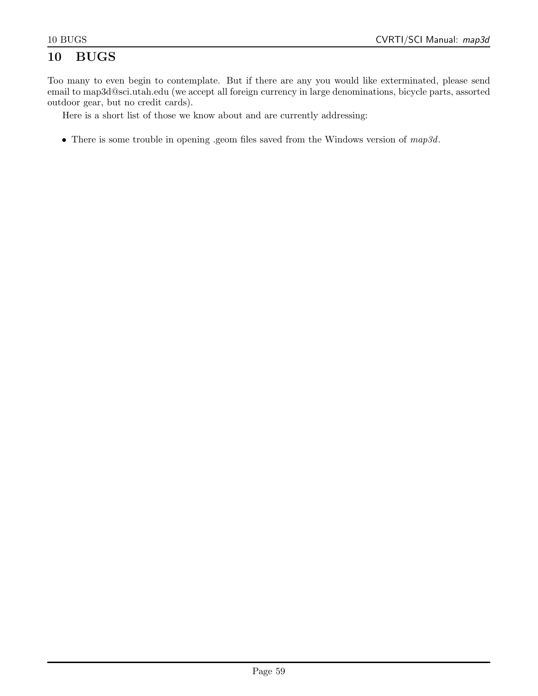## 10 BUGS

Too many to even begin to contemplate. But if there are any you would like exterminated, please send email to map3d@sci.utah.edu (we accept all foreign currency in large denominations, bicycle parts, assorted outdoor gear, but no credit cards).

Here is a short list of those we know about and are currently addressing:

• There is some trouble in opening .geom files saved from the Windows version of  $map3d$ .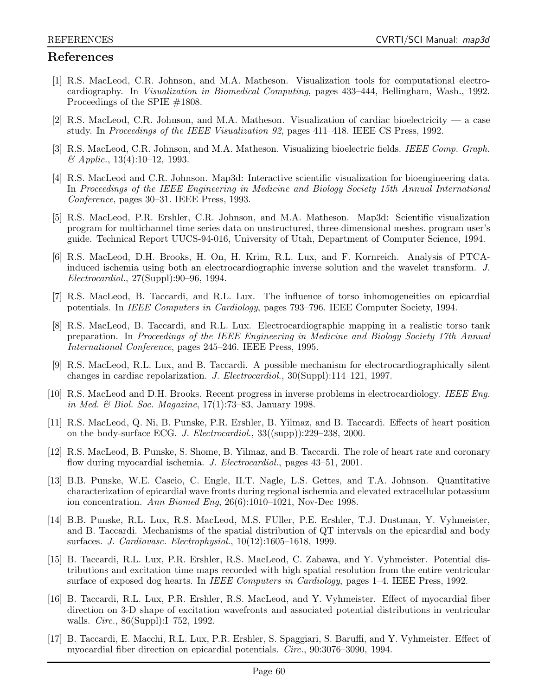## References

- [1] R.S. MacLeod, C.R. Johnson, and M.A. Matheson. Visualization tools for computational electrocardiography. In Visualization in Biomedical Computing, pages 433–444, Bellingham, Wash., 1992. Proceedings of the SPIE #1808.
- [2] R.S. MacLeod, C.R. Johnson, and M.A. Matheson. Visualization of cardiac bioelectricity a case study. In Proceedings of the IEEE Visualization 92, pages 411–418. IEEE CS Press, 1992.
- [3] R.S. MacLeod, C.R. Johnson, and M.A. Matheson. Visualizing bioelectric fields. IEEE Comp. Graph.  $\&$  Applic., 13(4):10–12, 1993.
- [4] R.S. MacLeod and C.R. Johnson. Map3d: Interactive scientific visualization for bioengineering data. In Proceedings of the IEEE Engineering in Medicine and Biology Society 15th Annual International Conference, pages 30–31. IEEE Press, 1993.
- [5] R.S. MacLeod, P.R. Ershler, C.R. Johnson, and M.A. Matheson. Map3d: Scientific visualization program for multichannel time series data on unstructured, three-dimensional meshes. program user's guide. Technical Report UUCS-94-016, University of Utah, Department of Computer Science, 1994.
- [6] R.S. MacLeod, D.H. Brooks, H. On, H. Krim, R.L. Lux, and F. Kornreich. Analysis of PTCAinduced ischemia using both an electrocardiographic inverse solution and the wavelet transform. J. Electrocardiol., 27(Suppl):90–96, 1994.
- [7] R.S. MacLeod, B. Taccardi, and R.L. Lux. The influence of torso inhomogeneities on epicardial potentials. In IEEE Computers in Cardiology, pages 793–796. IEEE Computer Society, 1994.
- [8] R.S. MacLeod, B. Taccardi, and R.L. Lux. Electrocardiographic mapping in a realistic torso tank preparation. In Proceedings of the IEEE Engineering in Medicine and Biology Society 17th Annual International Conference, pages 245–246. IEEE Press, 1995.
- [9] R.S. MacLeod, R.L. Lux, and B. Taccardi. A possible mechanism for electrocardiographically silent changes in cardiac repolarization. J. Electrocardiol., 30(Suppl):114–121, 1997.
- [10] R.S. MacLeod and D.H. Brooks. Recent progress in inverse problems in electrocardiology. IEEE Eng. in Med. & Biol. Soc. Magazine, 17(1):73–83, January 1998.
- [11] R.S. MacLeod, Q. Ni, B. Punske, P.R. Ershler, B. Yilmaz, and B. Taccardi. Effects of heart position on the body-surface ECG. J. Electrocardiol., 33((supp)):229–238, 2000.
- [12] R.S. MacLeod, B. Punske, S. Shome, B. Yilmaz, and B. Taccardi. The role of heart rate and coronary flow during myocardial ischemia. J. Electrocardiol., pages 43–51, 2001.
- [13] B.B. Punske, W.E. Cascio, C. Engle, H.T. Nagle, L.S. Gettes, and T.A. Johnson. Quantitative characterization of epicardial wave fronts during regional ischemia and elevated extracellular potassium ion concentration. Ann Biomed Eng, 26(6):1010–1021, Nov-Dec 1998.
- [14] B.B. Punske, R.L. Lux, R.S. MacLeod, M.S. FUller, P.E. Ershler, T.J. Dustman, Y. Vyhmeister, and B. Taccardi. Mechanisms of the spatial distribution of QT intervals on the epicardial and body surfaces. J. Cardiovasc. Electrophysiol., 10(12):1605–1618, 1999.
- [15] B. Taccardi, R.L. Lux, P.R. Ershler, R.S. MacLeod, C. Zabawa, and Y. Vyhmeister. Potential distributions and excitation time maps recorded with high spatial resolution from the entire ventricular surface of exposed dog hearts. In *IEEE Computers in Cardiology*, pages 1–4. IEEE Press, 1992.
- [16] B. Taccardi, R.L. Lux, P.R. Ershler, R.S. MacLeod, and Y. Vyhmeister. Effect of myocardial fiber direction on 3-D shape of excitation wavefronts and associated potential distributions in ventricular walls. *Circ.*, 86(Suppl):I-752, 1992.
- [17] B. Taccardi, E. Macchi, R.L. Lux, P.R. Ershler, S. Spaggiari, S. Baruffi, and Y. Vyhmeister. Effect of myocardial fiber direction on epicardial potentials. Circ., 90:3076–3090, 1994.